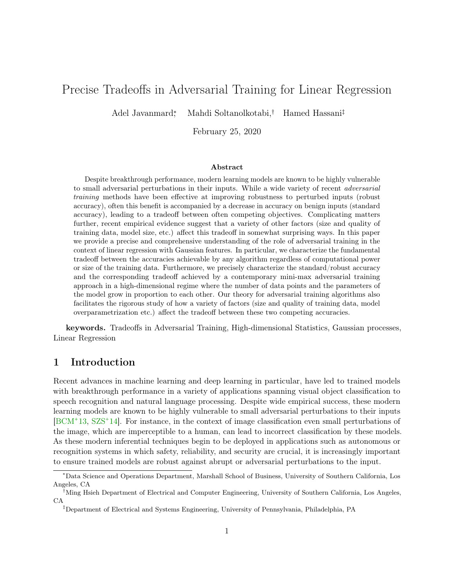# <span id="page-0-1"></span><span id="page-0-0"></span>Precise Tradeoffs in Adversarial Training for Linear Regression

Adel Javanmard<sup>∗</sup> , Mahdi Soltanolkotabi,† Hamed Hassani‡

February 25, 2020

#### Abstract

Despite breakthrough performance, modern learning models are known to be highly vulnerable to small adversarial perturbations in their inputs. While a wide variety of recent adversarial training methods have been effective at improving robustness to perturbed inputs (robust accuracy), often this benefit is accompanied by a decrease in accuracy on benign inputs (standard accuracy), leading to a tradeoff between often competing objectives. Complicating matters further, recent empirical evidence suggest that a variety of other factors (size and quality of training data, model size, etc.) affect this tradeoff in somewhat surprising ways. In this paper we provide a precise and comprehensive understanding of the role of adversarial training in the context of linear regression with Gaussian features. In particular, we characterize the fundamental tradeoff between the accuracies achievable by any algorithm regardless of computational power or size of the training data. Furthermore, we precisely characterize the standard/robust accuracy and the corresponding tradeoff achieved by a contemporary mini-max adversarial training approach in a high-dimensional regime where the number of data points and the parameters of the model grow in proportion to each other. Our theory for adversarial training algorithms also facilitates the rigorous study of how a variety of factors (size and quality of training data, model overparametrization etc.) affect the tradeoff between these two competing accuracies.

keywords. Tradeoffs in Adversarial Training, High-dimensional Statistics, Gaussian processes, Linear Regression

## 1 Introduction

Recent advances in machine learning and deep learning in particular, have led to trained models with breakthrough performance in a variety of applications spanning visual object classification to speech recognition and natural language processing. Despite wide empirical success, these modern learning models are known to be highly vulnerable to small adversarial perturbations to their inputs [\[BCM](#page-28-0)<sup>+</sup>13, [SZS](#page-31-0)<sup>+</sup>14]. For instance, in the context of image classification even small perturbations of the image, which are imperceptible to a human, can lead to incorrect classification by these models. As these modern inferential techniques begin to be deployed in applications such as autonomous or recognition systems in which safety, reliability, and security are crucial, it is increasingly important to ensure trained models are robust against abrupt or adversarial perturbations to the input.

<sup>∗</sup>Data Science and Operations Department, Marshall School of Business, University of Southern California, Los Angeles, CA

<sup>†</sup>Ming Hsieh Department of Electrical and Computer Engineering, University of Southern California, Los Angeles, CA

<sup>‡</sup>Department of Electrical and Systems Engineering, University of Pennsylvania, Philadelphia, PA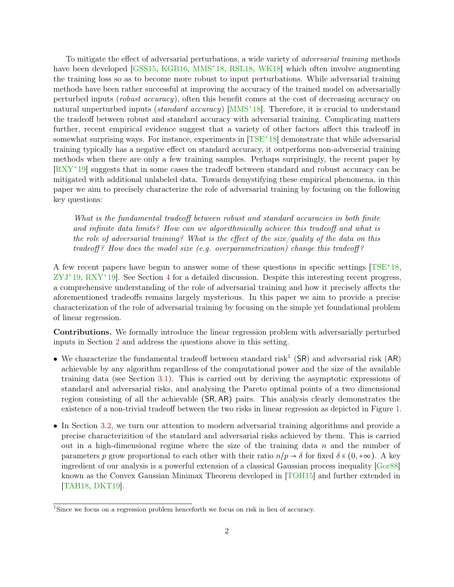<span id="page-1-0"></span>To mitigate the effect of adversarial perturbations, a wide variety of adversarial training methods have been developed [\[GSS15,](#page-29-0) [KGB16,](#page-29-1) [MMS](#page-30-0)<sup>+</sup>18, [RSL18,](#page-30-1) [WK18\]](#page-31-1) which often involve augmenting the training loss so as to become more robust to input perturbations. While adversarial training methods have been rather successful at improving the accuracy of the trained model on adversarially perturbed inputs (robust accuracy), often this benefit comes at the cost of decreasing accuracy on natural unperturbed inputs (*standard accuracy*) [\[MMS](#page-30-0)<sup>+</sup>18]. Therefore, it is crucial to understand the tradeoff between robust and standard accuracy with adversarial training. Complicating matters further, recent empirical evidence suggest that a variety of other factors affect this tradeoff in somewhat surprising ways. For instance, experiments in  $[TSE^+18]$  $[TSE^+18]$  demonstrate that while adversarial training typically has a negative effect on standard accuracy, it outperforms non-adverserial training methods when there are only a few training samples. Perhaps surprisingly, the recent paper by [\[RXY](#page-30-2)<sup>+</sup>19] suggests that in some cases the tradeoff between standard and robust accuracy can be mitigated with additional unlabeled data. Towards demystifying these empirical phenomena, in this paper we aim to precisely characterize the role of adversarial training by focusing on the following key questions:

What is the fundamental tradeoff between robust and standard accuracies in both finite and infinite data limits? How can we algorithmically achieve this tradeoff and what is the role of adversarial training? What is the effect of the size/quality of the data on this tradeoff? How does the model size (e.g. overparametrization) change this tradeoff?

A few recent papers have begun to answer some of these questions in specific settings [\[TSE](#page-31-2)+18, [ZYJ](#page-31-3)<sup>+</sup>19, [RXY](#page-30-2)<sup>+</sup>19]. See Section [4](#page-10-0) for a detailed discussion. Despite this interesting recent progress, a comprehensive understanding of the role of adversarial training and how it precisely affects the aforementioned tradeoffs remains largely mysterious. In this paper we aim to provide a precise characterization of the role of adversarial training by focusing on the simple yet foundational problem of linear regression.

Contributions. We formally introduce the linear regression problem with adversarially perturbed inputs in Section [2](#page-2-0) and address the questions above in this setting.

- We characterize the fundamental tradeoff between standard risk<sup>[1](#page-0-0)</sup> (SR) and adversarial risk (AR) achievable by any algorithm regardless of the computational power and the size of the available training data (see Section [3.1\)](#page-4-0). This is carried out by deriving the asymptotic expressions of standard and adversarial risks, and analysing the Pareto optimal points of a two dimensional region consisting of all the achievable (SR,AR) pairs. This analysis clearly demonstrates the existence of a non-trivial tradeoff between the two risks in linear regression as depicted in Figure [1.](#page-6-0)
- In Section [3.2,](#page-5-0) we turn our attention to modern adversarial training algorithms and provide a precise characterizition of the standard and adversarial risks achieved by them. This is carried out in a high-dimensional regime where the size of the training data  $n$  and the number of parameters p grow proportional to each other with their ratio  $n/p \to \delta$  for fixed  $\delta \in (0, +\infty)$ . A key ingredient of our analysis is a powerful extension of a classical Gaussian process inequality [\[Gor88\]](#page-29-2) known as the Convex Gaussian Minimax Theorem developed in [\[TOH15\]](#page-31-4) and further extended in [\[TAH18,](#page-31-5) [DKT19\]](#page-29-3).

<sup>&</sup>lt;sup>1</sup>Since we focus on a regression problem henceforth we focus on risk in lieu of accuracy.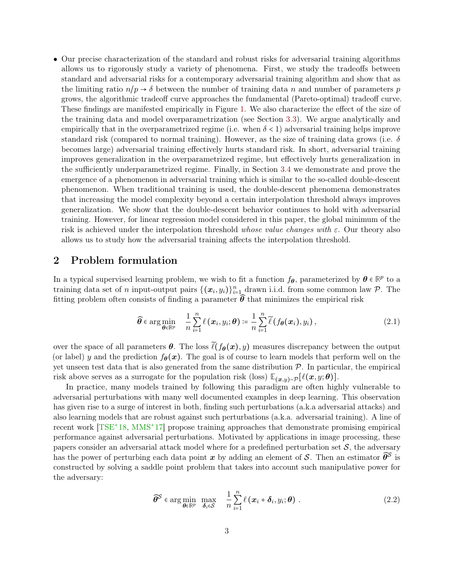<span id="page-2-2"></span>• Our precise characterization of the standard and robust risks for adversarial training algorithms allows us to rigorously study a variety of phenomena. First, we study the tradeoffs between standard and adversarial risks for a contemporary adversarial training algorithm and show that as the limiting ratio  $n/p \to \delta$  between the number of training data n and number of parameters p grows, the algorithmic tradeoff curve approaches the fundamental (Pareto-optimal) tradeoff curve. These findings are manifested empirically in Figure [1.](#page-6-0) We also characterize the effect of the size of the training data and model overparametrization (see Section [3.3\)](#page-8-0). We argue analytically and empirically that in the overparametrized regime (i.e. when  $\delta < 1$ ) adversarial training helps improve standard risk (compared to normal training). However, as the size of training data grows (i.e.  $\delta$ becomes large) adversarial training effectively hurts standard risk. In short, adversarial training improves generalization in the overparametrized regime, but effectively hurts generalization in the sufficiently underparametrized regime. Finally, in Section [3.4](#page-9-0) we demonstrate and prove the emergence of a phenomenon in adversarial training which is similar to the so-called double-descent phenomenon. When traditional training is used, the double-descent phenomena demonstrates that increasing the model complexity beyond a certain interpolation threshold always improves generalization. We show that the double-descent behavior continues to hold with adversarial training. However, for linear regression model considered in this paper, the global minimum of the risk is achieved under the interpolation threshold whose value changes with  $\varepsilon$ . Our theory also allows us to study how the adversarial training affects the interpolation threshold.

## <span id="page-2-0"></span>2 Problem formulation

In a typical supervised learning problem, we wish to fit a function  $f_{\theta}$ , parameterized by  $\theta \in \mathbb{R}^p$  to a training data set of n input-output pairs  $\{(\bm{x}_i, y_i)\}_{i=1}^n$  drawn i.i.d. from some common law  $\mathcal{P}$ . The fitting problem often consists of finding a parameter  $\hat{\theta}$  that minimizes the empirical risk

$$
\widehat{\boldsymbol{\theta}} \in \arg \min_{\boldsymbol{\theta} \in \mathbb{R}^p} \quad \frac{1}{n} \sum_{i=1}^n \ell(\boldsymbol{x}_i, y_i; \boldsymbol{\theta}) \coloneqq \frac{1}{n} \sum_{i=1}^n \widetilde{\ell}(f_{\boldsymbol{\theta}}(\boldsymbol{x}_i), y_i), \tag{2.1}
$$

over the space of all parameters  $\theta$ . The loss  $\tilde{\ell}(f_{\theta}(x), y)$  measures discrepancy between the output (or label) y and the prediction  $f_{\theta}(x)$ . The goal is of course to learn models that perform well on the yet unseen test data that is also generated from the same distribution  $P$ . In particular, the empirical risk above serves as a surrogate for the population risk (loss)  $\mathbb{E}_{(x,y)\sim\mathcal{P}}[\ell(x,y;\theta)].$ 

In practice, many models trained by following this paradigm are often highly vulnerable to adversarial perturbations with many well documented examples in deep learning. This observation has given rise to a surge of interest in both, finding such perturbations (a.k.a adversarial attacks) and also learning models that are robust against such perturbations (a.k.a. adversarial training). A line of recent work [\[TSE](#page-31-2)<sup>+</sup>18, [MMS](#page-30-3)<sup>+</sup>17] propose training approaches that demonstrate promising empirical performance against adversarial perturbations. Motivated by applications in image processing, these papers consider an adversarial attack model where for a predefined perturbation set  $S$ , the adversary has the power of perturbing each data point  $x$  by adding an element of S. Then an estimator  $\widehat{\theta}^{\mathcal{S}}$  is constructed by solving a saddle point problem that takes into account such manipulative power for the adversary:

<span id="page-2-1"></span>
$$
\widehat{\boldsymbol{\theta}}^{\mathcal{S}} \in \arg\min_{\boldsymbol{\theta} \in \mathbb{R}^p} \max_{\boldsymbol{\delta}_i \in \mathcal{S}} \quad \frac{1}{n} \sum_{i=1}^n \ell(\boldsymbol{x}_i + \boldsymbol{\delta}_i, y_i; \boldsymbol{\theta}) \; . \tag{2.2}
$$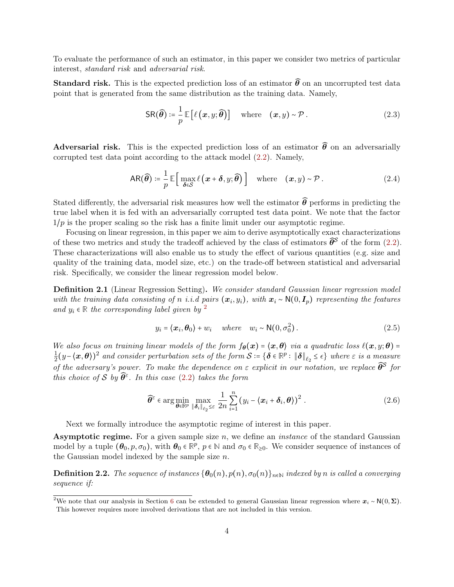To evaluate the performance of such an estimator, in this paper we consider two metrics of particular interest, standard risk and adversarial risk.

**Standard risk.** This is the expected prediction loss of an estimator  $\widehat{\theta}$  on an uncorrupted test data point that is generated from the same distribution as the training data. Namely,

<span id="page-3-1"></span><span id="page-3-0"></span>
$$
SR(\widehat{\boldsymbol{\theta}}) \coloneqq \frac{1}{p} \mathbb{E}\left[\ell\left(\boldsymbol{x}, y; \widehat{\boldsymbol{\theta}}\right)\right] \quad \text{where} \quad (\boldsymbol{x}, y) \sim \mathcal{P}. \tag{2.3}
$$

Adversarial risk. This is the expected prediction loss of an estimator  $\widehat{\theta}$  on an adversarially corrupted test data point according to the attack model [\(2.2\)](#page-2-1). Namely,

$$
AR(\widehat{\boldsymbol{\theta}}) \coloneqq \frac{1}{p} \mathbb{E} \Big[ \max_{\boldsymbol{\delta} \in \mathcal{S}} \ell\left(\boldsymbol{x} + \boldsymbol{\delta}, y; \widehat{\boldsymbol{\theta}}\right) \Big] \quad \text{where} \quad (\boldsymbol{x}, y) \sim \mathcal{P}. \tag{2.4}
$$

Stated differently, the adversarial risk measures how well the estimator  $\hat{\theta}$  performs in predicting the true label when it is fed with an adversarially corrupted test data point. We note that the factor  $1/p$  is the proper scaling so the risk has a finite limit under our asymptotic regime.

Focusing on linear regression, in this paper we aim to derive asymptotically exact characterizations of these two metrics and study the tradeoff achieved by the class of estimators  $\widehat{\theta}^{\mathcal{S}}$  of the form  $(2.2)$ . These characterizations will also enable us to study the effect of various quantities (e.g. size and quality of the training data, model size, etc.) on the trade-off between statistical and adversarial risk. Specifically, we consider the linear regression model below.

<span id="page-3-2"></span>Definition 2.1 (Linear Regression Setting). We consider standard Gaussian linear regression model with the training data consisting of n i.i.d pairs  $(x_i, y_i)$ , with  $x_i \sim \mathsf{N}(0, I_p)$  representing the features and  $y_i \in \mathbb{R}$  the corresponding label given by <sup>[2](#page-0-0)</sup>

<span id="page-3-5"></span>
$$
y_i = \langle \boldsymbol{x}_i, \boldsymbol{\theta}_0 \rangle + w_i \quad \text{where} \quad w_i \sim \mathsf{N}(0, \sigma_0^2). \tag{2.5}
$$

We also focus on training linear models of the form  $f_{\theta}(x) = \langle x, \theta \rangle$  via a quadratic loss  $\ell(x, y; \theta) =$ 1  $\frac{1}{2}(y-\langle \bm{x},\bm{\theta}\rangle)^2$  and consider perturbation sets of the form  $\mathcal{S}\coloneqq\{\bm{\delta}\in\mathbb{R}^p:\|\bm{\delta}\|_{\ell_2}\leq\epsilon\}$  where  $\varepsilon$  is a measure of the adversary's power. To make the dependence on  $\varepsilon$  explicit in our notation, we replace  $\widehat{\theta}^{\mathcal{S}}$  for this choice of S by  $\widehat{\theta}^{\varepsilon}$ . In this case [\(2.2\)](#page-2-1) takes the form

<span id="page-3-3"></span>
$$
\widehat{\boldsymbol{\theta}}^{\varepsilon} \in \arg\min_{\boldsymbol{\theta} \in \mathbb{R}^p} \max_{\|\boldsymbol{\delta}_i\|_{\ell_2} \leq \varepsilon} \frac{1}{2n} \sum_{i=1}^n (y_i - \langle \boldsymbol{x}_i + \boldsymbol{\delta}_i, \boldsymbol{\theta} \rangle)^2.
$$
 (2.6)

Next we formally introduce the asymptotic regime of interest in this paper.

**Asymptotic regime.** For a given sample size  $n$ , we define an *instance* of the standard Gaussian model by a tuple  $(\theta_0, p, \sigma_0)$ , with  $\theta_0 \in \mathbb{R}^p$ ,  $p \in \mathbb{N}$  and  $\sigma_0 \in \mathbb{R}_{\geq 0}$ . We consider sequence of instances of the Gaussian model indexed by the sample size  $n$ .

<span id="page-3-4"></span>**Definition 2.2.** The sequence of instances  $\{\theta_0(n), p(n), \sigma_0(n)\}\$ <sub>n</sub>∈N indexed by n is called a converging sequence if:

<sup>&</sup>lt;sup>2</sup>We note that our analysis in Section [6](#page-13-0) can be extended to general Gaussian linear regression where  $x_i \sim N(0, \Sigma)$ . This however requires more involved derivations that are not included in this version.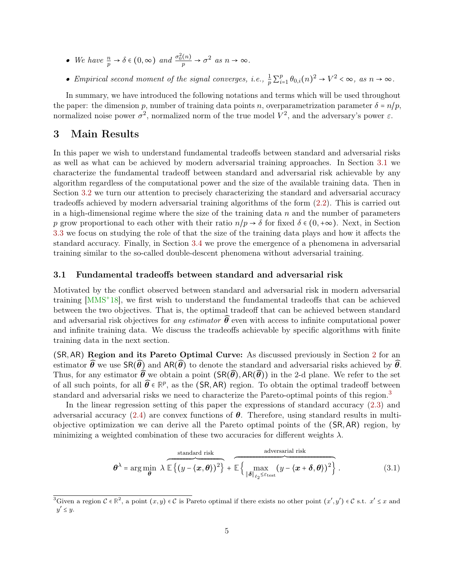- <span id="page-4-3"></span>• We have  $\frac{n}{p} \to \delta \in (0, \infty)$  and  $\frac{\sigma_0^2(n)}{p} \to \sigma^2$  as  $n \to \infty$ .
- Empirical second moment of the signal converges, i.e.,  $\frac{1}{p} \sum_{i=1}^{p}$  $_{i=1}^{p} \theta_{0,i}(n)^{2} \rightarrow V^{2} < \infty$ , as  $n \rightarrow \infty$ .

In summary, we have introduced the following notations and terms which will be used throughout the paper: the dimension p, number of training data points n, overparametrization parameter  $\delta = n/p$ , normalized noise power  $\sigma^2$ , normalized norm of the true model  $V^2$ , and the adversary's power  $\varepsilon$ .

# <span id="page-4-2"></span>3 Main Results

In this paper we wish to understand fundamental tradeoffs between standard and adversarial risks as well as what can be achieved by modern adversarial training approaches. In Section [3.1](#page-4-0) we characterize the fundamental tradeoff between standard and adversarial risk achievable by any algorithm regardless of the computational power and the size of the available training data. Then in Section [3.2](#page-5-0) we turn our attention to precisely characterizing the standard and adversarial accuracy tradeoffs achieved by modern adversarial training algorithms of the form [\(2.2\)](#page-2-1). This is carried out in a high-dimensional regime where the size of the training data  $n$  and the number of parameters p grow proportional to each other with their ratio  $n/p \to \delta$  for fixed  $\delta \in (0, +\infty)$ . Next, in Section [3.3](#page-8-0) we focus on studying the role of that the size of the training data plays and how it affects the standard accuracy. Finally, in Section [3.4](#page-9-0) we prove the emergence of a phenomena in adversarial training similar to the so-called double-descent phenomena without adversarial training.

### <span id="page-4-0"></span>3.1 Fundamental tradeoffs between standard and adversarial risk

Motivated by the conflict observed between standard and adversarial risk in modern adversarial training [\[MMS](#page-30-0)<sup>+</sup>18], we first wish to understand the fundamental tradeoffs that can be achieved between the two objectives. That is, the optimal tradeoff that can be achieved between standard and adversarial risk objectives for any estimator  $\widehat{\theta}$  even with access to infinite computational power and infinite training data. We discuss the tradeoffs achievable by specific algorithms with finite training data in the next section.

(SR,AR) Region and its Pareto Optimal Curve: As discussed previously in Section [2](#page-2-0) for an estimator  $\widehat{\theta}$  we use  $\text{SR}(\widehat{\theta})$  and  $\text{AR}(\widehat{\theta})$  to denote the standard and adversarial risks achieved by  $\widehat{\theta}$ . Thus, for any estimator  $\widehat{\theta}$  we obtain a point  $(SR(\widehat{\theta}), AR(\widehat{\theta}))$  in the 2-d plane. We refer to the set of all such points, for all  $\widehat{\theta} \in \mathbb{R}^p$ , as the (SR,AR) region. To obtain the optimal tradeoff between standard and adversarial risks we need to characterize the Pareto-optimal points of this region.<sup>[3](#page-0-0)</sup>

In the linear regression setting of this paper the expressions of standard accuracy [\(2.3\)](#page-3-0) and adversarial accuracy [\(2.4\)](#page-3-1) are convex functions of  $\theta$ . Therefore, using standard results in multiobjective optimization we can derive all the Pareto optimal points of the (SR,AR) region, by minimizing a weighted combination of these two accuracies for different weights  $\lambda$ .

<span id="page-4-1"></span>
$$
\boldsymbol{\theta}^{\lambda} = \arg \min_{\boldsymbol{\theta}} \ \lambda \ \widehat{\mathbb{E}\left\{\left(y - \langle \boldsymbol{x}, \boldsymbol{\theta} \rangle\right)^2\right\}} + \widehat{\mathbb{E}\left\{\max_{\|\boldsymbol{\delta}\|_{\ell_2} \leq \epsilon_{\text{test}}} \left(y - \langle \boldsymbol{x} + \boldsymbol{\delta}, \boldsymbol{\theta} \rangle\right)^2\right\}}. \tag{3.1}
$$

<sup>&</sup>lt;sup>3</sup>Given a region  $C \in \mathbb{R}^2$ , a point  $(x, y) \in C$  is Pareto optimal if there exists no other point  $(x', y') \in C$  s.t.  $x' \leq x$  and  $y' \leq y$ .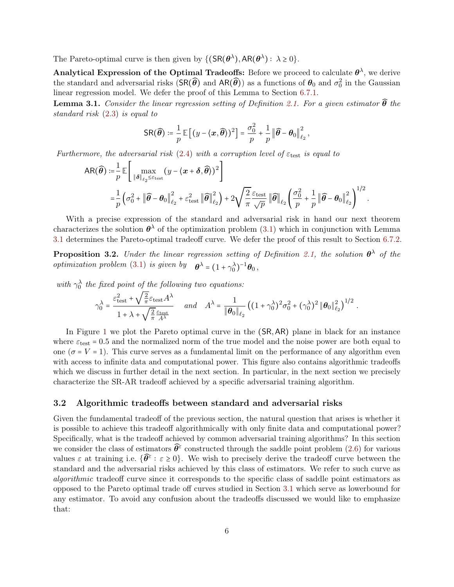The Pareto-optimal curve is then given by  $\{(\mathsf{SR}(\boldsymbol{\theta}^{\lambda}), \mathsf{AR}(\boldsymbol{\theta}^{\lambda}) : \lambda \geq 0\}.$ 

Analytical Expression of the Optimal Tradeoffs: Before we proceed to calculate  $\theta^{\lambda}$ , we derive the standard and adversarial risks  $(SR(\widehat{\theta})$  and  $AR(\widehat{\theta}))$  as a functions of  $\theta_0$  and  $\sigma_0^2$  in the Gaussian linear regression model. We defer the proof of this Lemma to Section [6.7.1.](#page-22-0)

<span id="page-5-1"></span>**Lemma 3.1.** Consider the linear regression setting of Definition [2.1.](#page-3-2) For a given estimator  $\widehat{\boldsymbol{\theta}}$  the standard risk [\(2.3\)](#page-3-0) is equal to

$$
\text{SR}(\widehat{\boldsymbol{\theta}}) \coloneqq \frac{1}{p} \mathbb{E}\left[ (y - \langle \boldsymbol{x}, \widehat{\boldsymbol{\theta}} \rangle)^2 \right] = \frac{\sigma_0^2}{p} + \frac{1}{p} \left\| \widehat{\boldsymbol{\theta}} - \boldsymbol{\theta}_0 \right\|_{\ell_2}^2
$$

,

.

Furthermore, the adversarial risk [\(2.4\)](#page-3-1) with a corruption level of  $\varepsilon_{\text{test}}$  is equal to

$$
\begin{split} \mathsf{AR}(\widehat{\boldsymbol{\theta}}) &:= \frac{1}{p} \mathbb{E} \left[ \max_{\|\boldsymbol{\delta}\|_{\ell_2} \leq \varepsilon_{\mathrm{test}}} (y - \langle \boldsymbol{x} + \boldsymbol{\delta}, \widehat{\boldsymbol{\theta}} \rangle)^2 \right] \\ &= \frac{1}{p} \left( \sigma_0^2 + \|\widehat{\boldsymbol{\theta}} - \boldsymbol{\theta}_0\|_{\ell_2}^2 + \varepsilon_{\mathrm{test}}^2 \|\widehat{\boldsymbol{\theta}}\|_{\ell_2}^2 \right) + 2 \sqrt{\frac{2}{\pi}} \frac{\varepsilon_{\mathrm{test}}}{\sqrt{p}} \|\widehat{\boldsymbol{\theta}}\|_{\ell_2} \left( \frac{\sigma_0^2}{p} + \frac{1}{p} \|\widehat{\boldsymbol{\theta}} - \boldsymbol{\theta}_0\|_{\ell_2}^2 \right)^{1/2} . \end{split}
$$

With a precise expression of the standard and adversarial risk in hand our next theorem characterizes the solution  $\theta^{\lambda}$  of the optimization problem [\(3.1\)](#page-4-1) which in conjunction with Lemma [3.1](#page-5-1) determines the Pareto-optimal tradeoff curve. We defer the proof of this result to Section [6.7.2.](#page-22-1)

<span id="page-5-2"></span>**Proposition 3.2.** Under the linear regression setting of Definition [2.1,](#page-3-2) the solution  $\theta^{\lambda}$  of the *optimization problem* [\(3.1\)](#page-4-1) *is given by*  $\boldsymbol{\theta}^{\lambda} = (1 + \gamma_0^{\lambda})^{-1} \boldsymbol{\theta}_0$ ,

with  $\gamma_0^{\lambda}$  the fixed point of the following two equations:<br> $\epsilon^2 + \sqrt{2} \epsilon_0 + 4\lambda$ 

$$
\gamma_0^{\lambda} = \frac{\varepsilon_{\text{test}}^2 + \sqrt{\frac{2}{\pi}} \varepsilon_{\text{test}} A^{\lambda}}{1 + \lambda + \sqrt{\frac{2}{\pi}} \frac{\varepsilon_{\text{test}} A^{\lambda}}{A^{\lambda}}} \quad \text{and} \quad A^{\lambda} = \frac{1}{\|\boldsymbol{\theta}_0\|_{\ell_2}} \left( (1 + \gamma_0^{\lambda})^2 \sigma_0^2 + (\gamma_0^{\lambda})^2 \|\boldsymbol{\theta}_0\|_{\ell_2}^2 \right)^{1/2}
$$

In Figure [1](#page-6-0) we plot the Pareto optimal curve in the (SR,AR) plane in black for an instance where  $\varepsilon_{\text{test}} = 0.5$  and the normalized norm of the true model and the noise power are both equal to one ( $\sigma = V = 1$ ). This curve serves as a fundamental limit on the performance of any algorithm even with access to infinite data and computational power. This figure also contains algorithmic tradeoffs which we discuss in further detail in the next section. In particular, in the next section we precisely characterize the SR-AR tradeoff achieved by a specific adversarial training algorithm.

#### <span id="page-5-0"></span>3.2 Algorithmic tradeoffs between standard and adversarial risks

Given the fundamental tradeoff of the previous section, the natural question that arises is whether it is possible to achieve this tradeoff algorithmically with only finite data and computational power? Specifically, what is the tradeoff achieved by common adversarial training algorithms? In this section we consider the class of estimators  $\widehat{\theta}^{\varepsilon}$  constructed through the saddle point problem [\(2.6\)](#page-3-3) for various values  $\varepsilon$  at training i.e.  $\{\hat{\theta}^{\varepsilon} : \varepsilon \geq 0\}$ . We wish to precisely derive the tradeoff curve between the standard and the adversarial risks achieved by this class of estimators. We refer to such curve as algorithmic tradeoff curve since it corresponds to the specific class of saddle point estimators as opposed to the Pareto optimal trade off curves studied in Section [3.1](#page-4-0) which serve as lowerbound for any estimator. To avoid any confusion about the tradeoffs discussed we would like to emphasize that: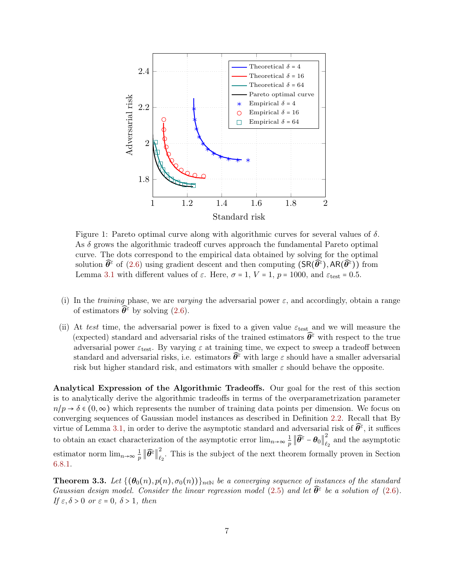<span id="page-6-0"></span>

Figure 1: Pareto optimal curve along with algorithmic curves for several values of  $\delta$ . As  $\delta$  grows the algorithmic tradeoff curves approach the fundamental Pareto optimal curve. The dots correspond to the empirical data obtained by solving for the optimal solution  $\widehat{\theta}^{\varepsilon}$  of [\(2.6\)](#page-3-3) using gradient descent and then computing  $(SR(\widehat{\theta}^{\varepsilon}), AR(\widehat{\theta}^{\varepsilon}))$  from Lemma [3.1](#page-5-1) with different values of  $\varepsilon$ . Here,  $\sigma = 1$ ,  $V = 1$ ,  $p = 1000$ , and  $\varepsilon$ <sub>test</sub> = 0.5.

- (i) In the training phase, we are varying the adversarial power  $\varepsilon$ , and accordingly, obtain a range of estimators  $\widehat{\theta}^{\varepsilon}$  by solving [\(2.6\)](#page-3-3).
- (ii) At test time, the adversarial power is fixed to a given value  $\varepsilon_{\text{test}}$  and we will measure the (expected) standard and adversarial risks of the trained estimators  $\hat{\theta}^{\varepsilon}$  with respect to the true adversarial power  $\varepsilon_{\text{test}}$ . By varying  $\varepsilon$  at training time, we expect to sweep a tradeoff between standard and adversarial risks, i.e. estimators  $\hat{\theta}^{\varepsilon}$  with large  $\varepsilon$  should have a smaller adversarial risk but higher standard risk, and estimators with smaller  $\varepsilon$  should behave the opposite.

Analytical Expression of the Algorithmic Tradeoffs. Our goal for the rest of this section is to analytically derive the algorithmic tradeoffs in terms of the overparametrization parameter  $n/p \to \delta \in (0,\infty)$  which represents the number of training data points per dimension. We focus on converging sequences of Gaussian model instances as described in Definition [2.2.](#page-3-4) Recall that By virtue of Lemma [3.1,](#page-5-1) in order to derive the asymptotic standard and adversarial risk of  $\widehat{\theta}^{\varepsilon}$ , it suffices to obtain an exact characterization of the asymptotic error  $\lim_{n\to\infty}\frac{1}{n}$  $\frac{1}{p}\left\|\widehat{\boldsymbol{\theta}^\varepsilon}-\boldsymbol{\theta}_0\right\|_{\ell^1}^2$  $\epsilon_2$  and the asymptotic estimator norm  $\lim_{n\to\infty}\frac{1}{n}$  $\frac{1}{p}\left\Vert \widehat{\boldsymbol{\theta}}^{\varepsilon}\right\Vert _{\ell_{\varepsilon}}^{2}$  $\tilde{e}_2$ . This is the subject of the next theorem formally proven in Section [6.8.1.](#page-23-0)

<span id="page-6-1"></span>**Theorem 3.3.** Let  $\{(\theta_0(n), p(n), \sigma_0(n))\}_{n\in\mathbb{N}}$  be a converging sequence of instances of the standard Gaussian design model. Consider the linear regression model [\(2.5\)](#page-3-5) and let  $\widehat{\theta}^{\varepsilon}$  be a solution of [\(2.6\)](#page-3-3). If  $\varepsilon$ ,  $\delta > 0$  or  $\varepsilon = 0$ ,  $\delta > 1$ , then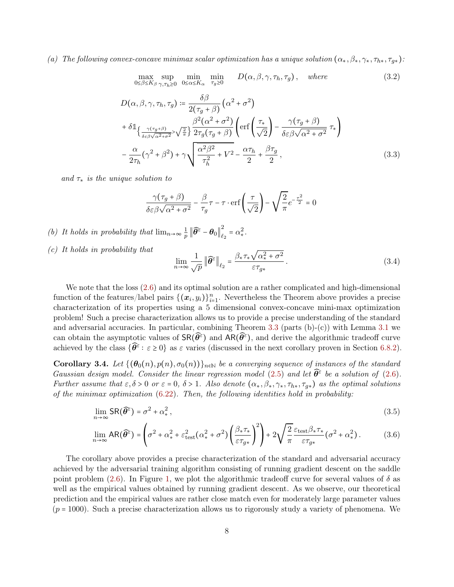## (a) The following convex-concave minimax scalar optimization has a unique solution  $(\alpha_*,\beta_*,\gamma_*,\tau_{h*},\tau_{q*})$ :

$$
\max_{0 \le \beta \le K_{\beta}} \sup_{\gamma, \tau_h \ge 0} \min_{0 \le \alpha \le K_{\alpha}} \min_{\tau_g \ge 0} D(\alpha, \beta, \gamma, \tau_h, \tau_g), \quad \text{where} \tag{3.2}
$$

$$
D(\alpha, \beta, \gamma, \tau_h, \tau_g) \coloneqq \frac{\delta \beta}{2(\tau_g + \beta)} (\alpha^2 + \sigma^2)
$$
  
+ 
$$
\delta \mathbb{1}_{\left\{\frac{\gamma(\tau_g + \beta)}{\delta \varepsilon \beta \sqrt{\alpha^2 + \sigma^2}} > \sqrt{\frac{2}{\pi}}\right\}} \frac{\beta^2(\alpha^2 + \sigma^2)}{2\tau_g(\tau_g + \beta)} \left( \text{erf}\left(\frac{\tau_*}{\sqrt{2}}\right) - \frac{\gamma(\tau_g + \beta)}{\delta \varepsilon \beta \sqrt{\alpha^2 + \sigma^2}} \tau_* \right)
$$
  
- 
$$
\frac{\alpha}{2\tau_h} (\gamma^2 + \beta^2) + \gamma \sqrt{\frac{\alpha^2 \beta^2}{\tau_h^2} + V^2} - \frac{\alpha \tau_h}{2} + \frac{\beta \tau_g}{2},
$$
(3.3)

and  $\tau_*$  is the unique solution to

$$
\frac{\gamma(\tau_g + \beta)}{\delta \varepsilon \beta \sqrt{\alpha^2 + \sigma^2}} - \frac{\beta}{\tau_g} \tau - \tau \cdot \text{erf}\left(\frac{\tau}{\sqrt{2}}\right) - \sqrt{\frac{2}{\pi}} e^{-\frac{\tau^2}{2}} = 0
$$

- (b) It holds in probability that  $\lim_{n\to\infty}\frac{1}{n}$  $\frac{1}{p}\left\|\widehat{\boldsymbol{\theta}^\varepsilon}-\boldsymbol{\theta}_0\right\|_{\ell^1}^2$  $\frac{2}{\ell_2} = \alpha_*^2$ .
- (c) It holds in probability that

$$
\lim_{n \to \infty} \frac{1}{\sqrt{p}} \left\| \widehat{\theta}^{\varepsilon} \right\|_{\ell_2} = \frac{\beta_* \tau_* \sqrt{\alpha_*^2 + \sigma^2}}{\varepsilon \tau_{g*}}.
$$
\n(3.4)

We note that the loss  $(2.6)$  and its optimal solution are a rather complicated and high-dimensional function of the features/label pairs  $\{(\bm{x}_i, y_i)\}_{i=1}^n$ . Nevertheless the Theorem above provides a precise characterization of its properties using a 5 dimensional convex-concave mini-max optimization problem! Such a precise characterization allows us to provide a precise understanding of the standard and adversarial accuracies. In particular, combining Theorem [3.3](#page-6-1) (parts  $(b)-(c)$ ) with Lemma [3.1](#page-5-1) we can obtain the asymptotic values of  $\text{SR}(\widehat{\theta}^{\varepsilon})$  and  $\text{AR}(\widehat{\theta}^{\varepsilon})$ , and derive the algorithmic tradeoff curve achieved by the class  $\{\widehat{\theta}^{\varepsilon} : \varepsilon \ge 0\}$  as  $\varepsilon$  varies (discussed in the next corollary proven in Section [6.8.2\)](#page-25-0).

<span id="page-7-0"></span>**Corollary 3.4.** Let  $\{(\theta_0(n), p(n), \sigma_0(n))\}_{n\in\mathbb{N}}$  be a converging sequence of instances of the standard Gaussian design model. Consider the linear regression model [\(2.5\)](#page-3-5) and let  $\widehat{\theta}^{\varepsilon}$  be a solution of [\(2.6\)](#page-3-3). Further assume that  $\varepsilon, \delta > 0$  or  $\varepsilon = 0, \delta > 1$ . Also denote  $(\alpha_*, \beta_*, \gamma_*, \tau_{h*}, \tau_{q*})$  as the optimal solutions of the minimax optimization  $(6.22)$ . Then, the following identities hold in probability:

$$
\lim_{n \to \infty} \text{SR}(\widehat{\theta}^{\varepsilon}) = \sigma^2 + \alpha_*^2, \tag{3.5}
$$

$$
\lim_{n \to \infty} AR(\widehat{\theta}^{\epsilon}) = \left(\sigma^{2} + \alpha_{*}^{2} + \varepsilon_{\text{test}}^{2}(\alpha_{*}^{2} + \sigma^{2})\left(\frac{\beta_{*}\tau_{*}}{\varepsilon\tau_{g*}}\right)^{2}\right) + 2\sqrt{\frac{2}{\pi}} \frac{\varepsilon_{\text{test}}\beta_{*}\tau_{*}}{\varepsilon\tau_{g*}}(\sigma^{2} + \alpha_{*}^{2}).
$$
\n(3.6)

The corollary above provides a precise characterization of the standard and adversarial accuracy achieved by the adversarial training algorithm consisting of running gradient descent on the saddle point problem [\(2.6\)](#page-3-3). In Figure [1,](#page-6-0) we plot the algorithmic tradeoff curve for several values of  $\delta$  as well as the empirical values obtained by running gradient descent. As we observe, our theoretical prediction and the empirical values are rather close match even for moderately large parameter values  $(p = 1000)$ . Such a precise characterization allows us to rigorously study a variety of phenomena. We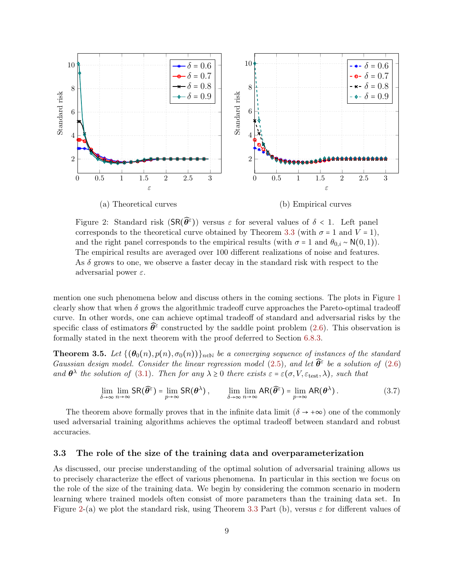<span id="page-8-1"></span>

Figure 2: Standard risk  $(SR(\hat{\theta}^{\varepsilon}))$  versus  $\varepsilon$  for several values of  $\delta < 1$ . Left panel corresponds to the theoretical curve obtained by Theorem [3.3](#page-6-1) (with  $\sigma = 1$  and  $V = 1$ ), and the right panel corresponds to the empirical results (with  $\sigma = 1$  and  $\theta_{0,i} \sim N(0,1)$ ). The empirical results are averaged over 100 different realizations of noise and features. As  $\delta$  grows to one, we observe a faster decay in the standard risk with respect to the adversarial power  $\varepsilon$ .

mention one such phenomena below and discuss others in the coming sections. The plots in Figure [1](#page-6-0) clearly show that when  $\delta$  grows the algorithmic tradeoff curve approaches the Pareto-optimal tradeoff curve. In other words, one can achieve optimal tradeoff of standard and adversarial risks by the specific class of estimators  $\widehat{\theta}^{\varepsilon}$  constructed by the saddle point problem [\(2.6\)](#page-3-3). This observation is formally stated in the next theorem with the proof deferred to Section [6.8.3.](#page-25-1)

<span id="page-8-2"></span>**Theorem 3.5.** Let  $\{(\theta_0(n), p(n), \sigma_0(n))\}_{n\in\mathbb{N}}$  be a converging sequence of instances of the standard Gaussian design model. Consider the linear regression model [\(2.5\)](#page-3-5), and let  $\widehat{\theta}^{\varepsilon}$  be a solution of [\(2.6\)](#page-3-3) and  $\theta^{\lambda}$  the solution of [\(3.1\)](#page-4-1). Then for any  $\lambda \geq 0$  there exists  $\varepsilon = \varepsilon(\sigma, V, \varepsilon_{\text{test}}, \lambda)$ , such that

$$
\lim_{\delta \to \infty} \lim_{n \to \infty} SR(\widehat{\theta}^{\varepsilon}) = \lim_{p \to \infty} SR(\theta^{\lambda}), \qquad \lim_{\delta \to \infty} \lim_{n \to \infty} AR(\widehat{\theta}^{\varepsilon}) = \lim_{p \to \infty} AR(\theta^{\lambda}). \tag{3.7}
$$

The theorem above formally proves that in the infinite data limit  $(\delta \rightarrow +\infty)$  one of the commonly used adversarial training algorithms achieves the optimal tradeoff between standard and robust accuracies.

#### <span id="page-8-0"></span>3.3 The role of the size of the training data and overparameterization

As discussed, our precise understanding of the optimal solution of adversarial training allows us to precisely characterize the effect of various phenomena. In particular in this section we focus on the role of the size of the training data. We begin by considering the common scenario in modern learning where trained models often consist of more parameters than the training data set. In Figure [2-](#page-8-1)(a) we plot the standard risk, using Theorem [3.3](#page-6-1) Part (b), versus  $\varepsilon$  for different values of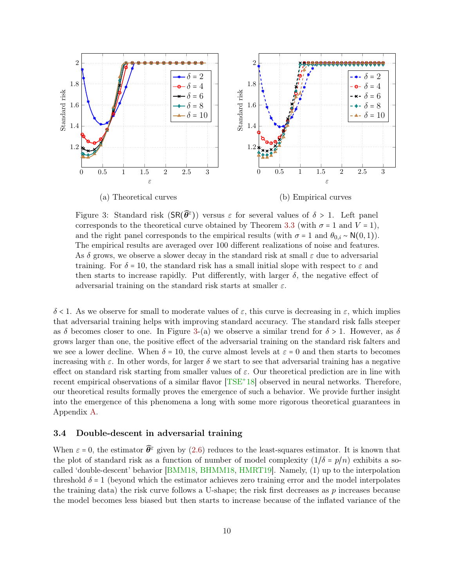<span id="page-9-2"></span><span id="page-9-1"></span>

Figure 3: Standard risk  $(SR(\hat{\theta}^{\varepsilon}))$  versus  $\varepsilon$  for several values of  $\delta > 1$ . Left panel corresponds to the theoretical curve obtained by Theorem [3.3](#page-6-1) (with  $\sigma = 1$  and  $V = 1$ ), and the right panel corresponds to the empirical results (with  $\sigma = 1$  and  $\theta_{0,i} \sim N(0,1)$ ). The empirical results are averaged over 100 different realizations of noise and features. As  $\delta$  grows, we observe a slower decay in the standard risk at small  $\varepsilon$  due to adversarial training. For  $\delta = 10$ , the standard risk has a small initial slope with respect to  $\varepsilon$  and then starts to increase rapidly. Put differently, with larger  $\delta$ , the negative effect of adversarial training on the standard risk starts at smaller  $\varepsilon$ .

δ < 1. As we observe for small to moderate values of ε, this curve is decreasing in ε, which implies that adversarial training helps with improving standard accuracy. The standard risk falls steeper as  $\delta$  becomes closer to one. In Figure [3-](#page-9-1)(a) we observe a similar trend for  $\delta > 1$ . However, as  $\delta$ grows larger than one, the positive effect of the adversarial training on the standard risk falters and we see a lower decline. When  $\delta = 10$ , the curve almost levels at  $\varepsilon = 0$  and then starts to becomes increasing with  $\varepsilon$ . In other words, for larger  $\delta$  we start to see that adversarial training has a negative effect on standard risk starting from smaller values of  $\varepsilon$ . Our theoretical prediction are in line with recent empirical observations of a similar flavor  $[TSE^+18]$  $[TSE^+18]$  observed in neural networks. Therefore, our theoretical results formally proves the emergence of such a behavior. We provide further insight into the emergence of this phenomena a long with some more rigorous theoretical guarantees in Appendix [A.](#page-31-6)

### <span id="page-9-0"></span>3.4 Double-descent in adversarial training

When  $\varepsilon = 0$ , the estimator  $\widehat{\theta}^{\varepsilon}$  given by [\(2.6\)](#page-3-3) reduces to the least-squares estimator. It is known that the plot of standard risk as a function of number of model complexity  $(1/\delta - p/n)$  exhibits a socalled 'double-descent' behavior [\[BMM18,](#page-29-4) [BHMM18,](#page-29-5) [HMRT19\]](#page-29-6). Namely, (1) up to the interpolation threshold  $\delta = 1$  (beyond which the estimator achieves zero training error and the model interpolates the training data) the risk curve follows a U-shape; the risk first decreases as  $p$  increases because the model becomes less biased but then starts to increase because of the inflated variance of the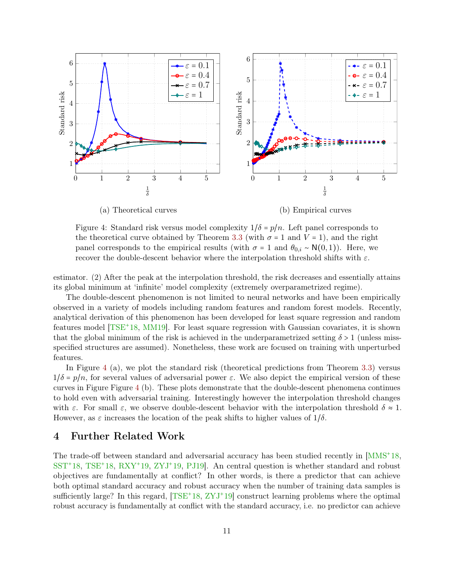<span id="page-10-2"></span><span id="page-10-1"></span>

Figure 4: Standard risk versus model complexity  $1/\delta = p/n$ . Left panel corresponds to the theoretical curve obtained by Theorem [3.3](#page-6-1) (with  $\sigma = 1$  and  $V = 1$ ), and the right panel corresponds to the empirical results (with  $\sigma = 1$  and  $\theta_{0,i} \sim N(0,1)$ ). Here, we recover the double-descent behavior where the interpolation threshold shifts with  $\varepsilon$ .

estimator. (2) After the peak at the interpolation threshold, the risk decreases and essentially attains its global minimum at 'infinite' model complexity (extremely overparametrized regime).

The double-descent phenomenon is not limited to neural networks and have been empirically observed in a variety of models including random features and random forest models. Recently, analytical derivation of this phenomenon has been developed for least square regression and random features model [\[TSE](#page-31-2)<sup>+</sup>18, [MM19\]](#page-30-4). For least square regression with Gaussian covariates, it is shown that the global minimum of the risk is achieved in the underparametrized setting  $\delta > 1$  (unless missspecified structures are assumed). Nonetheless, these work are focused on training with unperturbed features.

In Figure [4](#page-10-1) (a), we plot the standard risk (theoretical predictions from Theorem [3.3\)](#page-6-1) versus  $1/\delta = p/n$ , for several values of adversarial power  $\varepsilon$ . We also depict the empirical version of these curves in Figure Figure [4](#page-10-1) (b). These plots demonstrate that the double-descent phenomena continues to hold even with adversarial training. Interestingly however the interpolation threshold changes with  $\varepsilon$ . For small  $\varepsilon$ , we observe double-descent behavior with the interpolation threshold  $\delta \approx 1$ . However, as  $\varepsilon$  increases the location of the peak shifts to higher values of  $1/\delta$ .

## <span id="page-10-0"></span>4 Further Related Work

The trade-off between standard and adversarial accuracy has been studied recently in [\[MMS](#page-30-0)<sup>+</sup>18, [SST](#page-31-7)<sup>+</sup>18, [TSE](#page-31-2)<sup>+</sup>18, [RXY](#page-30-2)<sup>+</sup>19, [ZYJ](#page-31-3)<sup>+</sup>19, [PJ19\]](#page-30-5). An central question is whether standard and robust objectives are fundamentally at conflict? In other words, is there a predictor that can achieve both optimal standard accuracy and robust accuracy when the number of training data samples is sufficiently large? In this regard,  $[TSE^+18, ZYJ^+19]$  $[TSE^+18, ZYJ^+19]$  $[TSE^+18, ZYJ^+19]$  $[TSE^+18, ZYJ^+19]$  construct learning problems where the optimal robust accuracy is fundamentally at conflict with the standard accuracy, i.e. no predictor can achieve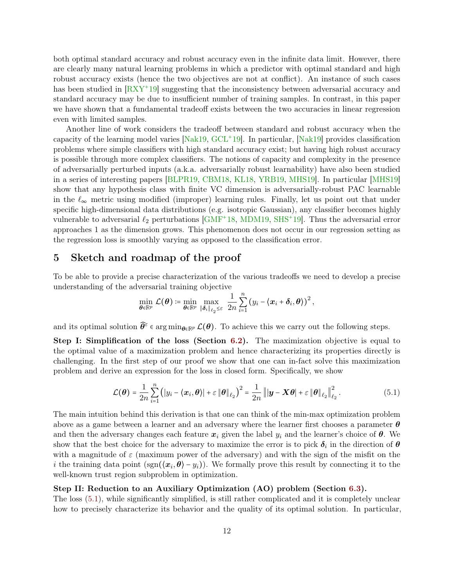<span id="page-11-1"></span>both optimal standard accuracy and robust accuracy even in the infinite data limit. However, there are clearly many natural learning problems in which a predictor with optimal standard and high robust accuracy exists (hence the two objectives are not at conflict). An instance of such cases has been studied in [\[RXY](#page-30-2)<sup>+</sup>19] suggesting that the inconsistency between adversarial accuracy and standard accuracy may be due to insufficient number of training samples. In contrast, in this paper we have shown that a fundamental tradeoff exists between the two accuracies in linear regression even with limited samples.

Another line of work considers the tradeoff between standard and robust accuracy when the capacity of the learning model varies [\[Nak19,](#page-30-6) [GCL](#page-29-7)<sup>+</sup>19]. In particular, [\[Nak19\]](#page-30-6) provides classification problems where simple classifiers with high standard accuracy exist; but having high robust accuracy is possible through more complex classifiers. The notions of capacity and complexity in the presence of adversarially perturbed inputs (a.k.a. adversarially robust learnability) have also been studied in a series of interesting papers [\[BLPR19,](#page-29-8) [CBM18,](#page-29-9) [KL18,](#page-29-10) [YRB19,](#page-31-8) [MHS19\]](#page-30-7). In particular [\[MHS19\]](#page-30-7) show that any hypothesis class with finite VC dimension is adversarially-robust PAC learnable in the  $\ell_{\infty}$  metric using modified (improper) learning rules. Finally, let us point out that under specific high-dimensional data distributions (e.g. isotropic Gaussian), any classifier becomes highly vulnerable to adversarial  $\ell_2$  perturbations [\[GMF](#page-29-11)<sup>+</sup>18, [MDM19,](#page-30-8) [SHS](#page-31-9)<sup>+</sup>19]. Thus the adversarial error approaches 1 as the dimension grows. This phenomenon does not occur in our regression setting as the regression loss is smoothly varying as opposed to the classification error.

# 5 Sketch and roadmap of the proof

To be able to provide a precise characterization of the various tradeoffs we need to develop a precise understanding of the adversarial training objective

<span id="page-11-0"></span>
$$
\min_{\boldsymbol{\theta}\in\mathbb{R}^p}\mathcal{L}(\boldsymbol{\theta})\coloneqq\min_{\boldsymbol{\theta}\in\mathbb{R}^p}\max_{\|\boldsymbol{\delta}_i\|_{\ell_2}\leq\varepsilon}\ \frac{1}{2n}\sum_{i=1}^n\left(y_i-\langle\boldsymbol{x}_i+\boldsymbol{\delta}_i,\boldsymbol{\theta}\rangle\right)^2,
$$

and its optimal solution  $\widehat{\theta}^{\varepsilon} \in \arg\min_{\theta \in \mathbb{R}^p} \mathcal{L}(\theta)$ . To achieve this we carry out the following steps.

Step I: Simplification of the loss (Section [6.2\)](#page-13-1). The maximization objective is equal to the optimal value of a maximization problem and hence characterizing its properties directly is challenging. In the first step of our proof we show that one can in-fact solve this maximization problem and derive an expression for the loss in closed form. Specifically, we show

$$
\mathcal{L}(\boldsymbol{\theta}) = \frac{1}{2n} \sum_{i=1}^{n} (|y_i - \langle \boldsymbol{x}_i, \boldsymbol{\theta} \rangle| + \varepsilon \|\boldsymbol{\theta}\|_{\ell_2})^2 = \frac{1}{2n} ||\boldsymbol{y} - \boldsymbol{X}\boldsymbol{\theta}| + \varepsilon \|\boldsymbol{\theta}\|_{\ell_2}||_{\ell_2}^2.
$$
 (5.1)

The main intuition behind this derivation is that one can think of the min-max optimization problem above as a game between a learner and an adversary where the learner first chooses a parameter  $\theta$ and then the adversary changes each feature  $x_i$  given the label  $y_i$  and the learner's choice of  $\theta$ . We show that the best choice for the adversary to maximize the error is to pick  $\delta_i$  in the direction of  $\theta$ with a magnitude of  $\varepsilon$  (maximum power of the adversary) and with the sign of the misfit on the i the training data point  $(\text{sgn}(\langle x_i, \theta \rangle - y_i))$ . We formally prove this result by connecting it to the well-known trust region subproblem in optimization.

#### Step II: Reduction to an Auxiliary Optimization (AO) problem (Section [6.3\)](#page-14-0).

The loss [\(5.1\)](#page-11-0), while significantly simplified, is still rather complicated and it is completely unclear how to precisely characterize its behavior and the quality of its optimal solution. In particular,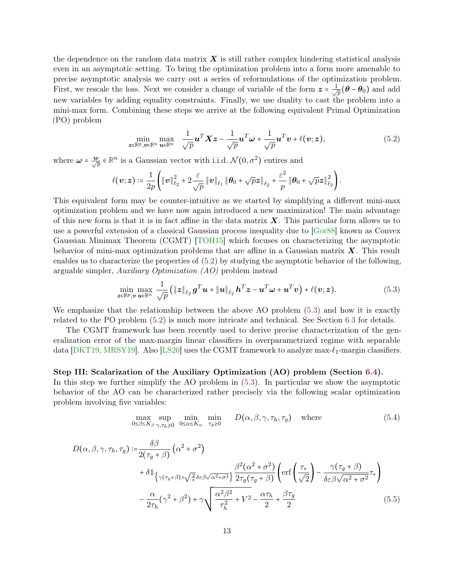<span id="page-12-3"></span>the dependence on the random data matrix  $\boldsymbol{X}$  is still rather complex hindering statistical analysis even in an asymptotic setting. To bring the optimization problem into a form more amenable to precise asymptotic analysis we carry out a series of reformulations of the optimization problem. First, we rescale the loss. Next we consider a change of variable of the form  $z = \frac{1}{\sqrt{2}}$  $_{\overline{p}}(\boldsymbol{\theta}-\boldsymbol{\theta}_0)$  and add new variables by adding equality constraints. Finally, we use duality to cast the problem into a mini-max form. Combining these steps we arrive at the following equivalent Primal Optimization (PO) problem

<span id="page-12-0"></span>
$$
\min_{\mathbf{z}\in\mathbb{R}^p,\mathbf{v}\in\mathbb{R}^n}\max_{\mathbf{u}\in\mathbb{R}^n}\frac{1}{\sqrt{p}}\mathbf{u}^T\mathbf{X}\mathbf{z}-\frac{1}{\sqrt{p}}\mathbf{u}^T\boldsymbol{\omega}+\frac{1}{\sqrt{p}}\mathbf{u}^T\mathbf{v}+\ell(\mathbf{v};\mathbf{z}),
$$
\n(5.2)

where  $\omega = \frac{w}{\sqrt{p}} \in \mathbb{R}^n$  is a Gaussian vector with i.i.d.  $\mathcal{N}(0, \sigma^2)$  entires and

$$
\ell(\boldsymbol{v};\boldsymbol{z})\coloneqq\frac{1}{2p}\left(\left\|\boldsymbol{v}\right\|_{\ell_2}^2+2\frac{\varepsilon}{\sqrt{p}}\left\|\boldsymbol{v}\right\|_{\ell_1}\left\|\boldsymbol{\theta}_0+\sqrt{p}\boldsymbol{z}\right\|_{\ell_2}+\frac{\varepsilon^2}{p}\left\|\boldsymbol{\theta}_0+\sqrt{p}\boldsymbol{z}\right\|_{\ell_2}^2\right).
$$

This equivalent form may be counter-intuitive as we started by simplifying a different mini-max optimization problem and we have now again introduced a new maximization! The main advantage of this new form is that it is in fact affine in the data matrix  $\boldsymbol{X}$ . This particular form allows us to use a powerful extension of a classical Gaussian process inequality due to [\[Gor88\]](#page-29-2) known as Convex Gaussian Minimax Theorem (CGMT) [\[TOH15\]](#page-31-4) which focuses on characterizing the asymptotic behavior of mini-max optimization problems that are affine in a Gaussian matrix  $\boldsymbol{X}$ . This result enables us to characterize the properties of [\(5.2\)](#page-12-0) by studying the asymptotic behavior of the following, arguable simpler, Auxiliary Optimization (AO) problem instead

<span id="page-12-1"></span>
$$
\min_{\boldsymbol{z}\in\mathbb{R}^p,\boldsymbol{v}}\max_{\boldsymbol{u}\in\mathbb{R}^n}\frac{1}{\sqrt{p}}\left(\|\boldsymbol{z}\|_{\ell_2}\boldsymbol{g}^T\boldsymbol{u}+\|\boldsymbol{u}\|_{\ell_2}\boldsymbol{h}^T\boldsymbol{z}-\boldsymbol{u}^T\boldsymbol{\omega}+\boldsymbol{u}^T\boldsymbol{v}\right)+\ell(\boldsymbol{v};\boldsymbol{z}).
$$
\n(5.3)

We emphasize that the relationship between the above AO problem [\(5.3\)](#page-12-1) and how it is exactly related to the PO problem [\(5.2\)](#page-12-0) is much more intricate and technical. See Section [6.3](#page-14-0) for details.

The CGMT framework has been recently used to derive precise characterization of the generalization error of the max-margin linear classifiers in overparametrized regime with separable data [\[DKT19,](#page-29-3) [MRSY19\]](#page-30-9). Also [\[LS20\]](#page-30-10) uses the CGMT framework to analyze max- $\ell_1$ -margin classifiers.

#### Step III: Scalarization of the Auxiliary Optimization (AO) problem (Section [6.4\)](#page-16-0).

In this step we further simplify the AO problem in [\(5.3\)](#page-12-1). In particular we show the asymptotic behavior of the AO can be characterized rather precisely via the following scalar optimization problem involving five variables:

<span id="page-12-2"></span>
$$
\max_{0 \le \beta \le K_{\beta}} \sup_{\gamma, \tau_h \ge 0} \min_{0 \le \alpha \le K_{\alpha}} \min_{\tau_g \ge 0} D(\alpha, \beta, \gamma, \tau_h, \tau_g) \quad \text{where} \tag{5.4}
$$

$$
D(\alpha, \beta, \gamma, \tau_h, \tau_g) := \frac{\delta \beta}{2(\tau_g + \beta)} \left( \alpha^2 + \sigma^2 \right)
$$
  
+  $\delta \mathbb{1}_{\left\{ \gamma(\tau_g + \beta) > \sqrt{\frac{2}{\pi}} \delta \varepsilon \beta \sqrt{\alpha^2 + \sigma^2} \right\}} \frac{\beta^2(\alpha^2 + \sigma^2)}{2\tau_g(\tau_g + \beta)} \left( \text{erf} \left( \frac{\tau_\star}{\sqrt{2}} \right) - \frac{\gamma(\tau_g + \beta)}{\delta \varepsilon \beta \sqrt{\alpha^2 + \sigma^2}} \tau_\star \right)$   
-  $\frac{\alpha}{2\tau_h} (\gamma^2 + \beta^2) + \gamma \sqrt{\frac{\alpha^2 \beta^2}{\tau_h^2} + V^2} - \frac{\alpha \tau_h}{2} + \frac{\beta \tau_g}{2}$  (5.5)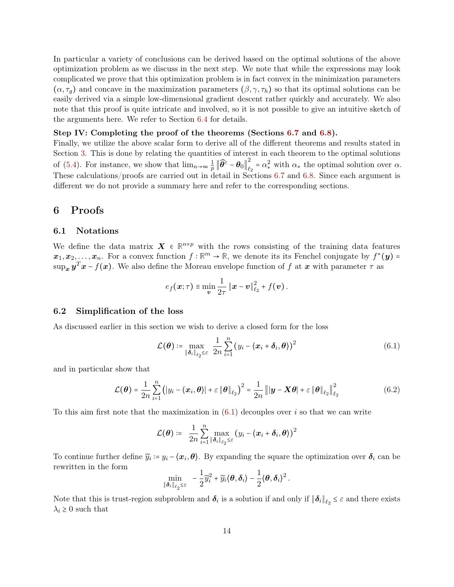In particular a variety of conclusions can be derived based on the optimal solutions of the above optimization problem as we discuss in the next step. We note that while the expressions may look complicated we prove that this optimization problem is in fact convex in the minimization parameters  $(\alpha, \tau_q)$  and concave in the maximization parameters  $(\beta, \gamma, \tau_h)$  so that its optimal solutions can be easily derived via a simple low-dimensional gradient descent rather quickly and accurately. We also note that this proof is quite intricate and involved, so it is not possible to give an intuitive sketch of the arguments here. We refer to Section [6.4](#page-16-0) for details.

#### Step IV: Completing the proof of the theorems (Sections [6.7](#page-21-1) and [6.8\)](#page-23-1).

Finally, we utilize the above scalar form to derive all of the different theorems and results stated in Section [3.](#page-4-2) This is done by relating the quantities of interest in each theorem to the optimal solutions of [\(5.4\)](#page-12-2). For instance, we show that  $\lim_{n\to\infty}\frac{1}{n}$  $\frac{1}{p}\left\|\widehat{\boldsymbol{\theta}^\varepsilon}-\boldsymbol{\theta}_0\right\|_{\ell_2}^2$  $\ell_2^2 = \alpha_*^2$  with  $\alpha_*$  the optimal solution over  $\alpha$ . These calculations/proofs are carried out in detail in Sections [6.7](#page-21-1) and [6.8.](#page-23-1) Since each argument is different we do not provide a summary here and refer to the corresponding sections.

## <span id="page-13-0"></span>6 Proofs

#### 6.1 Notations

We define the data matrix  $\boldsymbol{X} \in \mathbb{R}^{n \times p}$  with the rows consisting of the training data features  $x_1, x_2, \ldots, x_n$ . For a convex function  $f : \mathbb{R}^m \to \mathbb{R}$ , we denote its its Fenchel conjugate by  $f^*(y) =$  $\sup_{\bm{x}} \bm{y}^T \bm{x} - f(\bm{x})$ . We also define the Moreau envelope function of f at  $\bm{x}$  with parameter  $\tau$  as

<span id="page-13-2"></span>
$$
e_f(\boldsymbol{x};\tau) \equiv \min_{\boldsymbol{v}} \frac{1}{2\tau} \left\| \boldsymbol{x} - \boldsymbol{v} \right\|_{\ell_2}^2 + f(\boldsymbol{v}).
$$

#### <span id="page-13-1"></span>6.2 Simplification of the loss

As discussed earlier in this section we wish to derive a closed form for the loss

<span id="page-13-3"></span>
$$
\mathcal{L}(\boldsymbol{\theta}) \coloneqq \max_{\|\boldsymbol{\delta}_i\|_{\ell_2} \leq \varepsilon} \frac{1}{2n} \sum_{i=1}^n (y_i - \langle \boldsymbol{x}_i + \boldsymbol{\delta}_i, \boldsymbol{\theta} \rangle)^2 \tag{6.1}
$$

and in particular show that

$$
\mathcal{L}(\boldsymbol{\theta}) = \frac{1}{2n} \sum_{i=1}^{n} (|y_i - \langle \boldsymbol{x}_i, \boldsymbol{\theta} \rangle| + \varepsilon \|\boldsymbol{\theta}\|_{\ell_2})^2 = \frac{1}{2n} ||\boldsymbol{y} - \boldsymbol{X}\boldsymbol{\theta}| + \varepsilon \|\boldsymbol{\theta}\|_{\ell_2}||_{\ell_2}^2
$$
(6.2)

To this aim first note that the maximization in  $(6.1)$  decouples over i so that we can write

$$
\mathcal{L}(\boldsymbol{\theta}) \coloneqq \ \frac{1}{2n} \sum_{i=1}^n \max_{\|\boldsymbol{\delta}_i\|_{\ell_2} \leq \varepsilon} \left(y_i - \langle \boldsymbol{x}_i + \boldsymbol{\delta}_i, \boldsymbol{\theta}\rangle\right)^2
$$

To continue further define  $\widetilde{y}_i = y_i - \langle x_i, \theta \rangle$ . By expanding the square the optimization over  $\delta_i$  can be rewritten in the form

$$
\min_{\|\boldsymbol{\delta}_i\|_{\ell_2} \leq \varepsilon} \quad -\frac{1}{2} \widetilde{y}_i^2 + \widetilde{y}_i \langle \boldsymbol{\theta}, \boldsymbol{\delta}_i \rangle - \frac{1}{2} \langle \boldsymbol{\theta}, \boldsymbol{\delta}_i \rangle^2 \,.
$$

Note that this is trust-region subproblem and  $\delta_i$  is a solution if and only if  $\|\delta_i\|_{\ell_2} \leq \varepsilon$  and there exists  $\lambda_i \geq 0$  such that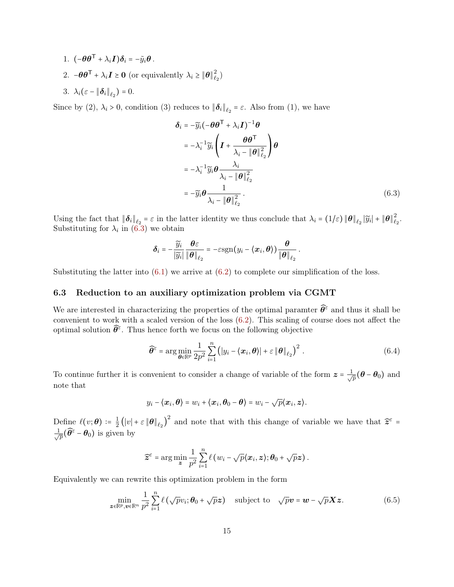- 1.  $(-\theta \theta^{\mathsf{T}} + \lambda_i \mathbf{I}) \delta_i = -\tilde{y}_i \theta$ .
- 2.  $-\theta \theta^{\mathsf{T}} + \lambda_i \mathbf{I} \geq 0$  (or equivalently  $\lambda_i \geq \|\theta\|_{\ell}^2$  $\begin{pmatrix} 2 \\ \ell_2 \end{pmatrix}$
- 3.  $\lambda_i(\varepsilon \|\boldsymbol{\delta}_i\|_{\ell_2}) = 0.$

Since by (2),  $\lambda_i > 0$ , condition (3) reduces to  $\|\boldsymbol{\delta}_i\|_{\ell_2} = \varepsilon$ . Also from (1), we have

<span id="page-14-1"></span>
$$
\delta_{i} = -\widetilde{y}_{i}(-\theta \theta^{\top} + \lambda_{i} \mathbf{I})^{-1} \theta
$$
\n
$$
= -\lambda_{i}^{-1} \widetilde{y}_{i} \left( \mathbf{I} + \frac{\theta \theta^{\top}}{\lambda_{i} - \|\theta\|_{\ell_{2}}^{2}} \right) \theta
$$
\n
$$
= -\lambda_{i}^{-1} \widetilde{y}_{i} \theta \frac{\lambda_{i}}{\lambda_{i} - \|\theta\|_{\ell_{2}}^{2}}
$$
\n
$$
= -\widetilde{y}_{i} \theta \frac{1}{\lambda_{i} - \|\theta\|_{\ell_{2}}^{2}}.
$$
\n(6.3)

Using the fact that  $\|\boldsymbol{\delta}_i\|_{\ell_2} = \varepsilon$  in the latter identity we thus conclude that  $\lambda_i = (1/\varepsilon) \|\boldsymbol{\theta}\|_{\ell_2} |\widetilde{y}_i| + \|\boldsymbol{\theta}\|_{\ell_2}^2$  $_{\ell_2}^{\prime}.$ Substituting for  $\lambda_i$  in [\(6.3\)](#page-14-1) we obtain

$$
\boldsymbol{\delta}_i = -\frac{\widetilde{y}_i}{|\widetilde{y}_i|} \frac{\boldsymbol{\theta}\varepsilon}{\|\boldsymbol{\theta}\|_{\ell_2}} = -\varepsilon \mathrm{sgn}(y_i - \langle \boldsymbol{x}_i, \boldsymbol{\theta} \rangle) \frac{\boldsymbol{\theta}}{\|\boldsymbol{\theta}\|_{\ell_2}}.
$$

<span id="page-14-0"></span>Substituting the latter into  $(6.1)$  we arrive at  $(6.2)$  to complete our simplification of the loss.

## 6.3 Reduction to an auxiliary optimization problem via CGMT

We are interested in characterizing the properties of the optimal paramter  $\widehat{\theta}^{\varepsilon}$  and thus it shall be convenient to work with a scaled version of the loss [\(6.2\)](#page-13-3). This scaling of course does not affect the optimal solution  $\widehat{\theta}^{\varepsilon}$ . Thus hence forth we focus on the following objective

$$
\widehat{\boldsymbol{\theta}}^{\varepsilon} = \arg\min_{\boldsymbol{\theta}\in\mathbb{R}^p} \frac{1}{2p^2} \sum_{i=1}^n \left( |y_i - \langle \boldsymbol{x}_i, \boldsymbol{\theta} \rangle| + \varepsilon \left\| \boldsymbol{\theta} \right\|_{\ell_2} \right)^2.
$$
 (6.4)

To continue further it is convenient to consider a change of variable of the form  $z = \frac{1}{\sqrt{2}}$  $_{\overline{\overline{p}}}(\pmb{\theta}-\pmb{\theta}_0)$  and note that

$$
y_i - \langle x_i, \boldsymbol{\theta} \rangle = w_i + \langle x_i, \boldsymbol{\theta}_0 - \boldsymbol{\theta} \rangle = w_i - \sqrt{p} \langle x_i, z \rangle.
$$

Define  $\ell(v; \theta) \coloneqq \frac{1}{2}$  $\frac{1}{2}(|v|+\varepsilon \|\theta\|_{\ell_2})^2$  and note that with this change of variable we have that  $\hat{z}^{\varepsilon}$  =  $\frac{1}{\sqrt{2}}$  $\frac{1}{\overline{p}}(\widehat{\theta}^\varepsilon - \theta_0)$  is given by

$$
\widehat{\boldsymbol{z}}^{\varepsilon} = \arg\min_{\boldsymbol{z}} \frac{1}{p^2} \sum_{i=1}^n \ell(w_i - \sqrt{p} \langle \boldsymbol{x}_i, \boldsymbol{z} \rangle; \boldsymbol{\theta}_0 + \sqrt{p} \boldsymbol{z}).
$$

Equivalently we can rewrite this optimization problem in the form

$$
\min_{\mathbf{z}\in\mathbb{R}^p,\mathbf{v}\in\mathbb{R}^n}\frac{1}{p^2}\sum_{i=1}^n\ell\left(\sqrt{p}v_i;\boldsymbol{\theta}_0+\sqrt{p}\mathbf{z}\right)\quad\text{subject to}\quad\sqrt{p}\mathbf{v}=\mathbf{w}-\sqrt{p}\mathbf{X}\mathbf{z}.\tag{6.5}
$$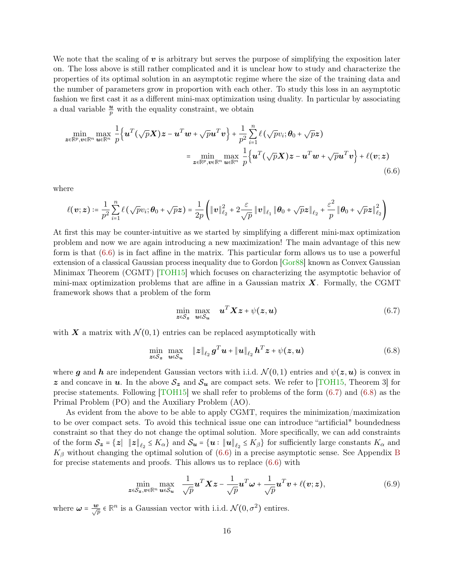<span id="page-15-3"></span>We note that the scaling of  $v$  is arbitrary but serves the purpose of simplifying the exposition later on. The loss above is still rather complicated and it is unclear how to study and characterize the properties of its optimal solution in an asymptotic regime where the size of the training data and the number of parameters grow in proportion with each other. To study this loss in an asymptotic fashion we first cast it as a different mini-max optimization using duality. In particular by associating a dual variable  $\frac{u}{p}$  with the equality constraint, we obtain

$$
\min_{\mathbf{z} \in \mathbb{R}^p, \mathbf{v} \in \mathbb{R}^n} \max_{\mathbf{u} \in \mathbb{R}^n} \frac{1}{p} \Big\{ \mathbf{u}^T (\sqrt{p} \mathbf{X}) \mathbf{z} - \mathbf{u}^T \mathbf{w} + \sqrt{p} \mathbf{u}^T \mathbf{v} \Big\} + \frac{1}{p^2} \sum_{i=1}^n \ell (\sqrt{p} v_i; \boldsymbol{\theta}_0 + \sqrt{p} \mathbf{z})
$$
\n
$$
= \min_{\mathbf{z} \in \mathbb{R}^p, \mathbf{v} \in \mathbb{R}^n} \max_{\mathbf{u} \in \mathbb{R}^n} \frac{1}{p} \Big\{ \mathbf{u}^T (\sqrt{p} \mathbf{X}) \mathbf{z} - \mathbf{u}^T \mathbf{w} + \sqrt{p} \mathbf{u}^T \mathbf{v} \Big\} + \ell(\mathbf{v}; \mathbf{z})
$$
\n(6.6)

where

$$
\ell(\boldsymbol{v};\boldsymbol{z})\coloneqq\frac{1}{p^2}\sum_{i=1}^n\ell\left(\sqrt{p}v_i;\boldsymbol{\theta}_0+\sqrt{p}\boldsymbol{z}\right)=\frac{1}{2p}\left(\left\|\boldsymbol{v}\right\|_{\ell_2}^2+2\frac{\varepsilon}{\sqrt{p}}\left\|\boldsymbol{v}\right\|_{\ell_1}\left\|\boldsymbol{\theta}_0+\sqrt{p}\boldsymbol{z}\right\|_{\ell_2}+\frac{\varepsilon^2}{p}\left\|\boldsymbol{\theta}_0+\sqrt{p}\boldsymbol{z}\right\|_{\ell_2}^2\right)
$$

At first this may be counter-intuitive as we started by simplifying a different mini-max optimization problem and now we are again introducing a new maximization! The main advantage of this new form is that [\(6.6\)](#page-15-0) is in fact affine in the matrix. This particular form allows us to use a powerful extension of a classical Gaussian process inequality due to Gordon [\[Gor88\]](#page-29-2) known as Convex Gaussian Minimax Theorem (CGMT) [\[TOH15\]](#page-31-4) which focuses on characterizing the asymptotic behavior of mini-max optimization problems that are affine in a Gaussian matrix  $\boldsymbol{X}$ . Formally, the CGMT framework shows that a problem of the form

<span id="page-15-2"></span><span id="page-15-1"></span><span id="page-15-0"></span>
$$
\min_{\mathbf{z}\in\mathcal{S}_{\mathbf{z}}}\max_{\mathbf{u}\in\mathcal{S}_{\mathbf{u}}}\mathbf{u}^T\mathbf{X}\mathbf{z}+\psi(\mathbf{z},\mathbf{u})
$$
\n(6.7)

with X a matrix with  $\mathcal{N}(0,1)$  entries can be replaced asymptotically with

$$
\min_{\mathbf{z}\in\mathcal{S}_{\mathbf{z}}}\max_{\mathbf{u}\in\mathcal{S}_{\mathbf{u}}}\|\mathbf{z}\|_{\ell_2}\boldsymbol{g}^T\boldsymbol{u}+\|\mathbf{u}\|_{\ell_2}\boldsymbol{h}^T\mathbf{z}+\psi(\mathbf{z},\mathbf{u})
$$
\n(6.8)

where g and h are independent Gaussian vectors with i.i.d.  $\mathcal{N}(0,1)$  entries and  $\psi(z,u)$  is convex in z and concave in u. In the above  $S_z$  and  $S_u$  are compact sets. We refer to [\[TOH15,](#page-31-4) Theorem 3] for precise statements. Following [\[TOH15\]](#page-31-4) we shall refer to problems of the form [\(6.7\)](#page-15-1) and [\(6.8\)](#page-15-2) as the Primal Problem (PO) and the Auxiliary Problem (AO).

As evident from the above to be able to apply CGMT, requires the minimization/maximization to be over compact sets. To avoid this technical issue one can introduce "artificial" boundedness constraint so that they do not change the optimal solution. More specifically, we can add constraints of the form  $\mathcal{S}_z = \{z \mid ||z||_{\ell_2} \le K_\alpha\}$  and  $\mathcal{S}_u = \{u : ||u||_{\ell_2} \le K_\beta\}$  for sufficiently large constants  $K_\alpha$  and  $K_{\beta}$  without changing the optimal solution of [\(6.6\)](#page-15-0) in a precise asymptotic sense. See Appendix [B](#page-36-0) for precise statements and proofs. This allows us to replace  $(6.6)$  with

$$
\min_{\boldsymbol{z}\in\mathcal{S}_{\boldsymbol{z}},\boldsymbol{v}\in\mathbb{R}^n}\max_{\boldsymbol{u}\in\mathcal{S}_{\boldsymbol{u}}}\ \frac{1}{\sqrt{p}}\boldsymbol{u}^T\boldsymbol{X}\boldsymbol{z}-\frac{1}{\sqrt{p}}\boldsymbol{u}^T\boldsymbol{\omega}+\frac{1}{\sqrt{p}}\boldsymbol{u}^T\boldsymbol{v}+\ell(\boldsymbol{v};\boldsymbol{z}),
$$
\n(6.9)

where  $\boldsymbol{\omega} = \frac{\boldsymbol{w}}{\sqrt{p}} \in \mathbb{R}^n$  is a Gaussian vector with i.i.d.  $\mathcal{N}(0, \sigma^2)$  entires.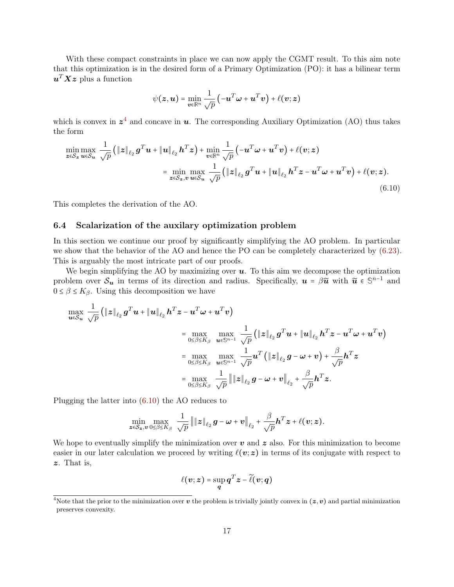With these compact constraints in place we can now apply the CGMT result. To this aim note that this optimization is in the desired form of a Primary Optimization (PO): it has a bilinear term  $\boldsymbol{u}^T \boldsymbol{X} \boldsymbol{z}$  plus a function

<span id="page-16-1"></span>
$$
\psi(\boldsymbol{z}, \boldsymbol{u}) = \min_{\boldsymbol{v} \in \mathbb{R}^n} \frac{1}{\sqrt{p}} \left( -\boldsymbol{u}^T \boldsymbol{\omega} + \boldsymbol{u}^T \boldsymbol{v} \right) + \ell(\boldsymbol{v}; \boldsymbol{z})
$$

which is convex in  $z^4$  $z^4$  and concave in  $u$ . The corresponding Auxiliary Optimization (AO) thus takes the form

$$
\min_{\mathbf{z}\in\mathcal{S}_{\mathbf{z}}}\max_{\mathbf{u}\in\mathcal{S}_{\mathbf{u}}}\frac{1}{\sqrt{p}}\left(\left\|\mathbf{z}\right\|_{\ell_{2}}\mathbf{g}^{T}\mathbf{u}+\left\|\mathbf{u}\right\|_{\ell_{2}}\mathbf{h}^{T}\mathbf{z}\right)+\min_{\mathbf{v}\in\mathbb{R}^{n}}\frac{1}{\sqrt{p}}\left(-\mathbf{u}^{T}\boldsymbol{\omega}+\mathbf{u}^{T}\mathbf{v}\right)+\ell(\mathbf{v};\mathbf{z})
$$
\n
$$
=\min_{\mathbf{z}\in\mathcal{S}_{\mathbf{z}},\mathbf{v}}\max_{\mathbf{u}\in\mathcal{S}_{\mathbf{u}}}\frac{1}{\sqrt{p}}\left(\left\|\mathbf{z}\right\|_{\ell_{2}}\mathbf{g}^{T}\mathbf{u}+\left\|\mathbf{u}\right\|_{\ell_{2}}\mathbf{h}^{T}\mathbf{z}-\mathbf{u}^{T}\boldsymbol{\omega}+\mathbf{u}^{T}\mathbf{v}\right)+\ell(\mathbf{v};\mathbf{z}).
$$
\n(6.10)

<span id="page-16-0"></span>This completes the derivation of the AO.

#### 6.4 Scalarization of the auxilary optimization problem

In this section we continue our proof by significantly simplifying the AO problem. In particular we show that the behavior of the AO and hence the PO can be completely characterized by [\(6.23\)](#page-21-2). This is arguably the most intricate part of our proofs.

We begin simplifying the AO by maximizing over  $u$ . To this aim we decompose the optimization problem over  $\mathcal{S}_u$  in terms of its direction and radius. Specifically,  $u = \beta \tilde{u}$  with  $\tilde{u} \in \mathbb{S}^{n-1}$  and  $0 \leq \beta \leq K_{\beta}$ . Using this decomposition we have

$$
\max_{\mathbf{u}\in\mathcal{S}_{\mathbf{u}}}\frac{1}{\sqrt{p}}\left(\|\mathbf{z}\|_{\ell_{2}}\mathbf{g}^{T}\mathbf{u}+\|\mathbf{u}\|_{\ell_{2}}\mathbf{h}^{T}\mathbf{z}-\mathbf{u}^{T}\mathbf{\omega}+\mathbf{u}^{T}\mathbf{v}\right) \n= \max_{0\leq\beta\leq K_{\beta}}\max_{\mathbf{u}\in\mathbb{S}^{n-1}}\frac{1}{\sqrt{p}}\left(\|\mathbf{z}\|_{\ell_{2}}\mathbf{g}^{T}\mathbf{u}+\|\mathbf{u}\|_{\ell_{2}}\mathbf{h}^{T}\mathbf{z}-\mathbf{u}^{T}\mathbf{\omega}+\mathbf{u}^{T}\mathbf{v}\right) \n= \max_{0\leq\beta\leq K_{\beta}}\max_{\mathbf{u}\in\mathbb{S}^{n-1}}\frac{1}{\sqrt{p}}\mathbf{u}^{T}\left(\|\mathbf{z}\|_{\ell_{2}}\mathbf{g}-\mathbf{\omega}+\mathbf{v}\right)+\frac{\beta}{\sqrt{p}}\mathbf{h}^{T}\mathbf{z} \n= \max_{0\leq\beta\leq K_{\beta}}\frac{1}{\sqrt{p}}\|\|\mathbf{z}\|_{\ell_{2}}\mathbf{g}-\mathbf{\omega}+\mathbf{v}\|_{\ell_{2}}+\frac{\beta}{\sqrt{p}}\mathbf{h}^{T}\mathbf{z}.
$$

Plugging the latter into [\(6.10\)](#page-16-1) the AO reduces to

$$
\min_{\boldsymbol{z}\in\mathcal{S}_{\boldsymbol{z}},\boldsymbol{v}}\max_{0\leq\beta\leq K_{\beta}}\frac{1}{\sqrt{p}}\left\|\|\boldsymbol{z}\|_{\ell_{2}}\,\boldsymbol{g}-\boldsymbol{\omega}+\boldsymbol{v}\right\|_{\ell_{2}}+\frac{\beta}{\sqrt{p}}\boldsymbol{h}^{T}\boldsymbol{z}+\ell(\boldsymbol{v};\boldsymbol{z}).
$$

We hope to eventually simplify the minimization over  $v$  and  $z$  also. For this minimization to become easier in our later calculation we proceed by writing  $\ell(v; z)$  in terms of its conjugate with respect to z. That is,

$$
\ell(\boldsymbol{v};\boldsymbol{z})=\sup_{\boldsymbol{q}}\boldsymbol{q}^T\boldsymbol{z}-\widetilde{\ell}(\boldsymbol{v};\boldsymbol{q})
$$

<sup>&</sup>lt;sup>4</sup>Note that the prior to the minimization over  $v$  the problem is trivially jointly convex in  $(z, v)$  and partial minimization preserves convexity.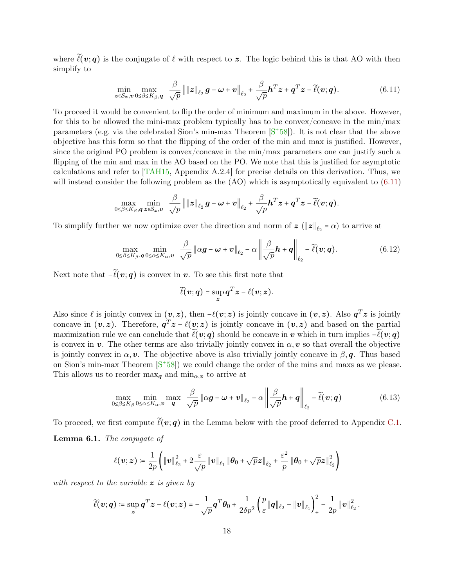<span id="page-17-2"></span>where  $\tilde{\ell}(v; q)$  is the conjugate of  $\ell$  with respect to z. The logic behind this is that AO with then simplify to

<span id="page-17-0"></span>
$$
\min_{\boldsymbol{z}\in\mathcal{S}_{\boldsymbol{z}},\boldsymbol{v}}\max_{0\leq\beta\leq K_{\beta},\boldsymbol{q}}\ \frac{\beta}{\sqrt{p}}\left\|\|\boldsymbol{z}\|_{\ell_2}\,\boldsymbol{g}-\boldsymbol{\omega}+\boldsymbol{v}\right\|_{\ell_2}+\frac{\beta}{\sqrt{p}}\boldsymbol{h}^T\boldsymbol{z}+\boldsymbol{q}^T\boldsymbol{z}-\widetilde{\ell}(\boldsymbol{v};\boldsymbol{q}).\tag{6.11}
$$

To proceed it would be convenient to flip the order of minimum and maximum in the above. However, for this to be allowed the mini-max problem typically has to be convex/concave in the min/max parameters (e.g. via the celebrated Sion's min-max Theorem [S<sup>+</sup>[58\]](#page-30-11)). It is not clear that the above objective has this form so that the flipping of the order of the min and max is justified. However, since the original PO problem is convex/concave in the min/max parameters one can justify such a flipping of the min and max in the AO based on the PO. We note that this is justified for asymptotic calculations and refer to [\[TAH15,](#page-31-10) Appendix A.2.4] for precise details on this derivation. Thus, we will instead consider the following problem as the (AO) which is asymptotically equivalent to  $(6.11)$ 

$$
\max_{0\leq\beta\leq K_{\beta},\boldsymbol{q}}\min_{\boldsymbol{z}\in\mathcal{S}_{\boldsymbol{z}},\boldsymbol{v}}\ \ \frac{\beta}{\sqrt{p}}\left\|\|\boldsymbol{z}\|_{\ell_2}\,\boldsymbol{g}-\boldsymbol{\omega}+\boldsymbol{v}\right\|_{\ell_2}+\frac{\beta}{\sqrt{p}}\boldsymbol{h}^T\boldsymbol{z}+\boldsymbol{q}^T\boldsymbol{z}-\widetilde{\ell}(\boldsymbol{v};\boldsymbol{q}).
$$

To simplify further we now optimize over the direction and norm of  $z \in ||z||_{\ell_2} = \alpha$  to arrive at

$$
\max_{0 \le \beta \le K_{\beta}, \mathbf{q}} \min_{0 \le \alpha \le K_{\alpha}, \mathbf{v}} \frac{\beta}{\sqrt{p}} \|\alpha \mathbf{g} - \mathbf{\omega} + \mathbf{v}\|_{\ell_2} - \alpha \left\| \frac{\beta}{\sqrt{p}} \mathbf{h} + \mathbf{q} \right\|_{\ell_2} - \widetilde{\ell}(\mathbf{v}; \mathbf{q}). \tag{6.12}
$$

Next note that  $-\tilde{\ell}(v; q)$  is convex in v. To see this first note that

<span id="page-17-1"></span>
$$
\widetilde{\ell}(\boldsymbol{v};\boldsymbol{q})=\sup_{\boldsymbol{z}}\boldsymbol{q}^T\boldsymbol{z}-\ell(\boldsymbol{v};\boldsymbol{z}).
$$

Also since  $\ell$  is jointly convex in  $(v, z)$ , then  $-\ell(v; z)$  is jointly concave in  $(v, z)$ . Also  $q^T z$  is jointly concave in  $(v, z)$ . Therefore,  $q^T z - \ell(v; z)$  is jointly concave in  $(v, z)$  and based on the partial maximization rule we can conclude that  $\tilde{\ell}(v; q)$  should be concave in v which in turn implies  $-\tilde{\ell}(v; q)$ is convex in v. The other terms are also trivially jointly convex in  $\alpha$ , v so that overall the objective is jointly convex in  $\alpha, \nu$ . The objective above is also trivially jointly concave in  $\beta, \mathbf{q}$ . Thus based on Sion's min-max Theorem  $[S^+58]$  $[S^+58]$  we could change the order of the mins and maxs as we please. This allows us to reorder max<sub>q</sub> and min<sub> $\alpha$ </sub>, to arrive at

$$
\max_{0 \le \beta \le K_{\beta}} \min_{0 \le \alpha \le K_{\alpha}, \boldsymbol{v}} \max_{\boldsymbol{q}} \frac{\beta}{\sqrt{p}} \|\alpha \boldsymbol{g} - \boldsymbol{\omega} + \boldsymbol{v}\|_{\ell_2} - \alpha \left\| \frac{\beta}{\sqrt{p}} \boldsymbol{h} + \boldsymbol{q} \right\|_{\ell_2} - \widetilde{\ell}(\boldsymbol{v}; \boldsymbol{q}) \tag{6.13}
$$

<span id="page-17-3"></span>To proceed, we first compute  $\tilde{\ell}(v; q)$  in the Lemma below with the proof deferred to Appendix [C.1.](#page-38-0) Lemma 6.1. The conjugate of

$$
\ell(\boldsymbol{v};\boldsymbol{z})\coloneqq\frac{1}{2p}\Bigg(\|\boldsymbol{v}\|_{\ell_2}^2+2\frac{\varepsilon}{\sqrt{p}}\|\boldsymbol{v}\|_{\ell_1}\|\boldsymbol{\theta}_0+\sqrt{p}\boldsymbol{z}\|_{\ell_2}+\frac{\varepsilon^2}{p}\|\boldsymbol{\theta}_0+\sqrt{p}\boldsymbol{z}\|_{\ell_2}^2\Bigg)
$$

with respect to the variable z is given by

$$
\widetilde{\ell}(\boldsymbol{v};\boldsymbol{q})\coloneqq \sup_{\boldsymbol{z}} \boldsymbol{q}^T\boldsymbol{z}-\ell(\boldsymbol{v};\boldsymbol{z})=-\frac{1}{\sqrt{p}}\boldsymbol{q}^T\boldsymbol{\theta}_0+\frac{1}{2\delta p^2}\left(\frac{p}{\varepsilon}\|\boldsymbol{q}\|_{\ell_2}-\|\boldsymbol{v}\|_{\ell_1}\right)_+^2-\frac{1}{2p}\|\boldsymbol{v}\|_{\ell_2}^2\,.
$$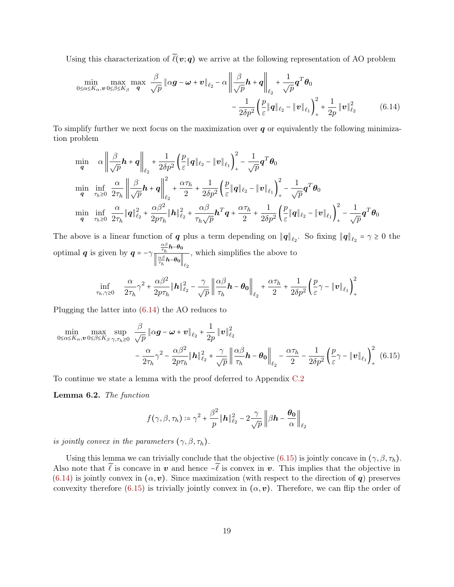Using this characterization of  $\tilde{\ell}(v; q)$  we arrive at the following representation of AO problem

<span id="page-18-0"></span>
$$
\min_{0 \le \alpha \le K_{\alpha}, v} \max_{0 \le \beta \le K_{\beta}} \max_{\mathbf{q}} \frac{\beta}{\sqrt{p}} \|\alpha \mathbf{g} - \boldsymbol{\omega} + \boldsymbol{v}\|_{\ell_2} - \alpha \left\| \frac{\beta}{\sqrt{p}} \mathbf{h} + \mathbf{q} \right\|_{\ell_2} + \frac{1}{\sqrt{p}} \mathbf{q}^T \boldsymbol{\theta}_0
$$
\n
$$
- \frac{1}{2\delta p^2} \left( \frac{p}{\varepsilon} \|\mathbf{q}\|_{\ell_2} - \|\mathbf{v}\|_{\ell_1} \right)_+^2 + \frac{1}{2p} \|\mathbf{v}\|_{\ell_2}^2 \tag{6.14}
$$

To simplify further we next focus on the maximization over  $q$  or equivalently the following minimization problem

$$
\begin{aligned}\n\min_{\mathbf{q}} \quad & \alpha \left\| \frac{\beta}{\sqrt{p}} \mathbf{h} + \mathbf{q} \right\|_{\ell_2} + \frac{1}{2\delta p^2} \left( \frac{p}{\varepsilon} \| \mathbf{q} \|_{\ell_2} - \| \mathbf{v} \|_{\ell_1} \right)_+^2 - \frac{1}{\sqrt{p}} \mathbf{q}^T \boldsymbol{\theta}_0 \\
\min_{\mathbf{q}} \quad & \min_{\tau_h \geq 0} \frac{\alpha}{2\tau_h} \left\| \frac{\beta}{\sqrt{p}} \mathbf{h} + \mathbf{q} \right\|_{\ell_2}^2 + \frac{\alpha \tau_h}{2} + \frac{1}{2\delta p^2} \left( \frac{p}{\varepsilon} \| \mathbf{q} \|_{\ell_2} - \| \mathbf{v} \|_{\ell_1} \right)_+^2 - \frac{1}{\sqrt{p}} \mathbf{q}^T \boldsymbol{\theta}_0 \\
\min_{\mathbf{q}} \quad & \min_{\tau_h \geq 0} \frac{\alpha}{2\tau_h} \| \mathbf{q} \|_{\ell_2}^2 + \frac{\alpha \beta^2}{2p\tau_h} \| \mathbf{h} \|_{\ell_2}^2 + \frac{\alpha \beta}{\tau_h \sqrt{p}} \mathbf{h}^T \mathbf{q} + \frac{\alpha \tau_h}{2} + \frac{1}{2\delta p^2} \left( \frac{p}{\varepsilon} \| \mathbf{q} \|_{\ell_2} - \| \mathbf{v} \|_{\ell_1} \right)_+^2 - \frac{1}{\sqrt{p}} \mathbf{q}^T \boldsymbol{\theta}_0\n\end{aligned}
$$

The above is a linear function of q plus a term depending on  $||q||_{\ell_2}$ . So fixing  $||q||_{\ell_2} = \gamma \ge 0$  the optimal  $q$  is given by  $q = -\gamma$  $\frac{\alpha\beta}{\tau_h}$ h– $\theta_0$  $\left\Vert \frac{\alpha\beta}{\tau_{h}}\boldsymbol{h}\text{--}\boldsymbol{\theta}_{\mathbf{0}}\right\Vert _{\ell_{2}}$ , which simplifies the above to

$$
\inf_{\tau_h,\gamma\geq 0} \quad \frac{\alpha}{2\tau_h} \gamma^2 + \frac{\alpha\beta^2}{2p\tau_h} \|\boldsymbol{h}\|_{\ell_2}^2 - \frac{\gamma}{\sqrt{p}} \left\| \frac{\alpha\beta}{\tau_h} \boldsymbol{h} - \boldsymbol{\theta_0} \right\|_{\ell_2} + \frac{\alpha\tau_h}{2} + \frac{1}{2\delta p^2} \left( \frac{p}{\varepsilon} \gamma - \|\boldsymbol{v}\|_{\ell_1} \right)_+^2
$$

Plugging the latter into [\(6.14\)](#page-18-0) the AO reduces to

$$
\min_{0 \le \alpha \le K_{\alpha}, v} \max_{0 \le \beta \le K_{\beta}} \sup_{\gamma, \tau_h \ge 0} \frac{\beta}{\sqrt{p}} \|\alpha \mathbf{g} - \boldsymbol{\omega} + \boldsymbol{v}\|_{\ell_2} + \frac{1}{2p} \|\boldsymbol{v}\|_{\ell_2}^2 \n- \frac{\alpha}{2\tau_h} \gamma^2 - \frac{\alpha \beta^2}{2p\tau_h} \|\mathbf{h}\|_{\ell_2}^2 + \frac{\gamma}{\sqrt{p}} \left\| \frac{\alpha \beta}{\tau_h} \mathbf{h} - \boldsymbol{\theta}_0 \right\|_{\ell_2} - \frac{\alpha \tau_h}{2} - \frac{1}{2\delta p^2} \left( \frac{p}{\varepsilon} \gamma - \|\boldsymbol{v}\|_{\ell_1} \right)_+^2 (6.15)
$$

To continue we state a lemma with the proof deferred to Appendix [C.2](#page-39-0)

<span id="page-18-2"></span>Lemma 6.2. The function

<span id="page-18-1"></span>
$$
f(\gamma, \beta, \tau_h) \coloneqq \gamma^2 + \frac{\beta^2}{p} \|\mathbf{h}\|_{\ell_2}^2 - 2\frac{\gamma}{\sqrt{p}} \left\|\beta\mathbf{h} - \frac{\boldsymbol{\theta_0}}{\alpha}\right\|_{\ell_2}
$$

is jointly convex in the parameters  $(\gamma, \beta, \tau_h)$ .

Using this lemma we can trivially conclude that the objective [\(6.15\)](#page-18-1) is jointly concave in  $(\gamma, \beta, \tau_h)$ . Also note that  $\tilde{\ell}$  is concave in v and hence  $-\tilde{\ell}$  is convex in v. This implies that the objective in [\(6.14\)](#page-18-0) is jointly convex in  $(\alpha, v)$ . Since maximization (with respect to the direction of q) preserves convexity therefore [\(6.15\)](#page-18-1) is trivially jointly convex in  $(\alpha, v)$ . Therefore, we can flip the order of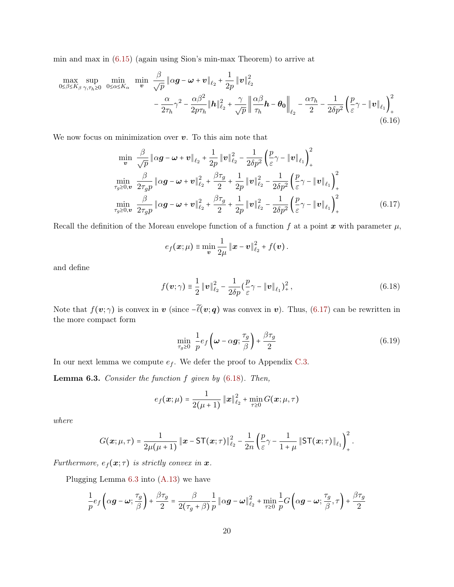min and max in [\(6.15\)](#page-18-1) (again using Sion's min-max Theorem) to arrive at

$$
\max_{0 \le \beta \le K_{\beta}} \sup_{\gamma, \tau_h \ge 0} \min_{0 \le \alpha \le K_{\alpha}} \min_{\mathbf{v}} \frac{\beta}{\sqrt{p}} \|\alpha \mathbf{g} - \boldsymbol{\omega} + \mathbf{v}\|_{\ell_2} + \frac{1}{2p} \|\mathbf{v}\|_{\ell_2}^2 \n- \frac{\alpha}{2\tau_h} \gamma^2 - \frac{\alpha \beta^2}{2p\tau_h} \|\mathbf{h}\|_{\ell_2}^2 + \frac{\gamma}{\sqrt{p}} \left\| \frac{\alpha \beta}{\tau_h} \mathbf{h} - \theta_0 \right\|_{\ell_2} - \frac{\alpha \tau_h}{2} - \frac{1}{2\delta p^2} \left( \frac{p}{\varepsilon} \gamma - \|\mathbf{v}\|_{\ell_1} \right)_+^2
$$
\n(6.16)

We now focus on minimization over  $v$ . To this aim note that

$$
\min_{\mathbf{v}} \frac{\beta}{\sqrt{p}} \|\alpha \mathbf{g} - \boldsymbol{\omega} + \boldsymbol{v}\|_{\ell_{2}} + \frac{1}{2p} \|\boldsymbol{v}\|_{\ell_{2}}^{2} - \frac{1}{2\delta p^{2}} \left(\frac{p}{\varepsilon} \gamma - \|\boldsymbol{v}\|_{\ell_{1}}\right)_{+}^{2}
$$
\n
$$
\min_{\tau_{g} \ge 0, \mathbf{v}} \frac{\beta}{2\tau_{g} p} \|\alpha \mathbf{g} - \boldsymbol{\omega} + \boldsymbol{v}\|_{\ell_{2}}^{2} + \frac{\beta \tau_{g}}{2} + \frac{1}{2p} \|\boldsymbol{v}\|_{\ell_{2}}^{2} - \frac{1}{2\delta p^{2}} \left(\frac{p}{\varepsilon} \gamma - \|\boldsymbol{v}\|_{\ell_{1}}\right)_{+}^{2}
$$
\n
$$
\min_{\tau_{g} \ge 0, \mathbf{v}} \frac{\beta}{2\tau_{g} p} \|\alpha \mathbf{g} - \boldsymbol{\omega} + \boldsymbol{v}\|_{\ell_{2}}^{2} + \frac{\beta \tau_{g}}{2} + \frac{1}{2p} \|\boldsymbol{v}\|_{\ell_{2}}^{2} - \frac{1}{2\delta p^{2}} \left(\frac{p}{\varepsilon} \gamma - \|\boldsymbol{v}\|_{\ell_{1}}\right)_{+}^{2}
$$
\n
$$
(6.17)
$$

Recall the definition of the Moreau envelope function of a function f at a point x with parameter  $\mu$ ,

<span id="page-19-3"></span><span id="page-19-0"></span>
$$
e_f(\boldsymbol{x}; \mu) \equiv \min_{\boldsymbol{v}} \frac{1}{2\mu} \left\| \boldsymbol{x} - \boldsymbol{v} \right\|_{\ell_2}^2 + f(\boldsymbol{v}).
$$

and define

$$
f(\mathbf{v}; \gamma) = \frac{1}{2} \|\mathbf{v}\|_{\ell_2}^2 - \frac{1}{2\delta p} (\frac{p}{\varepsilon} \gamma - \|\mathbf{v}\|_{\ell_1})^2_+, \tag{6.18}
$$

Note that  $f(v; \gamma)$  is convex in v (since  $-\tilde{\ell}(v; q)$  was convex in v). Thus, [\(6.17\)](#page-19-0) can be rewritten in the more compact form

<span id="page-19-1"></span>
$$
\min_{\tau_g \ge 0} \frac{1}{p} e_f \left( \boldsymbol{\omega} - \alpha \boldsymbol{g}; \frac{\tau_g}{\beta} \right) + \frac{\beta \tau_g}{2} \tag{6.19}
$$

In our next lemma we compute  $e_f$ . We defer the proof to Appendix [C.3.](#page-40-0)

<span id="page-19-2"></span>**Lemma 6.3.** Consider the function  $f$  given by  $(6.18)$ . Then,

$$
e_f(\boldsymbol{x}; \mu) = \frac{1}{2(\mu+1)} \left\| \boldsymbol{x} \right\|^2_{\ell_2} + \min_{\tau \geq 0} G(\boldsymbol{x}; \mu, \tau)
$$

where

$$
G(\boldsymbol{x}; \mu, \tau) = \frac{1}{2\mu(\mu+1)} ||\boldsymbol{x} - \mathsf{ST}(\boldsymbol{x}; \tau)||_{\ell_2}^2 - \frac{1}{2n} \left( \frac{p}{\varepsilon} \gamma - \frac{1}{1+\mu} ||\mathsf{ST}(\boldsymbol{x}; \tau)||_{\ell_1} \right)_+^2.
$$

Furthermore,  $e_f(\mathbf{x}; \tau)$  is strictly convex in  $\mathbf{x}$ .

Plugging Lemma [6.3](#page-19-2) into [\(A.13\)](#page-35-0) we have

$$
\frac{1}{p}e_f\left(\alpha \boldsymbol{g}-\boldsymbol{\omega};\frac{\tau_g}{\beta}\right)+\frac{\beta \tau_g}{2}=\frac{\beta}{2\big(\tau_g+\beta\big)}\frac{1}{p}\left\|\alpha \boldsymbol{g}-\boldsymbol{\omega}\right\|^{2}_{\ell_2}+\min\limits_{\tau\geq 0}\frac{1}{p}G\left(\alpha \boldsymbol{g}-\boldsymbol{\omega};\frac{\tau_g}{\beta},\tau\right)+\frac{\beta \tau_g}{2}
$$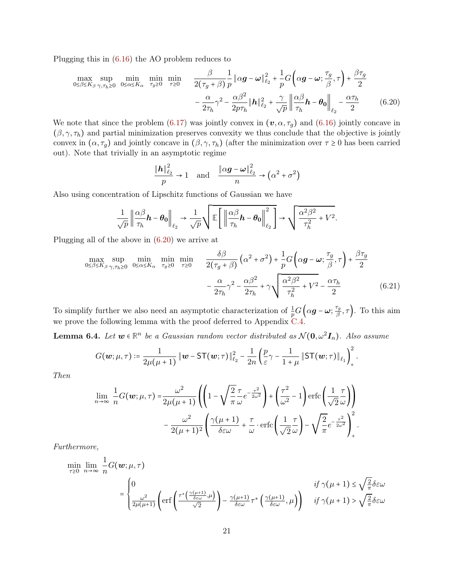Plugging this in [\(6.16\)](#page-19-3) the AO problem reduces to

$$
\max_{0 \le \beta \le K_{\beta}} \sup_{\gamma, \tau_h \ge 0} \min_{0 \le \alpha \le K_{\alpha}} \min_{\tau_g \ge 0} \min_{\tau \ge 0} \frac{\beta}{2(\tau_g + \beta)} \frac{1}{p} \|\alpha g - \omega\|_{\ell_2}^2 + \frac{1}{p} G\left(\alpha g - \omega; \frac{\tau_g}{\beta}, \tau\right) + \frac{\beta \tau_g}{2}
$$

$$
- \frac{\alpha}{2\tau_h} \gamma^2 - \frac{\alpha \beta^2}{2p\tau_h} \|\mathbf{h}\|_{\ell_2}^2 + \frac{\gamma}{\sqrt{p}} \left\| \frac{\alpha \beta}{\tau_h} \mathbf{h} - \theta_0 \right\|_{\ell_2} - \frac{\alpha \tau_h}{2} \tag{6.20}
$$

We note that since the problem [\(6.17\)](#page-19-0) was jointly convex in  $(v, \alpha, \tau_g)$  and [\(6.16\)](#page-19-3) jointly concave in  $(\beta, \gamma, \tau_h)$  and partial minimization preserves convexity we thus conclude that the objective is jointly convex in  $(\alpha, \tau_g)$  and jointly concave in  $(\beta, \gamma, \tau_h)$  (after the minimization over  $\tau \geq 0$  has been carried out). Note that trivially in an asymptotic regime

<span id="page-20-1"></span><span id="page-20-0"></span>
$$
\frac{\|\mathbf{h}\|_{\ell_2}^2}{p} \to 1 \quad \text{and} \quad \frac{\|\alpha \mathbf{g} - \boldsymbol{\omega}\|_{\ell_2}^2}{n} \to \left(\alpha^2 + \sigma^2\right)
$$

Also using concentration of Lipschitz functions of Gaussian we have

$$
\frac{1}{\sqrt{p}}\left\|\frac{\alpha\beta}{\tau_h}\mathbf{h}-\pmb{\theta_0}\right\|_{\ell_2}\rightarrow\frac{1}{\sqrt{p}}\sqrt{\mathbb{E}\left[\left\|\frac{\alpha\beta}{\tau_h}\mathbf{h}-\pmb{\theta_0}\right\|_{\ell_2}^2\right]}\rightarrow\sqrt{\frac{\alpha^2\beta^2}{\tau_h^2}+V^2}.
$$

Plugging all of the above in [\(6.20\)](#page-20-0) we arrive at

$$
\max_{0 \le \beta \le K_{\beta}} \sup_{\gamma, \tau_h \ge 0} \min_{0 \le \alpha \le K_{\alpha}} \min_{\tau_g \ge 0} \min_{\tau \ge 0} \frac{\delta \beta}{2(\tau_g + \beta)} \left( \alpha^2 + \sigma^2 \right) + \frac{1}{p} G \left( \alpha g - \omega; \frac{\tau_g}{\beta}, \tau \right) + \frac{\beta \tau_g}{2}
$$

$$
- \frac{\alpha}{2\tau_h} \gamma^2 - \frac{\alpha \beta^2}{2\tau_h} + \gamma \sqrt{\frac{\alpha^2 \beta^2}{\tau_h^2} + V^2 - \frac{\alpha \tau_h}{2}} \tag{6.21}
$$

To simplify further we also need an asymptotic characterization of  $\frac{1}{p}G(qg - \omega; \frac{\tau_g}{\beta})$  $(\frac{r_g}{\beta}, \tau)$ . To this aim we prove the following lemma with the proof deferred to Appendix [C.4.](#page-42-0)

<span id="page-20-2"></span>**Lemma 6.4.** Let  $w \in \mathbb{R}^n$  be a Gaussian random vector distributed as  $\mathcal{N}(\mathbf{0}, \omega^2 \mathbf{I}_n)$ . Also assume

$$
G(\boldsymbol{w}; \mu, \tau) \coloneqq \frac{1}{2\mu(\mu+1)} \left\| \boldsymbol{w} - \mathsf{ST}(\boldsymbol{w}; \tau) \right\|_{\ell_2}^2 - \frac{1}{2n} \left( \frac{p}{\varepsilon} \gamma - \frac{1}{1+\mu} \left\| \mathsf{ST}(\boldsymbol{w}; \tau) \right\|_{\ell_1} \right)_+^2.
$$

Then

$$
\lim_{n \to \infty} \frac{1}{n} G(\boldsymbol{w}; \mu, \tau) = \frac{\omega^2}{2\mu(\mu + 1)} \left( \left( 1 - \sqrt{\frac{2}{\pi}} \frac{\tau}{\omega} e^{-\frac{\tau^2}{2\omega^2}} \right) + \left( \frac{\tau^2}{\omega^2} - 1 \right) \text{erfc} \left( \frac{1}{\sqrt{2}} \frac{\tau}{\omega} \right) \right) - \frac{\omega^2}{2(\mu + 1)^2} \left( \frac{\gamma(\mu + 1)}{\delta \varepsilon \omega} + \frac{\tau}{\omega} \cdot \text{erfc} \left( \frac{1}{\sqrt{2}} \frac{\tau}{\omega} \right) - \sqrt{\frac{2}{\pi}} e^{-\frac{\tau^2}{2\omega^2}} \right)_+^2.
$$

Furthermore,

$$
\begin{aligned}\n\min_{\tau \geq 0} \lim_{n \to \infty} \frac{1}{n} G(\mathbf{w}; \mu, \tau) \\
= \begin{cases}\n0 & \text{if } \gamma(\mu + 1) \leq \sqrt{\frac{2}{\pi}} \delta \varepsilon \omega \\
\frac{\omega^2}{2\mu(\mu + 1)} \left( \text{erf}\left(\frac{\tau^* \left(\frac{\gamma(\mu + 1)}{\delta \varepsilon \omega}, \mu\right)}{\sqrt{2}}\right) - \frac{\gamma(\mu + 1)}{\delta \varepsilon \omega} \tau^* \left(\frac{\gamma(\mu + 1)}{\delta \varepsilon \omega}, \mu\right) \right) & \text{if } \gamma(\mu + 1) > \sqrt{\frac{2}{\pi}} \delta \varepsilon \omega\n\end{cases}\n\end{aligned}
$$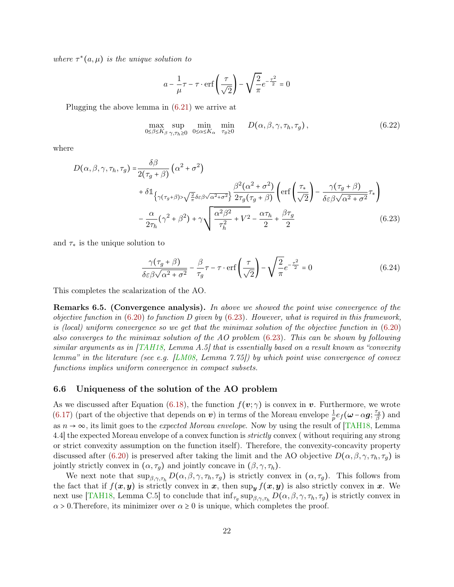<span id="page-21-4"></span>where  $\tau^*(a,\mu)$  is the unique solution to

<span id="page-21-0"></span>
$$
a - \frac{1}{\mu}\tau - \tau \cdot \text{erf}\left(\frac{\tau}{\sqrt{2}}\right) - \sqrt{\frac{2}{\pi}}e^{-\frac{\tau^2}{2}} = 0
$$

Plugging the above lemma in [\(6.21\)](#page-20-1) we arrive at

$$
\max_{0 \le \beta \le K_{\beta}} \sup_{\gamma, \tau_h \ge 0} \min_{0 \le \alpha \le K_{\alpha}} \min_{\tau_g \ge 0} D(\alpha, \beta, \gamma, \tau_h, \tau_g), \tag{6.22}
$$

where

$$
D(\alpha, \beta, \gamma, \tau_h, \tau_g) = \frac{\delta \beta}{2(\tau_g + \beta)} (\alpha^2 + \sigma^2)
$$
  
+  $\delta \mathbb{1}_{\{\gamma(\tau_g + \beta) > \sqrt{\frac{2}{\pi}} \delta \in \beta \sqrt{\alpha^2 + \sigma^2}\}} \frac{\beta^2(\alpha^2 + \sigma^2)}{2\tau_g(\tau_g + \beta)} \left( \text{erf}\left(\frac{\tau_*}{\sqrt{2}}\right) - \frac{\gamma(\tau_g + \beta)}{\delta \in \beta \sqrt{\alpha^2 + \sigma^2}} \tau_* \right)$   
-  $\frac{\alpha}{2\tau_h} (\gamma^2 + \beta^2) + \gamma \sqrt{\frac{\alpha^2 \beta^2}{\tau_h^2} + V^2} - \frac{\alpha \tau_h}{2} + \frac{\beta \tau_g}{2}$  (6.23)

and  $\tau_*$  is the unique solution to

<span id="page-21-3"></span><span id="page-21-2"></span>
$$
\frac{\gamma(\tau_g + \beta)}{\delta \varepsilon \beta \sqrt{\alpha^2 + \sigma^2}} - \frac{\beta}{\tau_g} \tau - \tau \cdot \text{erf}\left(\frac{\tau}{\sqrt{2}}\right) - \sqrt{\frac{2}{\pi}} e^{-\frac{\tau^2}{2}} = 0 \tag{6.24}
$$

This completes the scalarization of the AO.

Remarks 6.5. (Convergence analysis). In above we showed the point wise convergence of the objective function in  $(6.20)$  to function D given by  $(6.23)$ . However, what is required in this framework, is (local) uniform convergence so we get that the minimax solution of the objective function in [\(6.20\)](#page-20-0) also converges to the minimax solution of the AO problem [\(6.23\)](#page-21-2). This can be shown by following similar arguments as in  $[TAH18, Lemma A.5]$  $[TAH18, Lemma A.5]$  that is essentially based on a result known as "convexity" lemma" in the literature (see e.g. [\[LM08,](#page-30-12) Lemma 7.75]) by which point wise convergence of convex functions implies uniform convergence in compact subsets.

#### 6.6 Uniqueness of the solution of the AO problem

As we discussed after Equation [\(6.18\)](#page-19-1), the function  $f(\mathbf{v}; \gamma)$  is convex in v. Furthermore, we wrote [\(6.17\)](#page-19-0) (part of the objective that depends on v) in terms of the Moreau envelope  $\frac{1}{p}e_f(\omega-\alpha g;\frac{\tau_g}{\beta})$  $\frac{\sqrt{g}}{\beta}$ ) and as  $n \to \infty$ , its limit goes to the *expected Moreau envelope*. Now by using the result of [\[TAH18,](#page-31-5) Lemma 4.4] the expected Moreau envelope of a convex function is strictly convex ( without requiring any strong or strict convexity assumption on the function itself). Therefore, the convexity-concavity property discussed after [\(6.20\)](#page-20-0) is preserved after taking the limit and the AO objective  $D(\alpha, \beta, \gamma, \tau_h, \tau_g)$  is jointly strictly convex in  $(\alpha, \tau_g)$  and jointly concave in  $(\beta, \gamma, \tau_h)$ .

<span id="page-21-1"></span>We next note that  $\sup_{\beta,\gamma,\tau_h} D(\alpha,\beta,\gamma,\tau_h,\tau_g)$  is strictly convex in  $(\alpha,\tau_g)$ . This follows from the fact that if  $f(x, y)$  is strictly convex in x, then sup<sub>y</sub>  $f(x, y)$  is also strictly convex in x. We next use [\[TAH18,](#page-31-5) Lemma C.5] to conclude that  $\inf_{\tau_g} \sup_{\beta,\gamma,\tau_h} D(\alpha,\beta,\gamma,\tau_h,\tau_g)$  is strictly convex in  $\alpha > 0$ . Therefore, its minimizer over  $\alpha \geq 0$  is unique, which completes the proof.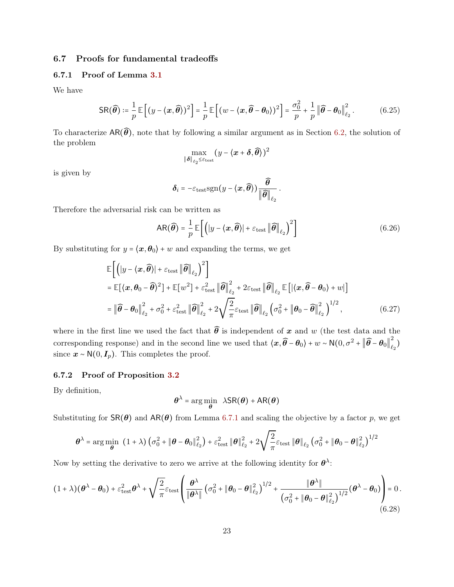## 6.7 Proofs for fundamental tradeoffs

#### <span id="page-22-0"></span>6.7.1 Proof of Lemma [3.1](#page-5-1)

We have

$$
\mathsf{SR}(\widehat{\boldsymbol{\theta}}) \coloneqq \frac{1}{p} \mathbb{E}\left[ (y - \langle \boldsymbol{x}, \widehat{\boldsymbol{\theta}} \rangle)^2 \right] = \frac{1}{p} \mathbb{E}\left[ (w - \langle \boldsymbol{x}, \widehat{\boldsymbol{\theta}} - \boldsymbol{\theta}_0 \rangle)^2 \right] = \frac{\sigma_0^2}{p} + \frac{1}{p} \left\| \widehat{\boldsymbol{\theta}} - \boldsymbol{\theta}_0 \right\|_{\ell_2}^2. \tag{6.25}
$$

To characterize  $AR(\widehat{\theta})$ , note that by following a similar argument as in Section [6.2,](#page-13-1) the solution of the problem

$$
\max_{\|\boldsymbol{\delta}\|_{\ell_2} \leq \varepsilon_{\mathrm{test}}} (y - \langle \boldsymbol{x} + \boldsymbol{\delta}, \widehat{\boldsymbol{\theta}} \rangle)^2
$$

is given by

$$
\boldsymbol{\delta}_i = -\varepsilon_{\mathrm{test}} \mathrm{sgn}(\boldsymbol{y} - \langle \boldsymbol{x}, \widehat{\boldsymbol{\theta}} \rangle) \frac{\widehat{\boldsymbol{\theta}}}{\|\widehat{\boldsymbol{\theta}}\|_{\ell_2}}.
$$

Therefore the adversarial risk can be written as

$$
AR(\widehat{\boldsymbol{\theta}}) = \frac{1}{p} \mathbb{E}\left[ \left( |y - \langle \boldsymbol{x}, \widehat{\boldsymbol{\theta}} \rangle| + \varepsilon_{\text{test}} \left\| \widehat{\boldsymbol{\theta}} \right\|_{\ell_2} \right)^2 \right] \tag{6.26}
$$

By substituting for  $y = \langle x, \theta_0 \rangle + w$  and expanding the terms, we get

$$
\mathbb{E}\left[\left(|y-\langle x,\widehat{\theta}\rangle|+\varepsilon_{\text{test}}\|\widehat{\theta}\|_{\ell_{2}}\right)^{2}\right]
$$
\n
$$
= \mathbb{E}[\langle x,\theta_{0}-\widehat{\theta}\rangle^{2}]+\mathbb{E}[w^{2}]+\varepsilon_{\text{test}}^{2}\|\widehat{\theta}\|_{\ell_{2}}^{2}+2\varepsilon_{\text{test}}\|\widehat{\theta}\|_{\ell_{2}}\mathbb{E}\left[\langle x,\widehat{\theta}-\theta_{0}\rangle+w\right]
$$
\n
$$
= \|\widehat{\theta}-\theta_{0}\|_{\ell_{2}}^{2}+\sigma_{0}^{2}+\varepsilon_{\text{test}}^{2}\|\widehat{\theta}\|_{\ell_{2}}^{2}+2\sqrt{\frac{2}{\pi}}\varepsilon_{\text{test}}\|\widehat{\theta}\|_{\ell_{2}}\left(\sigma_{0}^{2}+\|\theta_{0}-\widehat{\theta}\|_{\ell_{2}}^{2}\right)^{1/2},\tag{6.27}
$$

where in the first line we used the fact that  $\widehat{\theta}$  is independent of x and w (the test data and the corresponding response) and in the second line we used that  $\langle x, \widehat{\theta} - \theta_0 \rangle + w \sim N(0, \sigma^2 + ||\widehat{\theta} - \theta_0||^2)$  $_{\ell_2}^{-})$ since  $\mathbf{x} \sim \mathsf{N}(0, \mathbf{I}_p)$ . This completes the proof.

#### <span id="page-22-1"></span>6.7.2 Proof of Proposition [3.2](#page-5-2)

By definition,

$$
\boldsymbol{\theta}^{\lambda} = \arg\min_{\boldsymbol{\theta}} \ \lambda \mathsf{SR}(\boldsymbol{\theta}) + \mathsf{AR}(\boldsymbol{\theta})
$$

Substituting for  $\text{SR}(\theta)$  and  $\text{AR}(\theta)$  from Lemma [6.7.1](#page-22-0) and scaling the objective by a factor p, we get

$$
\boldsymbol{\theta}^{\lambda} = \arg\min_{\boldsymbol{\theta}} \left( 1 + \lambda \right) \left( \sigma_0^2 + \|\boldsymbol{\theta} - \boldsymbol{\theta}_0\|_{\ell_2}^2 \right) + \varepsilon_{\mathrm{test}}^2 \|\boldsymbol{\theta}\|_{\ell_2}^2 + 2 \sqrt{\frac{2}{\pi}} \varepsilon_{\mathrm{test}} \|\boldsymbol{\theta}\|_{\ell_2} \left( \sigma_0^2 + \|\boldsymbol{\theta}_0 - \boldsymbol{\theta}\|_{\ell_2}^2 \right)^{1/2}
$$

Now by setting the derivative to zero we arrive at the following identity for  $\theta^{\lambda}$ :

$$
(1+\lambda)(\theta^{\lambda} - \theta_0) + \varepsilon_{\text{test}}^2 \theta^{\lambda} + \sqrt{\frac{2}{\pi}} \varepsilon_{\text{test}} \left( \frac{\theta^{\lambda}}{\|\theta^{\lambda}\|} \left( \sigma_0^2 + \|\theta_0 - \theta\|_{\ell_2}^2 \right)^{1/2} + \frac{\|\theta^{\lambda}\|}{\left( \sigma_0^2 + \|\theta_0 - \theta\|_{\ell_2}^2 \right)^{1/2}} (\theta^{\lambda} - \theta_0) \right) = 0. \tag{6.28}
$$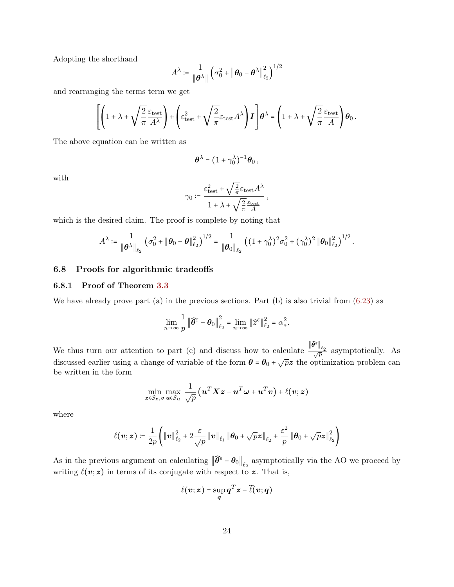Adopting the shorthand

$$
A^{\lambda} \coloneqq \frac{1}{\|\boldsymbol{\theta}^{\lambda}\|} \left(\sigma_0^2 + \|\boldsymbol{\theta}_0 - \boldsymbol{\theta}^{\lambda}\|_{\ell_2}^2\right)^{1/2}
$$

and rearranging the terms term we get

$$
\left[\left(1+\lambda+\sqrt{\frac{2}{\pi}}\frac{\varepsilon_\mathrm{test}}{A^\lambda}\right)+\left(\varepsilon_\mathrm{test}^2+\sqrt{\frac{2}{\pi}}\varepsilon_\mathrm{test}A^\lambda\right)I\right]\theta^\lambda=\left(1+\lambda+\sqrt{\frac{2}{\pi}}\frac{\varepsilon_\mathrm{test}}{A}\right)\theta_0\,.
$$

The above equation can be written as

$$
\boldsymbol{\theta}^{\lambda} = (1 + \gamma_0^{\lambda})^{-1} \boldsymbol{\theta}_0 ,
$$

with

$$
\gamma_0 \coloneqq \frac{\varepsilon_{\rm test}^2 + \sqrt{\frac{2}{\pi}} \varepsilon_{\rm test} A^\lambda}{1 + \lambda + \sqrt{\frac{2}{\pi}} \frac{\varepsilon_{\rm test} A}{A}}\,,
$$

which is the desired claim. The proof is complete by noting that

$$
A^{\lambda} \coloneqq \frac{1}{\|\boldsymbol{\theta}^{\lambda}\|_{\ell_2}} \left(\sigma_0^2 + \|\boldsymbol{\theta}_0 - \boldsymbol{\theta}\|_{\ell_2}^2\right)^{1/2} = \frac{1}{\|\boldsymbol{\theta}_0\|_{\ell_2}} \left((1 + \gamma_0^{\lambda})^2 \sigma_0^2 + (\gamma_0^{\lambda})^2 \|\boldsymbol{\theta}_0\|_{\ell_2}^2\right)^{1/2}.
$$

### <span id="page-23-1"></span>6.8 Proofs for algorithmic tradeoffs

#### <span id="page-23-0"></span>6.8.1 Proof of Theorem [3.3](#page-6-1)

We have already prove part (a) in the previous sections. Part (b) is also trivial from  $(6.23)$  as

$$
\lim_{n\to\infty}\frac{1}{p}\left\|\widehat{\theta}^{\varepsilon}-\theta_0\right\|_{\ell_2}^2=\lim_{n\to\infty}\left\|\widehat{z}^{\varepsilon}\right\|_{\ell_2}^2=\alpha_*^2.
$$

We thus turn our attention to part (c) and discuss how to calculate  $\frac{\|\widehat{\theta}^{\varepsilon}\|_{\ell_2}}{\sqrt{p}}$  asymptotically. As discussed earlier using a change of variable of the form  $\theta = \theta_0 + \sqrt{pz}$  the optimization problem can be written in the form

$$
\min_{\boldsymbol{z}\in\mathcal{S}_{\boldsymbol{z}},\boldsymbol{v}}\max_{\boldsymbol{u}\in\mathcal{S}_{\boldsymbol{u}}}\frac{1}{\sqrt{p}}\big(\boldsymbol{u}^T\boldsymbol{X}\boldsymbol{z}-\boldsymbol{u}^T\boldsymbol{\omega}+\boldsymbol{u}^T\boldsymbol{v}\big)+\ell(\boldsymbol{v};\boldsymbol{z})
$$

where

$$
\ell(\boldsymbol{v};\boldsymbol{z})\coloneqq\frac{1}{2p}\Big(\|\boldsymbol{v}\|_{\ell_2}^2+2\frac{\varepsilon}{\sqrt{p}}\|\boldsymbol{v}\|_{\ell_1}\|\boldsymbol{\theta}_0+\sqrt{p}\boldsymbol{z}\|_{\ell_2}+\frac{\varepsilon^2}{p}\|\boldsymbol{\theta}_0+\sqrt{p}\boldsymbol{z}\|_{\ell_2}^2\Big)
$$

As in the previous argument on calculating  $\|\widehat{\theta}^{\varepsilon} - \theta_0\|_{\ell_2}$  asymptotically via the AO we proceed by writing  $\ell(v; z)$  in terms of its conjugate with respect to z. That is,

$$
\ell(\boldsymbol{v};\boldsymbol{z}) = \sup_{\boldsymbol{q}} \boldsymbol{q}^T \boldsymbol{z} - \widetilde{\ell}(\boldsymbol{v};\boldsymbol{q})
$$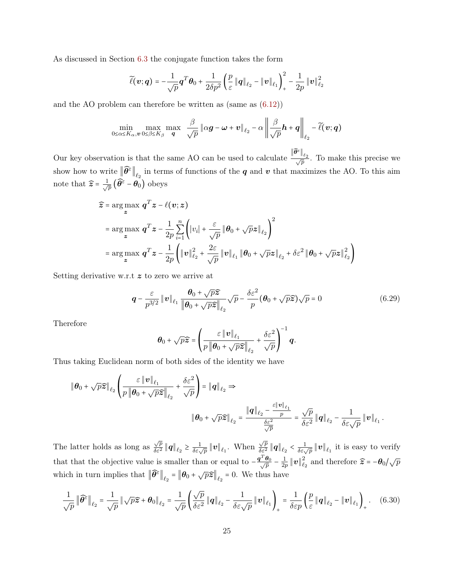As discussed in Section [6.3](#page-14-0) the conjugate function takes the form

$$
\widetilde{\ell}(\boldsymbol{v};\boldsymbol{q})=-\frac{1}{\sqrt{p}}\boldsymbol{q}^T\boldsymbol{\theta}_0+\frac{1}{2\delta p^2}\left(\frac{p}{\varepsilon}\left\|\boldsymbol{q}\right\|_{\ell_2}-\left\|\boldsymbol{v}\right\|_{\ell_1}\right)_+^2-\frac{1}{2p}\left\|\boldsymbol{v}\right\|_{\ell_2}^2
$$

and the AO problem can therefore be written as (same as [\(6.12\)](#page-17-1))

$$
\min_{0 \leq \alpha \leq K_{\alpha}, v} \max_{0 \leq \beta \leq K_{\beta}} \max_{\mathbf{q}} \frac{\beta}{\sqrt{p}} \|\alpha \mathbf{g} - \boldsymbol{\omega} + \boldsymbol{v}\|_{\ell_2} - \alpha \left\| \frac{\beta}{\sqrt{p}} \mathbf{h} + \mathbf{q} \right\|_{\ell_2} - \widetilde{\ell}(\mathbf{v}; \mathbf{q})
$$

Our key observation is that the same AO can be used to calculate  $\frac{\|\widehat{\theta}^{\varepsilon}\|_{\ell_2}}{\sqrt{p}}$ . To make this precise we show how to write  $\|\widehat{\theta^{\varepsilon}}\|_{\ell_2}$  in terms of functions of the  $q$  and  $v$  that maximizes the AO. To this aim note that  $\widehat{z} = \frac{1}{\sqrt{2}}$  $_{\overline{\overline{p}}}$   $\big(\widehat{\theta^\varepsilon} - \theta_0\big)$  obeys

$$
\hat{z} = \arg \max_{z} q^{T} z - \ell(v; z)
$$
\n
$$
= \arg \max_{z} q^{T} z - \frac{1}{2p} \sum_{i=1}^{n} \left( |v_{i}| + \frac{\varepsilon}{\sqrt{p}} \left\| \theta_{0} + \sqrt{p} z \right\|_{\ell_{2}} \right)^{2}
$$
\n
$$
= \arg \max_{z} q^{T} z - \frac{1}{2p} \left( \|v\|_{\ell_{2}}^{2} + \frac{2\varepsilon}{\sqrt{p}} \|v\|_{\ell_{1}} \left\| \theta_{0} + \sqrt{p} z \right\|_{\ell_{2}} + \delta \varepsilon^{2} \left\| \theta_{0} + \sqrt{p} z \right\|_{\ell_{2}}^{2} \right)
$$

Setting derivative w.r.t z to zero we arrive at

$$
\mathbf{q} - \frac{\varepsilon}{p^{3/2}} \left\| \mathbf{v} \right\|_{\ell_1} \frac{\theta_0 + \sqrt{p} \widehat{\mathbf{z}}}{\left\| \theta_0 + \sqrt{p} \widehat{\mathbf{z}} \right\|_{\ell_2}} \sqrt{p} - \frac{\delta \varepsilon^2}{p} (\theta_0 + \sqrt{p} \widehat{\mathbf{z}}) \sqrt{p} = 0 \tag{6.29}
$$

Therefore

<span id="page-24-0"></span>
$$
\boldsymbol{\theta}_0 + \sqrt{p}\widehat{\boldsymbol{z}} = \left(\frac{\varepsilon \left\|\boldsymbol{v}\right\|_{\ell_1}}{p\left\|\boldsymbol{\theta}_0 + \sqrt{p}\widehat{\boldsymbol{z}}\right\|_{\ell_2}} + \frac{\delta \varepsilon^2}{\sqrt{p}}\right)^{-1} \boldsymbol{q}.
$$

Thus taking Euclidean norm of both sides of the identity we have

$$
\begin{aligned}\n\|\boldsymbol{\theta}_0 + \sqrt{p}\widehat{\boldsymbol{z}}\|_{\ell_2} \left( \frac{\varepsilon \left\|\boldsymbol{v}\right\|_{\ell_1}}{p\left\|\boldsymbol{\theta}_0 + \sqrt{p}\widehat{\boldsymbol{z}}\right\|_{\ell_2}} + \frac{\delta \varepsilon^2}{\sqrt{p}} \right) &= \|\boldsymbol{q}\|_{\ell_2} \Rightarrow \\
\|\boldsymbol{\theta}_0 + \sqrt{p}\widehat{\boldsymbol{z}}\|_{\ell_2} &= \frac{\|\boldsymbol{q}\|_{\ell_2} - \frac{\varepsilon \left\|\boldsymbol{v}\right\|_{\ell_1}}{p}}{\frac{\delta \varepsilon^2}{\sqrt{p}}} = \frac{\sqrt{p}}{\delta \varepsilon^2} \left\|\boldsymbol{q}\right\|_{\ell_2} - \frac{1}{\delta \varepsilon \sqrt{p}} \left\|\boldsymbol{v}\right\|_{\ell_1}.\n\end{aligned}
$$

The latter holds as long as  $\frac{\sqrt{p}}{\delta \epsilon^2}$  $\frac{\sqrt{p}}{\delta \varepsilon^2} \|q\|_{\ell_2} \geq \frac{1}{\delta \varepsilon \sqrt{p}} \|v\|_{\ell_1}$ . When  $\frac{\sqrt{p}}{\delta \varepsilon^2}$  $\frac{\sqrt{p}}{\delta \varepsilon^2} \|q\|_{\ell_2} < \frac{1}{\delta \varepsilon \sqrt{p}} \|v\|_{\ell_1}$  it is easy to verify that that the objective value is smaller than or equal to  $-\frac{q^T \theta_0}{\sqrt{p}}$  $\frac{\bm\theta_0}{\overline{p}}$  –  $\frac{1}{2p}$  $\frac{1}{2p}\|\bm{v}\|_{\ell}^2$  $\sum_{\ell_2}^2$  and therefore  $\widehat{z} = -\theta_0/\sqrt{p}$ which in turn implies that  $\left\|\widehat{\theta}^{\varepsilon}\right\|_{\ell_2} = \left\|\theta_0 + \sqrt{p}\widehat{\boldsymbol{z}}\right\|_{\ell_2} = 0$ . We thus have

$$
\frac{1}{\sqrt{p}} \left\| \widehat{\boldsymbol{\theta}}^{\varepsilon} \right\|_{\ell_2} = \frac{1}{\sqrt{p}} \left\| \sqrt{p} \widehat{\boldsymbol{z}} + \boldsymbol{\theta}_0 \right\|_{\ell_2} = \frac{1}{\sqrt{p}} \left( \frac{\sqrt{p}}{\delta \varepsilon^2} \left\| \boldsymbol{q} \right\|_{\ell_2} - \frac{1}{\delta \varepsilon \sqrt{p}} \left\| \boldsymbol{v} \right\|_{\ell_1} \right)_+ = \frac{1}{\delta \varepsilon p} \left( \frac{p}{\varepsilon} \left\| \boldsymbol{q} \right\|_{\ell_2} - \left\| \boldsymbol{v} \right\|_{\ell_1} \right)_+ . \tag{6.30}
$$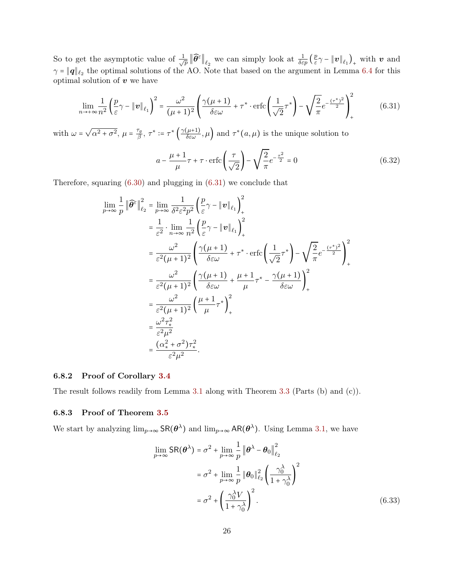So to get the asymptotic value of  $\frac{1}{4}$  $\frac{1}{\bar{p}}\|\widehat{\theta}^{\varepsilon}\|_{\ell_2}$  we can simply look at  $\frac{1}{\delta \varepsilon p}(\frac{p}{\varepsilon})$  $\frac{p}{\varepsilon} \gamma - \left\| \bm{v} \right\|_{\ell_1} \big)_{+}$  with  $\bm{v}$  and  $\gamma = ||\mathbf{q}||_{\ell_2}$  the optimal solutions of the AO. Note that based on the argument in Lemma [6.4](#page-20-2) for this optimal solution of  $v$  we have

$$
\lim_{n \to +\infty} \frac{1}{n^2} \left(\frac{p}{\varepsilon}\gamma - \|\mathbf{v}\|_{\ell_1}\right)^2 = \frac{\omega^2}{(\mu+1)^2} \left(\frac{\gamma(\mu+1)}{\delta\varepsilon\omega} + \tau^* \cdot \text{erfc}\left(\frac{1}{\sqrt{2}}\tau^*\right) - \sqrt{\frac{2}{\pi}}e^{-\frac{(\tau^*)^2}{2}}\right)_+^2\tag{6.31}
$$

with  $\omega =$  $\sqrt{\alpha^2 + \sigma^2}, \mu = \frac{\tau_g}{\beta}$  $\frac{\sigma_g}{\beta}$ ,  $\tau^* := \tau^* \left( \frac{\gamma(\mu+1)}{\delta \varepsilon \omega}, \mu \right)$  and  $\tau^*(a, \mu)$  is the unique solution to

<span id="page-25-2"></span>
$$
a - \frac{\mu + 1}{\mu}\tau + \tau \cdot \text{erfc}\left(\frac{\tau}{\sqrt{2}}\right) - \sqrt{\frac{2}{\pi}}e^{-\frac{\tau^2}{2}} = 0\tag{6.32}
$$

Therefore, squaring [\(6.30\)](#page-24-0) and plugging in [\(6.31\)](#page-25-2) we conclude that

$$
\lim_{p \to \infty} \frac{1}{p} \|\widehat{\theta}^{\varepsilon}\|_{\ell_2}^2 = \lim_{p \to \infty} \frac{1}{\delta^2 \varepsilon^2 p^2} \left(\frac{p}{\varepsilon} \gamma - \|v\|_{\ell_1}\right)_+^2
$$
\n
$$
= \frac{1}{\varepsilon^2} \cdot \lim_{n \to \infty} \frac{1}{n^2} \left(\frac{p}{\varepsilon} \gamma - \|v\|_{\ell_1}\right)_+^2
$$
\n
$$
= \frac{\omega^2}{\varepsilon^2 (\mu + 1)^2} \left(\frac{\gamma (\mu + 1)}{\delta \varepsilon \omega} + \tau^* \cdot \text{erfc}\left(\frac{1}{\sqrt{2}} \tau^*\right) - \sqrt{\frac{2}{\pi}} e^{-\frac{(\tau^*)^2}{2}}\right)_+^2
$$
\n
$$
= \frac{\omega^2}{\varepsilon^2 (\mu + 1)^2} \left(\frac{\gamma (\mu + 1)}{\delta \varepsilon \omega} + \frac{\mu + 1}{\mu} \tau^* - \frac{\gamma (\mu + 1)}{\delta \varepsilon \omega}\right)_+^2
$$
\n
$$
= \frac{\omega^2}{\varepsilon^2 (\mu + 1)^2} \left(\frac{\mu + 1}{\mu} \tau^*\right)_+^2
$$
\n
$$
= \frac{\omega^2 \tau_*^2}{\varepsilon^2 \mu^2}
$$
\n
$$
= \frac{(\alpha_*^2 + \sigma^2) \tau_*^2}{\varepsilon^2 \mu^2}.
$$

#### <span id="page-25-0"></span>6.8.2 Proof of Corollary [3.4](#page-7-0)

<span id="page-25-1"></span>The result follows readily from Lemma [3.1](#page-5-1) along with Theorem [3.3](#page-6-1) (Parts (b) and (c)).

#### 6.8.3 Proof of Theorem [3.5](#page-8-2)

We start by analyzing  $\lim_{p\to\infty} \mathsf{SR}(\theta^{\lambda})$  and  $\lim_{p\to\infty} \mathsf{AR}(\theta^{\lambda})$ . Using Lemma [3.1,](#page-5-1) we have

<span id="page-25-3"></span>
$$
\lim_{p \to \infty} \text{SR}(\boldsymbol{\theta}^{\lambda}) = \sigma^2 + \lim_{p \to \infty} \frac{1}{p} \left\| \boldsymbol{\theta}^{\lambda} - \boldsymbol{\theta}_0 \right\|_{\ell_2}^2
$$

$$
= \sigma^2 + \lim_{p \to \infty} \frac{1}{p} \left\| \boldsymbol{\theta}_0 \right\|_{\ell_2}^2 \left( \frac{\gamma_0^{\lambda}}{1 + \gamma_0^{\lambda}} \right)^2
$$

$$
= \sigma^2 + \left( \frac{\gamma_0^{\lambda} V}{1 + \gamma_0^{\lambda}} \right)^2. \tag{6.33}
$$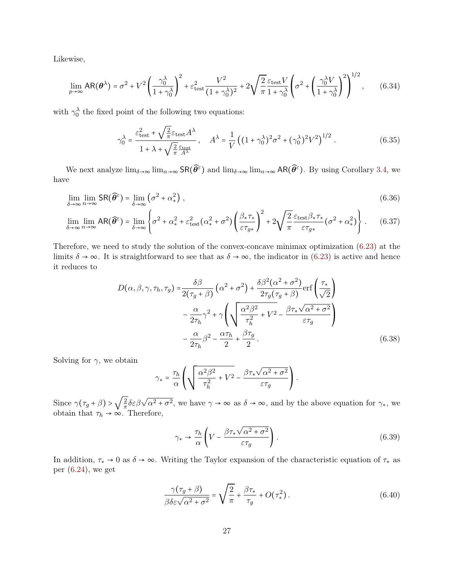Likewise,

$$
\lim_{p \to \infty} AR(\theta^{\lambda}) = \sigma^2 + V^2 \left(\frac{\gamma_0^{\lambda}}{1 + \gamma_0^{\lambda}}\right)^2 + \varepsilon_{\text{test}}^2 \frac{V^2}{(1 + \gamma_0^{\lambda})^2} + 2\sqrt{\frac{2}{\pi}} \frac{\varepsilon_{\text{test}} V}{1 + \gamma_0^{\lambda}} \left(\sigma^2 + \left(\frac{\gamma_0^{\lambda} V}{1 + \gamma_0^{\lambda}}\right)^2\right)^{1/2},\tag{6.34}
$$

with  $\gamma_0^{\lambda}$  the fixed point of the following two equations:

<span id="page-26-5"></span><span id="page-26-4"></span><span id="page-26-3"></span>
$$
\gamma_0^{\lambda} = \frac{\varepsilon_{\text{test}}^2 + \sqrt{\frac{2}{\pi}} \varepsilon_{\text{test}} A^{\lambda}}{1 + \lambda + \sqrt{\frac{2}{\pi}} \frac{\varepsilon_{\text{test}} A^{\lambda}}{A^{\lambda}}} \,, \quad A^{\lambda} = \frac{1}{V} \left( (1 + \gamma_0^{\lambda})^2 \sigma^2 + (\gamma_0^{\lambda})^2 V^2 \right)^{1/2} \,. \tag{6.35}
$$

We next analyze  $\lim_{\delta\to\infty} \lim_{n\to\infty} \text{SR}(\widehat{\theta}^{\varepsilon})$  and  $\lim_{\delta\to\infty} \lim_{n\to\infty} \text{AR}(\widehat{\theta}^{\varepsilon})$ . By using Corollary [3.4,](#page-7-0) we have

$$
\lim_{\delta \to \infty} \lim_{n \to \infty} \text{SR}(\widehat{\theta}^{\varepsilon}) = \lim_{\delta \to \infty} \left( \sigma^2 + \alpha_*^2 \right),\tag{6.36}
$$

$$
\lim_{\delta \to \infty} \lim_{n \to \infty} AR(\widehat{\theta^{\varepsilon}}) = \lim_{\delta \to \infty} \left\{ \sigma^2 + \alpha_*^2 + \varepsilon_{\text{test}}^2 (\alpha_*^2 + \sigma^2) \left( \frac{\beta_* \tau_*}{\varepsilon \tau_{g*}} \right)^2 + 2 \sqrt{\frac{2}{\pi}} \frac{\varepsilon_{\text{test}} \beta_* \tau_*}{\varepsilon \tau_{g*}} (\sigma^2 + \alpha_*^2) \right\}.
$$
 (6.37)

Therefore, we need to study the solution of the convex-concave minimax optimization [\(6.23\)](#page-21-2) at the limits  $\delta \to \infty$ . It is straightforward to see that as  $\delta \to \infty$ , the indicator in [\(6.23\)](#page-21-2) is active and hence it reduces to

$$
D(\alpha, \beta, \gamma, \tau_h, \tau_g) = \frac{\delta \beta}{2(\tau_g + \beta)} \left( \alpha^2 + \sigma^2 \right) + \frac{\delta \beta^2 (\alpha^2 + \sigma^2)}{2\tau_g(\tau_g + \beta)} \text{erf} \left( \frac{\tau_*}{\sqrt{2}} \right)
$$

$$
- \frac{\alpha}{2\tau_h} \gamma^2 + \gamma \left( \sqrt{\frac{\alpha^2 \beta^2}{\tau_h^2}} + V^2 - \frac{\beta \tau_* \sqrt{\alpha^2 + \sigma^2}}{\varepsilon \tau_g} \right)
$$

$$
- \frac{\alpha}{2\tau_h} \beta^2 - \frac{\alpha \tau_h}{2} + \frac{\beta \tau_g}{2} . \tag{6.38}
$$

Solving for  $\gamma$ , we obtain

<span id="page-26-6"></span>
$$
\gamma_* = \frac{\tau_h}{\alpha} \left( \sqrt{\frac{\alpha^2 \beta^2}{\tau_h^2} + V^2} - \frac{\beta \tau_* \sqrt{\alpha^2 + \sigma^2}}{\varepsilon \tau_g} \right).
$$

Since  $\gamma(\tau_g + \beta) > \sqrt{\frac{2}{\pi}}$  $\frac{2}{\pi} \delta \varepsilon \beta \sqrt{\alpha^2 + \sigma^2}$ , we have  $\gamma \to \infty$  as  $\delta \to \infty$ , and by the above equation for  $\gamma_*$ , we obtain that  $\tau_h \to \infty$ . Therefore,

<span id="page-26-2"></span><span id="page-26-1"></span><span id="page-26-0"></span>
$$
\gamma_* \to \frac{\tau_h}{\alpha} \left( V - \frac{\beta \tau_* \sqrt{\alpha^2 + \sigma^2}}{\varepsilon \tau_g} \right). \tag{6.39}
$$

In addition,  $\tau_* \to 0$  as  $\delta \to \infty$ . Writing the Taylor expansion of the characteristic equation of  $\tau_*$  as per  $(6.24)$ , we get

$$
\frac{\gamma(\tau_g + \beta)}{\beta \delta \varepsilon \sqrt{\alpha^2 + \sigma^2}} = \sqrt{\frac{2}{\pi}} + \frac{\beta \tau_*}{\tau_g} + O(\tau_*^2). \tag{6.40}
$$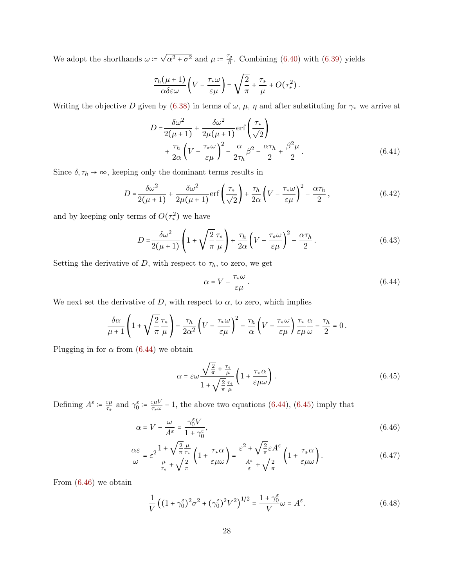We adopt the shorthands  $\omega :=$  $\sqrt{\alpha^2 + \sigma^2}$  and  $\mu \coloneqq \frac{\tau_g}{\beta}$  $\frac{F_g}{\beta}$ . Combining [\(6.40\)](#page-26-0) with [\(6.39\)](#page-26-1) yields

$$
\frac{\tau_h(\mu+1)}{\alpha\delta\varepsilon\omega}\left(V-\frac{\tau_*\omega}{\varepsilon\mu}\right)=\sqrt{\frac{2}{\pi}}+\frac{\tau_*}{\mu}+O(\tau_*^2).
$$

Writing the objective D given by [\(6.38\)](#page-26-2) in terms of  $\omega$ ,  $\mu$ ,  $\eta$  and after substituting for  $\gamma_*$  we arrive at

$$
D = \frac{\delta\omega^2}{2(\mu+1)} + \frac{\delta\omega^2}{2\mu(\mu+1)} \text{erf}\left(\frac{\tau_*}{\sqrt{2}}\right) + \frac{\tau_h}{2\alpha} \left(V - \frac{\tau_*\omega}{\varepsilon\mu}\right)^2 - \frac{\alpha}{2\tau_h} \beta^2 - \frac{\alpha\tau_h}{2} + \frac{\beta^2\mu}{2}.
$$
 (6.41)

Since  $\delta, \tau_h \rightarrow \infty,$  keeping only the dominant terms results in

$$
D = \frac{\delta\omega^2}{2(\mu+1)} + \frac{\delta\omega^2}{2\mu(\mu+1)} \text{erf}\left(\frac{\tau_*}{\sqrt{2}}\right) + \frac{\tau_h}{2\alpha} \left(V - \frac{\tau_*\omega}{\varepsilon\mu}\right)^2 - \frac{\alpha\tau_h}{2},\tag{6.42}
$$

and by keeping only terms of  $O(\tau^2_*)$  we have

$$
D = \frac{\delta\omega^2}{2(\mu+1)} \left( 1 + \sqrt{\frac{2}{\pi}} \frac{\tau_*}{\mu} \right) + \frac{\tau_h}{2\alpha} \left( V - \frac{\tau_*\omega}{\varepsilon\mu} \right)^2 - \frac{\alpha\tau_h}{2} \,. \tag{6.43}
$$

Setting the derivative of D, with respect to  $\tau_h$ , to zero, we get

<span id="page-27-1"></span><span id="page-27-0"></span>
$$
\alpha = V - \frac{\tau_* \omega}{\varepsilon \mu} \,. \tag{6.44}
$$

We next set the derivative of D, with respect to  $\alpha$ , to zero, which implies

$$
\frac{\delta\alpha}{\mu+1}\left(1+\sqrt{\frac{2}{\pi}}\frac{\tau_\ast}{\mu}\right)-\frac{\tau_h}{2\alpha^2}\left(V-\frac{\tau_\ast\omega}{\varepsilon\mu}\right)^2-\frac{\tau_h}{\alpha}\left(V-\frac{\tau_\ast\omega}{\varepsilon\mu}\right)\frac{\tau_\ast}{\varepsilon\mu}\frac{\alpha}{\omega}-\frac{\tau_h}{2}=0\,.
$$

Plugging in for  $\alpha$  from [\(6.44\)](#page-27-0) we obtain

<span id="page-27-3"></span><span id="page-27-2"></span>
$$
\alpha = \varepsilon \omega \frac{\sqrt{\frac{2}{\pi}} + \frac{\tau_*}{\mu}}{1 + \sqrt{\frac{2}{\pi}} \frac{\tau_*}{\mu}} \left( 1 + \frac{\tau_* \alpha}{\varepsilon \mu \omega} \right). \tag{6.45}
$$

Defining  $A^{\varepsilon} \coloneqq \frac{\varepsilon \mu}{\tau_c}$  $\frac{\varepsilon\mu}{\tau_*}$  and  $\gamma_0^{\varepsilon} \coloneqq \frac{\varepsilon\mu V}{\tau_* \omega}$  $\frac{\varepsilon \mu V}{\tau_{\star} \omega}$  – 1, the above two equations [\(6.44\)](#page-27-0), [\(6.45\)](#page-27-1) imply that

$$
\alpha = V - \frac{\omega}{A^{\varepsilon}} = \frac{\gamma_0^{\varepsilon} V}{1 + \gamma_0^{\varepsilon}},\tag{6.46}
$$

$$
\frac{\alpha \varepsilon}{\omega} = \varepsilon^2 \frac{1 + \sqrt{\frac{2}{\pi}} \frac{\mu}{\tau_*}}{\frac{\mu}{\tau_*} + \sqrt{\frac{2}{\pi}}} \left( 1 + \frac{\tau_* \alpha}{\varepsilon \mu \omega} \right) = \frac{\varepsilon^2 + \sqrt{\frac{2}{\pi}} \varepsilon A^{\varepsilon}}{\frac{A^{\varepsilon}}{\varepsilon} + \sqrt{\frac{2}{\pi}}} \left( 1 + \frac{\tau_* \alpha}{\varepsilon \mu \omega} \right). \tag{6.47}
$$

From [\(6.46\)](#page-27-2) we obtain

<span id="page-27-4"></span>
$$
\frac{1}{V} \left( \left( 1 + \gamma_0^{\varepsilon} \right)^2 \sigma^2 + \left( \gamma_0^{\varepsilon} \right)^2 V^2 \right)^{1/2} = \frac{1 + \gamma_0^{\varepsilon}}{V} \omega = A^{\varepsilon}.
$$
\n(6.48)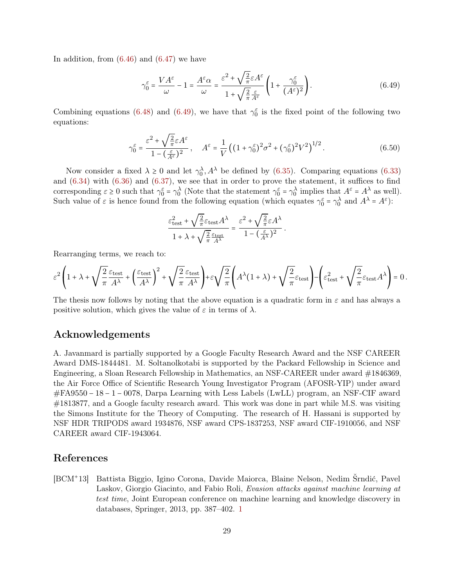In addition, from  $(6.46)$  and  $(6.47)$  we have

<span id="page-28-1"></span>
$$
\gamma_0^{\varepsilon} = \frac{VA^{\varepsilon}}{\omega} - 1 = \frac{A^{\varepsilon}\alpha}{\omega} = \frac{\varepsilon^2 + \sqrt{\frac{2}{\pi}}\varepsilon A^{\varepsilon}}{1 + \sqrt{\frac{2}{\pi}}\frac{\varepsilon}{A^{\varepsilon}}} \left(1 + \frac{\gamma_0^{\varepsilon}}{(A^{\varepsilon})^2}\right).
$$
(6.49)

Combining equations [\(6.48\)](#page-27-4) and [\(6.49\)](#page-28-1), we have that  $\gamma_0^{\varepsilon}$  is the fixed point of the following two equations:

$$
\gamma_0^{\varepsilon} = \frac{\varepsilon^2 + \sqrt{\frac{2}{\pi}} \varepsilon A^{\varepsilon}}{1 - (\frac{\varepsilon}{A^{\varepsilon}})^2}, \quad A^{\varepsilon} = \frac{1}{V} \left( (1 + \gamma_0^{\varepsilon})^2 \sigma^2 + (\gamma_0^{\varepsilon})^2 V^2 \right)^{1/2}.
$$
 (6.50)

Now consider a fixed  $\lambda \geq 0$  and let  $\gamma_0^{\lambda}, A^{\lambda}$  be defined by [\(6.35\)](#page-26-3). Comparing equations [\(6.33\)](#page-25-3) and [\(6.34\)](#page-26-4) with [\(6.36\)](#page-26-5) and [\(6.37\)](#page-26-6), we see that in order to prove the statement, it suffices to find corresponding  $\varepsilon \ge 0$  such that  $\gamma_0^{\varepsilon} = \gamma_0^{\lambda}$  (Note that the statement  $\gamma_0^{\varepsilon} = \gamma_0^{\lambda}$  implies that  $A^{\varepsilon} = A^{\lambda}$  as well). Such value of  $\varepsilon$  is hence found from the following equation (which equates  $\gamma_0^{\varepsilon} = \gamma_0^{\lambda}$  and  $A^{\lambda} = A^{\varepsilon}$ ):

$$
\frac{\varepsilon_{\rm test}^2 + \sqrt{\frac{2}{\pi}}\varepsilon_{\rm test} A^\lambda}{1 + \lambda + \sqrt{\frac{2}{\pi}}\frac{\varepsilon_{\rm test} A}{A^\lambda}} = \frac{\varepsilon^2 + \sqrt{\frac{2}{\pi}}\varepsilon A^\lambda}{1 - (\frac{\varepsilon}{A^\lambda})^2}\,.
$$

Rearranging terms, we reach to:

$$
\varepsilon^2 \left(1+\lambda +\sqrt{\frac{2}{\pi}}\frac{\varepsilon_\mathrm{test}}{A^\lambda} + \left(\frac{\varepsilon_\mathrm{test}}{A^\lambda}\right)^2 + \sqrt{\frac{2}{\pi}}\frac{\varepsilon_\mathrm{test}}{A^\lambda}\right) + \varepsilon\sqrt{\frac{2}{\pi}}\left(A^\lambda(1+\lambda) + \sqrt{\frac{2}{\pi}}\varepsilon_\mathrm{test}\right) - \left(\varepsilon_\mathrm{test}^2 + \sqrt{\frac{2}{\pi}}\varepsilon_\mathrm{test}A^\lambda\right) = 0\,.
$$

The thesis now follows by noting that the above equation is a quadratic form in  $\varepsilon$  and has always a positive solution, which gives the value of  $\varepsilon$  in terms of  $\lambda$ .

## Acknowledgements

A. Javanmard is partially supported by a Google Faculty Research Award and the NSF CAREER Award DMS-1844481. M. Soltanolkotabi is supported by the Packard Fellowship in Science and Engineering, a Sloan Research Fellowship in Mathematics, an NSF-CAREER under award #1846369, the Air Force Office of Scientific Research Young Investigator Program (AFOSR-YIP) under award #FA9550 − 18 − 1 − 0078, Darpa Learning with Less Labels (LwLL) program, an NSF-CIF award #1813877, and a Google faculty research award. This work was done in part while M.S. was visiting the Simons Institute for the Theory of Computing. The research of H. Hassani is supported by NSF HDR TRIPODS award 1934876, NSF award CPS-1837253, NSF award CIF-1910056, and NSF CAREER award CIF-1943064.

## References

<span id="page-28-0"></span> $|BCM^+13|$ 13] Battista Biggio, Igino Corona, Davide Maiorca, Blaine Nelson, Nedim Šrndić, Pavel Laskov, Giorgio Giacinto, and Fabio Roli, Evasion attacks against machine learning at test time, Joint European conference on machine learning and knowledge discovery in databases, Springer, 2013, pp. 387–402. [1](#page-0-1)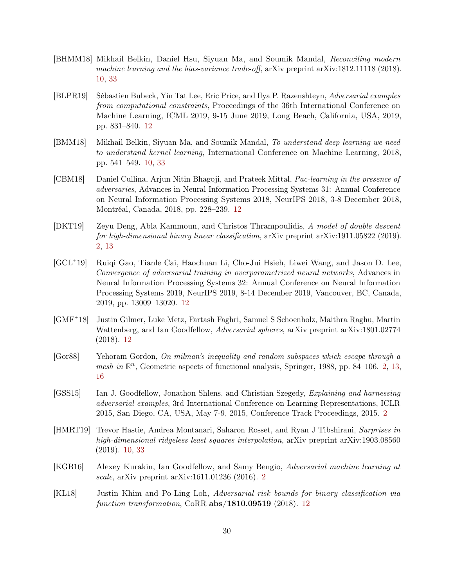- <span id="page-29-5"></span>[BHMM18] Mikhail Belkin, Daniel Hsu, Siyuan Ma, and Soumik Mandal, Reconciling modern machine learning and the bias-variance trade-off, arXiv preprint arXiv:1812.11118 (2018). [10,](#page-9-2) [33](#page-32-0)
- <span id="page-29-8"></span>[BLPR19] Sébastien Bubeck, Yin Tat Lee, Eric Price, and Ilya P. Razenshteyn, Adversarial examples from computational constraints, Proceedings of the 36th International Conference on Machine Learning, ICML 2019, 9-15 June 2019, Long Beach, California, USA, 2019, pp. 831–840. [12](#page-11-1)
- <span id="page-29-4"></span>[BMM18] Mikhail Belkin, Siyuan Ma, and Soumik Mandal, To understand deep learning we need to understand kernel learning, International Conference on Machine Learning, 2018, pp. 541–549. [10,](#page-9-2) [33](#page-32-0)
- <span id="page-29-9"></span>[CBM18] Daniel Cullina, Arjun Nitin Bhagoji, and Prateek Mittal, Pac-learning in the presence of adversaries, Advances in Neural Information Processing Systems 31: Annual Conference on Neural Information Processing Systems 2018, NeurIPS 2018, 3-8 December 2018, Montréal, Canada, 2018, pp. 228–239. [12](#page-11-1)
- <span id="page-29-3"></span>[DKT19] Zeyu Deng, Abla Kammoun, and Christos Thrampoulidis, A model of double descent for high-dimensional binary linear classification, arXiv preprint arXiv:1911.05822 (2019). [2,](#page-1-0) [13](#page-12-3)
- <span id="page-29-7"></span> $|GCL+19|$ 19] Ruiqi Gao, Tianle Cai, Haochuan Li, Cho-Jui Hsieh, Liwei Wang, and Jason D. Lee, Convergence of adversarial training in overparametrized neural networks, Advances in Neural Information Processing Systems 32: Annual Conference on Neural Information Processing Systems 2019, NeurIPS 2019, 8-14 December 2019, Vancouver, BC, Canada, 2019, pp. 13009–13020. [12](#page-11-1)
- <span id="page-29-11"></span> $[GMF^+18]$ 18] Justin Gilmer, Luke Metz, Fartash Faghri, Samuel S Schoenholz, Maithra Raghu, Martin Wattenberg, and Ian Goodfellow, Adversarial spheres, arXiv preprint arXiv:1801.02774 (2018). [12](#page-11-1)
- <span id="page-29-2"></span>[Gor88] Yehoram Gordon, On milman's inequality and random subspaces which escape through a mesh in  $\mathbb{R}^n$ , Geometric aspects of functional analysis, Springer, 1988, pp. 84–106. [2,](#page-1-0) [13,](#page-12-3) [16](#page-15-3)
- <span id="page-29-0"></span>[GSS15] Ian J. Goodfellow, Jonathon Shlens, and Christian Szegedy, Explaining and harnessing adversarial examples, 3rd International Conference on Learning Representations, ICLR 2015, San Diego, CA, USA, May 7-9, 2015, Conference Track Proceedings, 2015. [2](#page-1-0)
- <span id="page-29-6"></span>[HMRT19] Trevor Hastie, Andrea Montanari, Saharon Rosset, and Ryan J Tibshirani, Surprises in high-dimensional ridgeless least squares interpolation, arXiv preprint arXiv:1903.08560 (2019). [10,](#page-9-2) [33](#page-32-0)
- <span id="page-29-1"></span>[KGB16] Alexey Kurakin, Ian Goodfellow, and Samy Bengio, Adversarial machine learning at scale, arXiv preprint arXiv:1611.01236 (2016). [2](#page-1-0)
- <span id="page-29-10"></span>[KL18] Justin Khim and Po-Ling Loh, Adversarial risk bounds for binary classification via function transformation, CoRR  $abs/1810.09519$  (2018). [12](#page-11-1)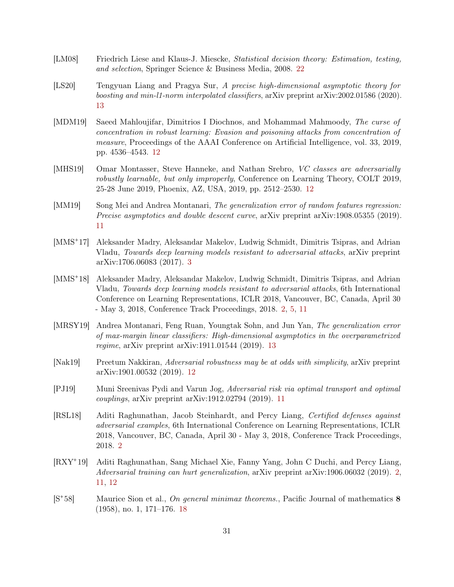- <span id="page-30-12"></span>[LM08] Friedrich Liese and Klaus-J. Miescke, Statistical decision theory: Estimation, testing, and selection, Springer Science & Business Media, 2008. [22](#page-21-4)
- <span id="page-30-10"></span>[LS20] Tengyuan Liang and Pragya Sur, A precise high-dimensional asymptotic theory for boosting and min-l1-norm interpolated classifiers, arXiv preprint arXiv:2002.01586 (2020). [13](#page-12-3)
- <span id="page-30-8"></span>[MDM19] Saeed Mahloujifar, Dimitrios I Diochnos, and Mohammad Mahmoody, The curse of concentration in robust learning: Evasion and poisoning attacks from concentration of measure, Proceedings of the AAAI Conference on Artificial Intelligence, vol. 33, 2019, pp. 4536–4543. [12](#page-11-1)
- <span id="page-30-7"></span>[MHS19] Omar Montasser, Steve Hanneke, and Nathan Srebro, VC classes are adversarially robustly learnable, but only improperly, Conference on Learning Theory, COLT 2019, 25-28 June 2019, Phoenix, AZ, USA, 2019, pp. 2512–2530. [12](#page-11-1)
- <span id="page-30-4"></span>[MM19] Song Mei and Andrea Montanari, The generalization error of random features regression: Precise asymptotics and double descent curve, arXiv preprint arXiv:1908.05355 (2019). [11](#page-10-2)
- <span id="page-30-3"></span> $[MMS^+17]$ 17] Aleksander Madry, Aleksandar Makelov, Ludwig Schmidt, Dimitris Tsipras, and Adrian Vladu, Towards deep learning models resistant to adversarial attacks, arXiv preprint arXiv:1706.06083 (2017). [3](#page-2-2)
- <span id="page-30-0"></span> $[MMS^+18]$ 18] Aleksander Madry, Aleksandar Makelov, Ludwig Schmidt, Dimitris Tsipras, and Adrian Vladu, Towards deep learning models resistant to adversarial attacks, 6th International Conference on Learning Representations, ICLR 2018, Vancouver, BC, Canada, April 30 - May 3, 2018, Conference Track Proceedings, 2018. [2,](#page-1-0) [5,](#page-4-3) [11](#page-10-2)
- <span id="page-30-9"></span>[MRSY19] Andrea Montanari, Feng Ruan, Youngtak Sohn, and Jun Yan, The generalization error of max-margin linear classifiers: High-dimensional asymptotics in the overparametrized regime, arXiv preprint arXiv:1911.01544 (2019). [13](#page-12-3)
- <span id="page-30-6"></span>[Nak19] Preetum Nakkiran, Adversarial robustness may be at odds with simplicity, arXiv preprint arXiv:1901.00532 (2019). [12](#page-11-1)
- <span id="page-30-5"></span>[PJ19] Muni Sreenivas Pydi and Varun Jog, Adversarial risk via optimal transport and optimal couplings, arXiv preprint arXiv:1912.02794 (2019). [11](#page-10-2)
- <span id="page-30-1"></span>[RSL18] Aditi Raghunathan, Jacob Steinhardt, and Percy Liang, Certified defenses against adversarial examples, 6th International Conference on Learning Representations, ICLR 2018, Vancouver, BC, Canada, April 30 - May 3, 2018, Conference Track Proceedings, 2018. [2](#page-1-0)
- <span id="page-30-2"></span> $[RXY^+19]$ 19] Aditi Raghunathan, Sang Michael Xie, Fanny Yang, John C Duchi, and Percy Liang, Adversarial training can hurt generalization, arXiv preprint arXiv:1906.06032 (2019). [2,](#page-1-0) [11,](#page-10-2) [12](#page-11-1)
- <span id="page-30-11"></span> $[S^+58]$ Maurice Sion et al., On general minimax theorems., Pacific Journal of mathematics 8 (1958), no. 1, 171–176. [18](#page-17-2)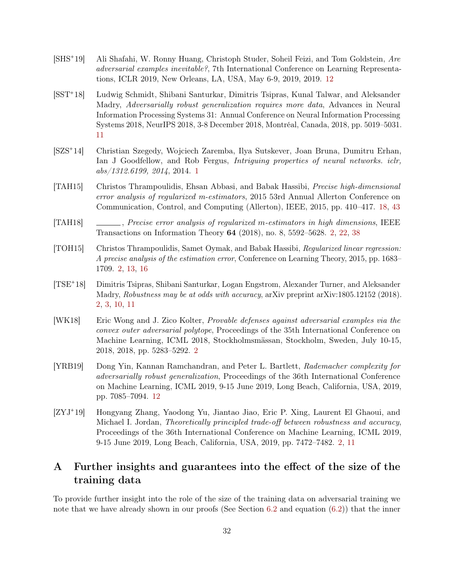- <span id="page-31-9"></span> $\left|{\rm SHS^+19}\right|$ Ali Shafahi, W. Ronny Huang, Christoph Studer, Soheil Feizi, and Tom Goldstein, Are adversarial examples inevitable?, 7th International Conference on Learning Representations, ICLR 2019, New Orleans, LA, USA, May 6-9, 2019, 2019. [12](#page-11-1)
- <span id="page-31-7"></span> $[**SST**<sup>+</sup>**18**]$ 18] Ludwig Schmidt, Shibani Santurkar, Dimitris Tsipras, Kunal Talwar, and Aleksander Madry, Adversarially robust generalization requires more data, Advances in Neural Information Processing Systems 31: Annual Conference on Neural Information Processing Systems 2018, NeurIPS 2018, 3-8 December 2018, Montréal, Canada, 2018, pp. 5019–5031. [11](#page-10-2)
- <span id="page-31-0"></span> $[SZS^+14]$ 14] Christian Szegedy, Wojciech Zaremba, Ilya Sutskever, Joan Bruna, Dumitru Erhan, Ian J Goodfellow, and Rob Fergus, Intriguing properties of neural networks. iclr, abs/1312.6199, 2014, 2014. [1](#page-0-1)
- <span id="page-31-10"></span>[TAH15] Christos Thrampoulidis, Ehsan Abbasi, and Babak Hassibi, Precise high-dimensional error analysis of regularized m-estimators, 2015 53rd Annual Allerton Conference on Communication, Control, and Computing (Allerton), IEEE, 2015, pp. 410–417. [18,](#page-17-2) [43](#page-42-1)
- <span id="page-31-5"></span>[TAH18] , Precise error analysis of regularized m-estimators in high dimensions, IEEE Transactions on Information Theory 64 (2018), no. 8, 5592–5628. [2,](#page-1-0) [22,](#page-21-4) [38](#page-37-0)
- <span id="page-31-4"></span>[TOH15] Christos Thrampoulidis, Samet Oymak, and Babak Hassibi, Regularized linear regression: A precise analysis of the estimation error, Conference on Learning Theory, 2015, pp. 1683– 1709. [2,](#page-1-0) [13,](#page-12-3) [16](#page-15-3)
- <span id="page-31-2"></span> $[TSE^+18]$ 18] Dimitris Tsipras, Shibani Santurkar, Logan Engstrom, Alexander Turner, and Aleksander Madry, Robustness may be at odds with accuracy, arXiv preprint arXiv:1805.12152 (2018). [2,](#page-1-0) [3,](#page-2-2) [10,](#page-9-2) [11](#page-10-2)
- <span id="page-31-1"></span>[WK18] Eric Wong and J. Zico Kolter, Provable defenses against adversarial examples via the convex outer adversarial polytope, Proceedings of the 35th International Conference on Machine Learning, ICML 2018, Stockholmsmässan, Stockholm, Sweden, July 10-15, 2018, 2018, pp. 5283–5292. [2](#page-1-0)
- <span id="page-31-8"></span>[YRB19] Dong Yin, Kannan Ramchandran, and Peter L. Bartlett, Rademacher complexity for adversarially robust generalization, Proceedings of the 36th International Conference on Machine Learning, ICML 2019, 9-15 June 2019, Long Beach, California, USA, 2019, pp. 7085–7094. [12](#page-11-1)
- <span id="page-31-3"></span> $[ZYJ^+19]$ 19] Hongyang Zhang, Yaodong Yu, Jiantao Jiao, Eric P. Xing, Laurent El Ghaoui, and Michael I. Jordan, Theoretically principled trade-off between robustness and accuracy, Proceedings of the 36th International Conference on Machine Learning, ICML 2019, 9-15 June 2019, Long Beach, California, USA, 2019, pp. 7472–7482. [2,](#page-1-0) [11](#page-10-2)

# <span id="page-31-6"></span>A Further insights and guarantees into the effect of the size of the training data

To provide further insight into the role of the size of the training data on adversarial training we note that we have already shown in our proofs (See Section  $6.2$  and equation  $(6.2)$ ) that the inner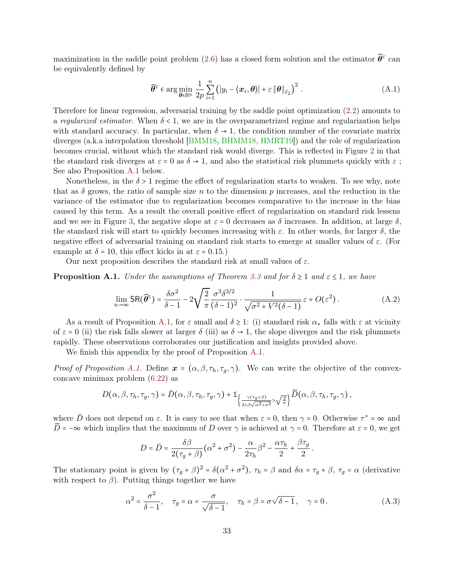<span id="page-32-0"></span>maximization in the saddle point problem [\(2.6\)](#page-3-3) has a closed form solution and the estimator  $\widehat{\theta}^{\varepsilon}$  can be equivalently defined by

$$
\widehat{\theta}^{\varepsilon} \in \arg\min_{\theta \in \mathbb{R}^p} \frac{1}{2p} \sum_{i=1}^n (|y_i - \langle \boldsymbol{x}_i, \theta \rangle| + \varepsilon \|\theta\|_{\ell_2})^2.
$$
 (A.1)

Therefore for linear regression, adversarial training by the saddle point optimization [\(2.2\)](#page-2-1) amounts to a regularized estimator. When  $\delta$  < 1, we are in the overparametrized regime and regularization helps with standard accuracy. In particular, when  $\delta \to 1$ , the condition number of the covariate matrix diverges (a.k.a interpolation threshold [\[BMM18,](#page-29-4) [BHMM18,](#page-29-5) [HMRT19\]](#page-29-6)) and the role of regularization becomes crucial, without which the standard risk would diverge. This is reflected in Figure [2](#page-8-1) in that the standard risk diverges at  $\varepsilon = 0$  as  $\delta \to 1$ , and also the statistical risk plummets quickly with  $\varepsilon$ ; See also Proposition [A.1](#page-32-1) below.

Nonetheless, in the  $\delta > 1$  regime the effect of regularization starts to weaken. To see why, note that as  $\delta$  grows, the ratio of sample size n to the dimension p increases, and the reduction in the variance of the estimator due to regularization becomes comparative to the increase in the bias caused by this term. As a result the overall positive effect of regularization on standard risk lessens and we see in Figure [3,](#page-9-1) the negative slope at  $\varepsilon = 0$  decreases as  $\delta$  increases. In addition, at large  $\delta$ , the standard risk will start to quickly becomes increasing with  $\varepsilon$ . In other words, for larger  $\delta$ , the negative effect of adversarial training on standard risk starts to emerge at smaller values of  $\varepsilon$ . (For example at  $\delta = 10$ , this effect kicks in at  $\varepsilon = 0.15$ .)

Our next proposition describes the standard risk at small values of  $\varepsilon$ .

<span id="page-32-1"></span>**Proposition A.1.** Under the assumptions of Theorem [3.3](#page-6-1) and for  $\delta \ge 1$  and  $\varepsilon \le 1$ , we have

$$
\lim_{n \to \infty} \text{SR}(\widehat{\theta}^{\epsilon}) = \frac{\delta \sigma^2}{\delta - 1} - 2\sqrt{\frac{2}{\pi}} \frac{\sigma^3 \delta^{3/2}}{(\delta - 1)^2} \cdot \frac{1}{\sqrt{\sigma^2 + V^2(\delta - 1)}} \varepsilon + O(\varepsilon^2). \tag{A.2}
$$

As a result of Proposition [A.1,](#page-32-1) for  $\varepsilon$  small and  $\delta \geq 1$ : (i) standard risk  $\alpha_*$  falls with  $\varepsilon$  at vicinity of  $\varepsilon = 0$  (ii) the risk falls slower at larger  $\delta$  (iii) as  $\delta \to 1$ , the slope diverges and the risk plummets rapidly. These observations corroborates our justification and insights provided above.

We finish this appendix by the proof of Proposition [A.1.](#page-32-1)

*Proof of Proposition [A.1.](#page-32-1)* Define  $x = (\alpha, \beta, \tau_h, \tau_q, \gamma)$ . We can write the objective of the convexconcave minimax problem [\(6.22\)](#page-21-0) as

$$
D(\alpha,\beta,\tau_h,\tau_g,\gamma)=\bar{D}(\alpha,\beta,\tau_h,\tau_g,\gamma)+\mathbb{1}_{\left\{\frac{\gamma(\tau_g+\beta)}{\delta \varepsilon \beta \sqrt{\alpha^2+\sigma^2}}>\sqrt{\frac{2}{\pi}}\right\}}\widetilde{D}(\alpha,\beta,\tau_h,\tau_g,\gamma)\,,
$$

where  $\bar{D}$  does not depend on  $\varepsilon$ . It is easy to see that when  $\varepsilon = 0$ , then  $\gamma = 0$ . Otherwise  $\tau^* = \infty$  and  $\widetilde{D}$  = −∞ which implies that the maximum of D over  $\gamma$  is achieved at  $\gamma = 0$ . Therefore at  $\varepsilon = 0$ , we get

$$
D = \bar{D} = \frac{\delta\beta}{2(\tau_g + \beta)}(\alpha^2 + \sigma^2) - \frac{\alpha}{2\tau_h}\beta^2 - \frac{\alpha\tau_h}{2} + \frac{\beta\tau_g}{2}
$$

The stationary point is given by  $(\tau_g + \beta)^2 = \delta(\alpha^2 + \sigma^2)$ ,  $\tau_h = \beta$  and  $\delta\alpha = \tau_g + \beta$ ,  $\tau_g = \alpha$  (derivative with respect to  $\beta$ ). Putting things together we have

$$
\alpha^2 = \frac{\sigma^2}{\delta - 1}, \quad \tau_g = \alpha = \frac{\sigma}{\sqrt{\delta - 1}}, \quad \tau_h = \beta = \sigma \sqrt{\delta - 1}, \quad \gamma = 0.
$$
 (A.3)

<span id="page-32-2"></span>.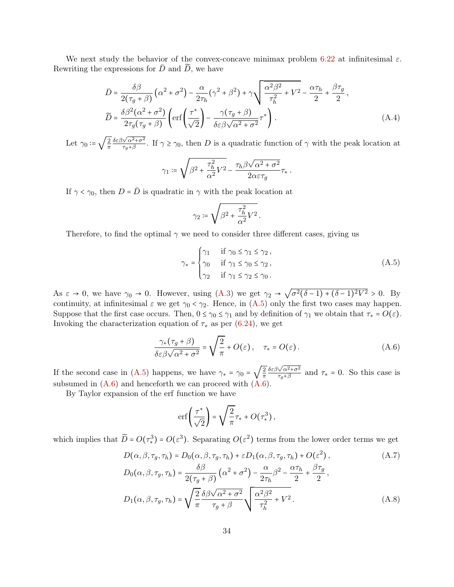We next study the behavior of the convex-concave minimax problem [6.22](#page-21-0) at infinitesimal  $\varepsilon$ . Rewriting the expressions for  $\bar{D}$  and  $\tilde{D}$ , we have

$$
\bar{D} = \frac{\delta\beta}{2(\tau_g + \beta)} \left(\alpha^2 + \sigma^2\right) - \frac{\alpha}{2\tau_h} (\gamma^2 + \beta^2) + \gamma \sqrt{\frac{\alpha^2 \beta^2}{\tau_h^2} + V^2} - \frac{\alpha \tau_h}{2} + \frac{\beta \tau_g}{2},
$$
\n
$$
\widetilde{D} = \frac{\delta\beta^2(\alpha^2 + \sigma^2)}{2\tau_g(\tau_g + \beta)} \left( \text{erf}\left(\frac{\tau^*}{\sqrt{2}}\right) - \frac{\gamma(\tau_g + \beta)}{\delta \varepsilon \beta \sqrt{\alpha^2 + \sigma^2}} \tau^* \right). \tag{A.4}
$$

Let  $\gamma_0 \coloneqq \sqrt{\frac{2}{\pi}}$ π δεβ<sup>√</sup> α2+σ<sup>2</sup>  $\frac{\sqrt{\alpha^2+\sigma^2}}{\tau_g+\beta}$ . If  $\gamma \ge \gamma_0$ , then D is a quadratic function of  $\gamma$  with the peak location at

$$
\gamma_1 \coloneqq \sqrt{\beta^2 + \frac{\tau_h^2}{\alpha^2} V^2} - \frac{\tau_h \beta \sqrt{\alpha^2 + \sigma^2}}{2\alpha \varepsilon \tau_g} \tau_*.
$$

If  $\gamma < \gamma_0$ , then  $D = \overline{D}$  is quadratic in  $\gamma$  with the peak location at

<span id="page-33-0"></span>
$$
\gamma_2 \coloneqq \sqrt{\beta^2 + \frac{\tau_h^2}{\alpha^2} V^2} \,.
$$

Therefore, to find the optimal  $\gamma$  we need to consider three different cases, giving us

$$
\gamma_* = \begin{cases}\n\gamma_1 & \text{if } \gamma_0 \le \gamma_1 \le \gamma_2, \\
\gamma_0 & \text{if } \gamma_1 \le \gamma_0 \le \gamma_2, \\
\gamma_2 & \text{if } \gamma_1 \le \gamma_2 \le \gamma_0.\n\end{cases}
$$
\n(A.5)

As  $\varepsilon \to 0$ , we have  $\gamma_0 \to 0$ . However, using  $(A.3)$  we get  $\gamma_2 \to$ √  $\sigma^2(\delta - 1) + (\delta - 1)^2 V^2 > 0$ . By continuity, at infinitesimal  $\varepsilon$  we get  $\gamma_0 < \gamma_2$ . Hence, in [\(A.5\)](#page-33-0) only the first two cases may happen. Suppose that the first case occurs. Then,  $0 \le \gamma_0 \le \gamma_1$  and by definition of  $\gamma_1$  we obtain that  $\tau_* = O(\varepsilon)$ . Invoking the characterization equation of  $\tau_*$  as per [\(6.24\)](#page-21-3), we get

$$
\frac{\gamma_*(\tau_g + \beta)}{\delta \varepsilon \beta \sqrt{\alpha^2 + \sigma^2}} = \sqrt{\frac{2}{\pi}} + O(\varepsilon), \quad \tau_* = O(\varepsilon).
$$
\n(A.6)

If the second case in [\(A.5\)](#page-33-0) happens, we have  $\gamma_* = \gamma_0 = \sqrt{\frac{2}{\pi}}$ π δεβ<sup>√</sup> α2+σ<sup>2</sup>  $\frac{\sqrt{\alpha^2+\sigma^2}}{\tau_g+\beta}$  and  $\tau_* = 0$ . So this case is subsumed in  $(A.6)$  and henceforth we can proceed with  $(A.6)$ .

By Taylor expansion of the erf function we have

<span id="page-33-1"></span>
$$
\mathrm{erf}\left(\frac{\tau^*}{\sqrt{2}}\right)=\sqrt{\frac{2}{\pi}}\tau_*+O\!\left(\tau_*^3\right),
$$

which implies that  $\widetilde{D} = O(\tau^3) = O(\varepsilon^3)$ . Separating  $O(\varepsilon^2)$  terms from the lower order terms we get

$$
D(\alpha, \beta, \tau_g, \tau_h) = D_0(\alpha, \beta, \tau_g, \tau_h) + \varepsilon D_1(\alpha, \beta, \tau_g, \tau_h) + O(\varepsilon^2),
$$
\n
$$
D(\alpha, \beta, \tau_g, \tau_h) = \frac{\delta \beta}{(\alpha^2 + \tau^2)} \frac{\alpha}{\alpha} \frac{\beta^2}{\beta^2} \frac{\alpha \tau_h}{\beta \tau_g}.
$$
\n(A.7)

$$
D_0(\alpha, \beta, \tau_g, \tau_h) = \frac{\sigma \beta}{2(\tau_g + \beta)} \left(\alpha^2 + \sigma^2\right) - \frac{\alpha}{2\tau_h} \beta^2 - \frac{\alpha \tau_h}{2} + \frac{\beta \tau_g}{2},
$$
  

$$
D_1(\alpha, \beta, \tau_g, \tau_h) = \sqrt{\frac{2}{\pi}} \frac{\delta \beta \sqrt{\alpha^2 + \sigma^2}}{\tau_g + \beta} \sqrt{\frac{\alpha^2 \beta^2}{\tau_h^2} + V^2}.
$$
 (A.8)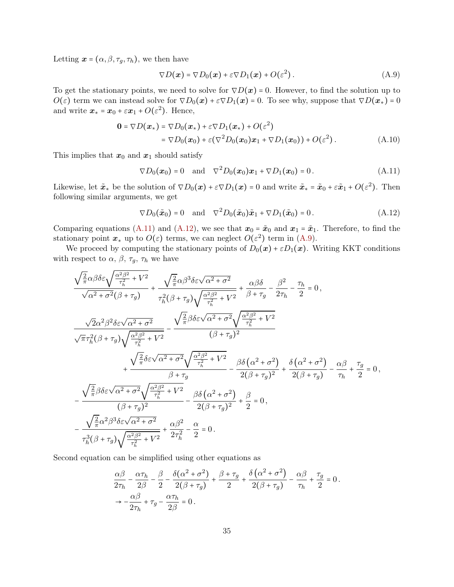Letting  $\mathbf{x} = (\alpha, \beta, \tau_q, \tau_h)$ , we then have

<span id="page-34-2"></span><span id="page-34-0"></span>
$$
\nabla D(\boldsymbol{x}) = \nabla D_0(\boldsymbol{x}) + \varepsilon \nabla D_1(\boldsymbol{x}) + O(\varepsilon^2). \tag{A.9}
$$

To get the stationary points, we need to solve for  $\nabla D(\boldsymbol{x}) = 0$ . However, to find the solution up to  $O(\varepsilon)$  term we can instead solve for  $\nabla D_0(\boldsymbol{x}) + \varepsilon \nabla D_1(\boldsymbol{x}) = 0$ . To see why, suppose that  $\nabla D(\boldsymbol{x}_*) = 0$ and write  $\boldsymbol{x}_* = \boldsymbol{x}_0 + \varepsilon \boldsymbol{x}_1 + O(\varepsilon^2)$ . Hence,

$$
\mathbf{0} = \nabla D(\boldsymbol{x}_*) = \nabla D_0(\boldsymbol{x}_*) + \varepsilon \nabla D_1(\boldsymbol{x}_*) + O(\varepsilon^2)
$$
  
=  $\nabla D_0(\boldsymbol{x}_0) + \varepsilon (\nabla^2 D_0(\boldsymbol{x}_0) \boldsymbol{x}_1 + \nabla D_1(\boldsymbol{x}_0)) + O(\varepsilon^2).$  (A.10)

This implies that  $x_0$  and  $x_1$  should satisfy

$$
\nabla D_0(\boldsymbol{x}_0) = 0
$$
 and  $\nabla^2 D_0(\boldsymbol{x}_0) \boldsymbol{x}_1 + \nabla D_1(\boldsymbol{x}_0) = 0$ . (A.11)

Likewise, let  $\tilde{\mathbf{x}}_*$  be the solution of  $\nabla D_0(\mathbf{x}) + \varepsilon \nabla D_1(\mathbf{x}) = 0$  and write  $\tilde{\mathbf{x}}_* = \tilde{\mathbf{x}}_0 + \varepsilon \tilde{\mathbf{x}}_1 + O(\varepsilon^2)$ . Then following similar arguments, we get

<span id="page-34-1"></span>
$$
\nabla D_0(\tilde{\boldsymbol{x}}_0) = 0 \quad \text{and} \quad \nabla^2 D_0(\tilde{\boldsymbol{x}}_0) \tilde{\boldsymbol{x}}_1 + \nabla D_1(\tilde{\boldsymbol{x}}_0) = 0. \tag{A.12}
$$

Comparing equations [\(A.11\)](#page-34-0) and [\(A.12\)](#page-34-1), we see that  $x_0 = \tilde{x}_0$  and  $x_1 = \tilde{x}_1$ . Therefore, to find the stationary point  $x_*$  up to  $O(\varepsilon)$  terms, we can neglect  $O(\varepsilon^2)$  term in [\(A.9\)](#page-34-2).

We proceed by computing the stationary points of  $D_0(x) + \varepsilon D_1(x)$ . Writing KKT conditions with respect to  $\alpha$ ,  $\beta$ ,  $\tau_g$ ,  $\tau_h$  we have

$$
\begin{split} &\frac{\sqrt{\frac{2}{\pi}}\alpha\beta\delta\varepsilon\sqrt{\frac{\alpha^2\beta^2}{\tau_h^2}+V^2}}{\sqrt{\alpha^2+\sigma^2}(\beta+\tau_g)}+\frac{\sqrt{\frac{2}{\pi}}\alpha\beta^3\delta\varepsilon\sqrt{\alpha^2+\sigma^2}}{\tau_h^2(\beta+\tau_g)\sqrt{\frac{\alpha^2\beta^2}{\tau_h^2}+V^2}}+\frac{\alpha\beta\delta}{\beta+\tau_g}-\frac{\beta^2}{2\tau_h}-\frac{\tau_h}{2}=0\,,\\ &\frac{\sqrt{2}\alpha^2\beta^2\delta\varepsilon\sqrt{\alpha^2+\sigma^2}}{\sqrt{\pi}\tau_h^2(\beta+\tau_g)\sqrt{\frac{\alpha^2\beta^2}{\tau_h^2}+V^2}}-\frac{\sqrt{\frac{2}{\pi}}\beta\delta\varepsilon\sqrt{\alpha^2+\sigma^2}\sqrt{\frac{\alpha^2\beta^2}{\tau_h^2}+V^2}}{(\beta+\tau_g)^2}\\ &\qquad+\frac{\sqrt{\frac{2}{\pi}}\delta\varepsilon\sqrt{\alpha^2+\sigma^2}\sqrt{\frac{\alpha^2\beta^2}{\tau_h^2}+V^2}}{\beta+\tau_g}-\frac{\beta\delta\left(\alpha^2+\sigma^2\right)}{2(\beta+\tau_g)^2}+\frac{\delta\left(\alpha^2+\sigma^2\right)}{2(\beta+\tau_g)}-\frac{\alpha\beta}{\tau_h}+\frac{\tau_g}{2}=0\,,\\ &-\frac{\sqrt{\frac{2}{\pi}}\beta\delta\varepsilon\sqrt{\alpha^2+\sigma^2}\sqrt{\frac{\alpha^2\beta^2}{\tau_h^2}+V^2}}{(\beta+\tau_g)^2}-\frac{\beta\delta\left(\alpha^2+\sigma^2\right)}{2(\beta+\tau_g)^2}+\frac{\beta}{2}=0\,,\\ &-\frac{\sqrt{\frac{2}{\pi}}\alpha^2\beta^3\delta\varepsilon\sqrt{\alpha^2+\sigma^2}}{\tau_h^3(\beta+\tau_g)\sqrt{\frac{\alpha^2\beta^2}{\tau_h^2}+V^2}}+\frac{\alpha\beta^2}{2\tau_h^2}-\frac{\alpha}{2}=0\,. \end{split}
$$

Second equation can be simplified using other equations as

$$
\frac{\alpha\beta}{2\tau_h} - \frac{\alpha\tau_h}{2\beta} - \frac{\beta}{2} - \frac{\delta(\alpha^2 + \sigma^2)}{2(\beta + \tau_g)} + \frac{\beta + \tau_g}{2} + \frac{\delta(\alpha^2 + \sigma^2)}{2(\beta + \tau_g)} - \frac{\alpha\beta}{\tau_h} + \frac{\tau_g}{2} = 0.
$$
  

$$
\rightarrow -\frac{\alpha\beta}{2\tau_h} + \tau_g - \frac{\alpha\tau_h}{2\beta} = 0.
$$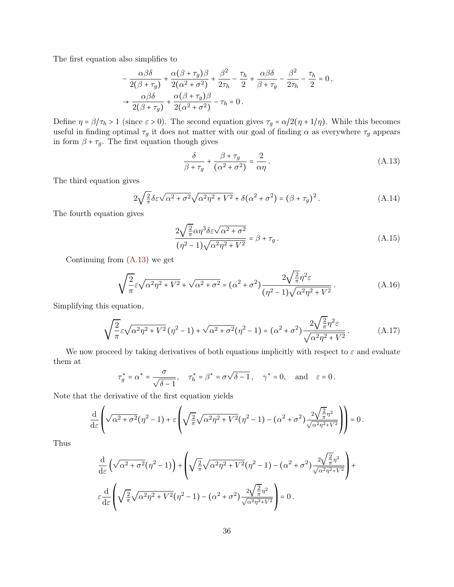The first equation also simplifies to

$$
-\frac{\alpha\beta\delta}{2(\beta+\tau_g)} + \frac{\alpha(\beta+\tau_g)\beta}{2(\alpha^2+\sigma^2)} + \frac{\beta^2}{2\tau_h} - \frac{\tau_h}{2} + \frac{\alpha\beta\delta}{\beta+\tau_g} - \frac{\beta^2}{2\tau_h} - \frac{\tau_h}{2} = 0,
$$
  

$$
\rightarrow \frac{\alpha\beta\delta}{2(\beta+\tau_g)} + \frac{\alpha(\beta+\tau_g)\beta}{2(\alpha^2+\sigma^2)} - \tau_h = 0.
$$

Define  $\eta = \beta/\tau_h > 1$  (since  $\varepsilon > 0$ ). The second equation gives  $\tau_g = \alpha/2(\eta + 1/\eta)$ . While this becomes useful in finding optimal  $\tau_g$  it does not matter with our goal of finding  $\alpha$  as everywhere  $\tau_g$  appears in form  $\beta + \tau_g$ . The first equation though gives

<span id="page-35-0"></span>
$$
\frac{\delta}{\beta + \tau_g} + \frac{\beta + \tau_g}{(\alpha^2 + \sigma^2)} = \frac{2}{\alpha \eta}.
$$
\n(A.13)

The third equation gives

$$
2\sqrt{\frac{2}{\pi}}\delta\varepsilon\sqrt{\alpha^2+\sigma^2}\sqrt{\alpha^2\eta^2+V^2}+\delta(\alpha^2+\sigma^2)=(\beta+\tau_g)^2.
$$
 (A.14)

The fourth equation gives

$$
\frac{2\sqrt{\frac{2}{\pi}}\alpha\eta^3\delta\varepsilon\sqrt{\alpha^2+\sigma^2}}{(\eta^2-1)\sqrt{\alpha^2\eta^2+V^2}} = \beta + \tau_g.
$$
\n(A.15)

Continuing from [\(A.13\)](#page-35-0) we get

$$
\sqrt{\frac{2}{\pi}} \varepsilon \sqrt{\alpha^2 \eta^2 + V^2} + \sqrt{\alpha^2 + \sigma^2} = (\alpha^2 + \sigma^2) \frac{2\sqrt{\frac{2}{\pi}} \eta^2 \varepsilon}{(\eta^2 - 1)\sqrt{\alpha^2 \eta^2 + V^2}}.
$$
\n(A.16)

Simplifying this equation,

$$
\sqrt{\frac{2}{\pi}} \varepsilon \sqrt{\alpha^2 \eta^2 + V^2} \left( \eta^2 - 1 \right) + \sqrt{\alpha^2 + \sigma^2} \left( \eta^2 - 1 \right) = \left( \alpha^2 + \sigma^2 \right) \frac{2 \sqrt{\frac{2}{\pi}} \eta^2 \varepsilon}{\sqrt{\alpha^2 \eta^2 + V^2}}.
$$
\n(A.17)

We now proceed by taking derivatives of both equations implicitly with respect to  $\varepsilon$  and evaluate them at

$$
\tau_g^* = \alpha^* = \frac{\sigma}{\sqrt{\delta - 1}}, \quad \tau_h^* = \beta^* = \sigma\sqrt{\delta - 1}, \quad \gamma^* = 0, \text{ and } \varepsilon = 0.
$$

Note that the derivative of the first equation yields

$$
\frac{\mathrm{d}}{\mathrm{d}\varepsilon}\left(\sqrt{\alpha^2+\sigma^2}(\eta^2-1)+\varepsilon\left(\sqrt{\frac{2}{\pi}}\sqrt{\alpha^2\eta^2+V^2}(\eta^2-1)-\left(\alpha^2+\sigma^2\right)\frac{2\sqrt{\frac{2}{\pi}}\eta^2}{\sqrt{\alpha^2\eta^2+V^2}}\right)\right)=0\,.
$$

Thus

$$
\frac{\mathrm{d}}{\mathrm{d}\varepsilon} \left( \sqrt{\alpha^2 + \sigma^2} (\eta^2 - 1) \right) + \left( \sqrt{\frac{2}{\pi}} \sqrt{\alpha^2 \eta^2 + V^2} (\eta^2 - 1) - (\alpha^2 + \sigma^2) \frac{2\sqrt{\frac{2}{\pi}} \eta^2}{\sqrt{\alpha^2 \eta^2 + V^2}} \right) + \varepsilon \frac{\mathrm{d}}{\mathrm{d}\varepsilon} \left( \sqrt{\frac{2}{\pi}} \sqrt{\alpha^2 \eta^2 + V^2} (\eta^2 - 1) - (\alpha^2 + \sigma^2) \frac{2\sqrt{\frac{2}{\pi}} \eta^2}{\sqrt{\alpha^2 \eta^2 + V^2}} \right) = 0.
$$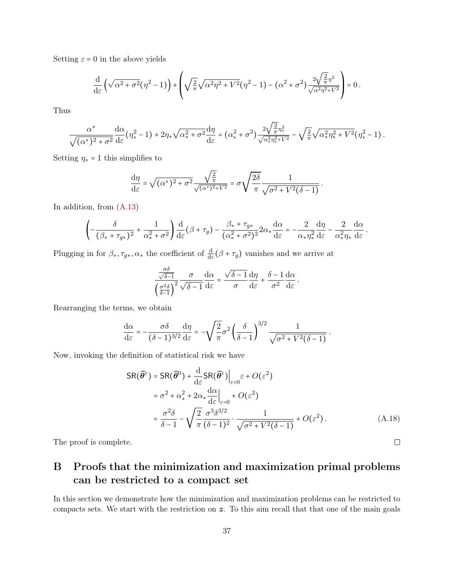Setting  $\varepsilon = 0$  in the above yields

$$
\frac{\mathrm{d}}{\mathrm{d}\varepsilon}\left(\sqrt{\alpha^2+\sigma^2}\big(\eta^2-1\big)\right)+\left(\sqrt{\tfrac{2}{\pi}}\sqrt{\alpha^2\eta^2+V^2}\big(\eta^2-1\big)-\big(\alpha^2+\sigma^2\big)\frac{2\sqrt{\tfrac{2}{\pi}}\eta^2}{\sqrt{\alpha^2\eta^2+V^2}}\right)=0\,.
$$

Thus

$$
\frac{\alpha^*}{\sqrt{(\alpha^*)^2+\sigma^2}}\frac{\mathrm{d}\alpha}{\mathrm{d}\varepsilon}(\eta_*^2-1)+2\eta_*\sqrt{\alpha_*^2+\sigma^2}\frac{\mathrm{d}\eta}{\mathrm{d}\varepsilon}=\left(\alpha_*^2+\sigma^2\right)\frac{2\sqrt{\frac{2}{\pi}}\eta_*^2}{\sqrt{\alpha_*^2\eta_*^2+V^2}}-\sqrt{\frac{2}{\pi}}\sqrt{\alpha_*^2\eta_*^2+V^2}\left(\eta_*^2-1\right).
$$

Setting  $\eta_* = 1$  this simplifies to

$$
\frac{\mathrm{d} \eta}{\mathrm{d} \varepsilon} = \sqrt{(\alpha^*)^2 + \sigma^2} \frac{\sqrt{\frac{2}{\pi}}}{\sqrt{(\alpha^*)^2 + V^2}} = \sigma \sqrt{\frac{2 \delta}{\pi}} \frac{1}{\sqrt{\sigma^2 + V^2(\delta - 1)}} \,.
$$

In addition, from [\(A.13\)](#page-35-0)

$$
\left(-\frac{\delta}{(\beta_{*}+\tau_{g*})^{2}}+\frac{1}{\alpha_{*}^{2}+\sigma^{2}}\right)\frac{\mathrm{d}}{\mathrm{d}\varepsilon}(\beta+\tau_{g})-\frac{\beta_{*}+\tau_{g*}}{(\alpha_{*}^{2}+\sigma^{2})^{2}}2\alpha_{*}\frac{\mathrm{d}\alpha}{\mathrm{d}\varepsilon}=-\frac{2}{\alpha_{*}\eta_{*}^{2}}\frac{\mathrm{d}\eta}{\mathrm{d}\varepsilon}-\frac{2}{\alpha_{*}^{2}\eta_{*}}\frac{\mathrm{d}\alpha}{\mathrm{d}\varepsilon}
$$

Plugging in for  $\beta_*, \tau_{g*}, \alpha_*$  the coefficient of  $\frac{d}{d\varepsilon}(\beta + \tau_g)$  vanishes and we arrive at

$$
\frac{\frac{\sigma\delta}{\sqrt{\delta-1}}}{\left(\frac{\sigma^2\delta}{\delta-1}\right)^2} \frac{\sigma}{\sqrt{\delta-1}} \frac{d\alpha}{d\varepsilon} = \frac{\sqrt{\delta-1}}{\sigma} \frac{d\eta}{d\varepsilon} + \frac{\delta-1}{\sigma^2} \frac{d\alpha}{d\varepsilon}.
$$

Rearranging the terms, we obtain

$$
\frac{\mathrm{d}\alpha}{\mathrm{d}\varepsilon} = -\frac{\sigma\delta}{(\delta-1)^{3/2}}\frac{\mathrm{d}\eta}{\mathrm{d}\varepsilon} = -\sqrt{\frac{2}{\pi}}\sigma^2\left(\frac{\delta}{\delta-1}\right)^{3/2}\frac{1}{\sqrt{\sigma^2+V^2(\delta-1)}}\,.
$$

Now, invoking the definition of statistical risk we have

$$
SR(\widehat{\theta}^{\varepsilon}) = SR(\widehat{\theta}^{0}) + \frac{d}{d\varepsilon} SR(\widehat{\theta}^{\varepsilon})\Big|_{\varepsilon=0} \varepsilon + O(\varepsilon^{2})
$$
  

$$
= \sigma^{2} + \alpha_{*}^{2} + 2\alpha_{*} \frac{d\alpha}{d\varepsilon}\Big|_{\varepsilon=0} + O(\varepsilon^{2})
$$
  

$$
= \frac{\sigma^{2}\delta}{\delta - 1} - \sqrt{\frac{2}{\pi}} \frac{\sigma^{3}\delta^{3/2}}{(\delta - 1)^{2}} \cdot \frac{1}{\sqrt{\sigma^{2} + V^{2}(\delta - 1)}} + O(\varepsilon^{2}).
$$
 (A.18)

The proof is complete.

# <span id="page-36-0"></span>B Proofs that the minimization and maximization primal problems can be restricted to a compact set

In this section we demonstrate how the minimization and maximization problems can be restricted to compacts sets. We start with the restriction on z. To this aim recall that that one of the main goals

 $\Box$ 

.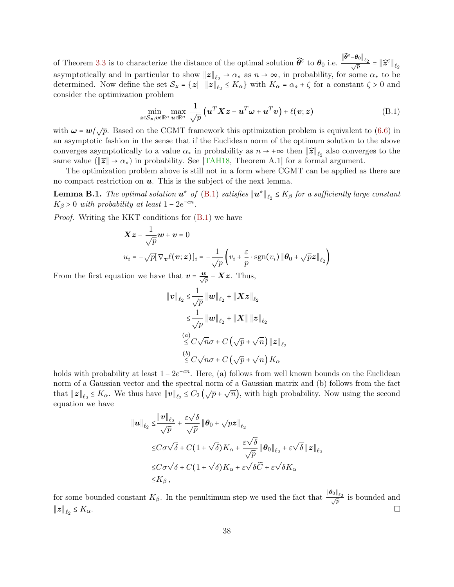<span id="page-37-0"></span>of Theorem [3.3](#page-6-1) is to characterize the distance of the optimal solution  $\widehat{\theta}^{\varepsilon}$  to  $\theta_0$  i.e.  $\frac{\left\Vert \widehat{\boldsymbol{\theta}}^{\varepsilon}-\boldsymbol{\theta}_{0}\right\Vert _{\ell_{2}}}{\sqrt{p}}=\left\Vert \widehat{\boldsymbol{z}}^{\varepsilon}\right\Vert _{\ell_{2}}$ asymptotically and in particular to show  $||z||_{\ell_2} \to \alpha_*$  as  $n \to \infty$ , in probability, for some  $\alpha_*$  to be determined. Now define the set  $\mathcal{S}_z = \{z \mid ||z||_{\ell_2} \le K_\alpha\}$  with  $K_\alpha = \alpha_* + \zeta$  for a constant  $\zeta > 0$  and consider the optimization problem

<span id="page-37-1"></span>
$$
\min_{\boldsymbol{z}\in\mathcal{S}_{\boldsymbol{z}},\boldsymbol{v}\in\mathbb{R}^n}\max_{\boldsymbol{u}\in\mathbb{R}^n}\frac{1}{\sqrt{p}}\left(\boldsymbol{u}^T\boldsymbol{X}\boldsymbol{z}-\boldsymbol{u}^T\boldsymbol{\omega}+\boldsymbol{u}^T\boldsymbol{v}\right)+\ell(\boldsymbol{v};\boldsymbol{z})
$$
(B.1)

with  $\omega = w / \sqrt{p}$ . Based on the CGMT framework this optimization problem is equivalent to [\(6.6\)](#page-15-0) in an asymptotic fashion in the sense that if the Euclidean norm of the optimum solution to the above converges asymptotically to a value  $\alpha_*$  in probability as  $n \to +\infty$  then  $||\hat{z}||_{\ell_2}$  also converges to the same value ( $||\hat{\boldsymbol{z}}|| \rightarrow \alpha_*$ ) in probability. See [\[TAH18,](#page-31-5) Theorem A.1] for a formal argument.

The optimization problem above is still not in a form where CGMT can be applied as there are no compact restriction on  $u$ . This is the subject of the next lemma.

**Lemma B.1.** The optimal solution  $u^*$  of [\(B.1\)](#page-37-1) satisfies  $||u^*||_{\ell_2} \leq K_\beta$  for a sufficiently large constant  $K_{\beta} > 0$  with probability at least  $1 - 2e^{-cn}$ .

Proof. Writing the KKT conditions for [\(B.1\)](#page-37-1) we have

$$
\mathbf{X}\mathbf{z} - \frac{1}{\sqrt{p}}\mathbf{w} + \mathbf{v} = 0
$$
  

$$
u_i = -\sqrt{p}[\nabla_v \ell(\mathbf{v}; \mathbf{z})]_i = -\frac{1}{\sqrt{p}} \left( v_i + \frac{\varepsilon}{p} \cdot \text{sgn}(v_i) \| \boldsymbol{\theta}_0 + \sqrt{p} \mathbf{z} \|_{\ell_2} \right)
$$

From the first equation we have that  $v = \frac{w}{\sqrt{p}} - Xz$ . Thus,

$$
\begin{aligned}\n\|\boldsymbol{v}\|_{\ell_2} &\leq \!\frac{1}{\sqrt{p}} \|\boldsymbol{w}\|_{\ell_2} + \|\boldsymbol{X}\boldsymbol{z}\|_{\ell_2} \\
&\leq \!\frac{1}{\sqrt{p}} \|\boldsymbol{w}\|_{\ell_2} + \|\boldsymbol{X}\| \|\boldsymbol{z}\|_{\ell_2} \\
&\leq C\sqrt{n}\sigma + C\left(\sqrt{p} + \sqrt{n}\right) \|\boldsymbol{z}\|_{\ell_2} \\
&\leq C\sqrt{n}\sigma + C\left(\sqrt{p} + \sqrt{n}\right)K_{\alpha}\n\end{aligned}
$$

holds with probability at least  $1 - 2e^{-cn}$ . Here, (a) follows from well known bounds on the Euclidean norm of a Gaussian vector and the spectral norm of a Gaussian matrix and (b) follows from the fact that  $||z||_{\ell_2} \le K_\alpha$ . We thus have  $||v||_{\ell_2} \le C_2(\sqrt{p} + \sqrt{n})$ , with high probability. Now using the second equation we have

$$
\|u\|_{\ell_2} \leq \frac{\|v\|_{\ell_2}}{\sqrt{p}} + \frac{\varepsilon\sqrt{\delta}}{\sqrt{p}} \|\theta_0 + \sqrt{p}z\|_{\ell_2}
$$
  

$$
\leq C\sigma\sqrt{\delta} + C(1+\sqrt{\delta})K_{\alpha} + \frac{\varepsilon\sqrt{\delta}}{\sqrt{p}} \|\theta_0\|_{\ell_2} + \varepsilon\sqrt{\delta}\|z\|_{\ell_2}
$$
  

$$
\leq C\sigma\sqrt{\delta} + C(1+\sqrt{\delta})K_{\alpha} + \varepsilon\sqrt{\delta}\widetilde{C} + \varepsilon\sqrt{\delta}K_{\alpha}
$$
  

$$
\leq K_{\beta},
$$

for some bounded constant  $K_{\beta}$ . In the penultimum step we used the fact that  $\frac{\|\theta_0\|_{\ell_2}}{\sqrt{p}}$  is bounded and  $||z||_{\ell_2} \leq K_{\alpha}$ .  $\Box$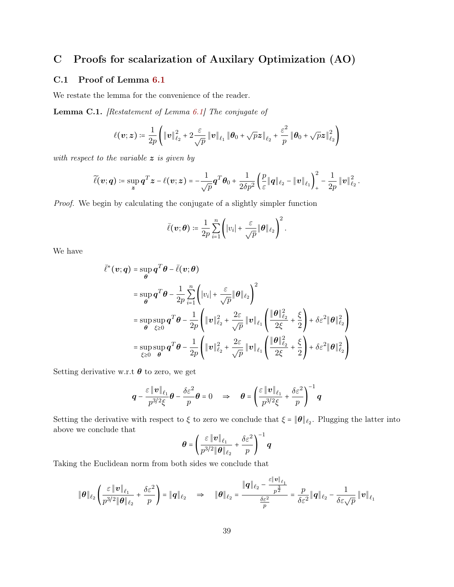# C Proofs for scalarization of Auxilary Optimization (AO)

## <span id="page-38-0"></span>C.1 Proof of Lemma [6.1](#page-17-3)

We restate the lemma for the convenience of the reader.

Lemma C.1. [Restatement of Lemma [6.1\]](#page-17-3) The conjugate of

$$
\ell(\boldsymbol{v};\boldsymbol{z})\coloneqq\frac{1}{2p}\left(\left\|\boldsymbol{v}\right\|^{2}_{\ell_{2}}+2\frac{\varepsilon}{\sqrt{p}}\left\|\boldsymbol{v}\right\|_{\ell_{1}}\left\|\boldsymbol{\theta}_{0}+\sqrt{p}\boldsymbol{z}\right\|_{\ell_{2}}+\frac{\varepsilon^{2}}{p}\left\|\boldsymbol{\theta}_{0}+\sqrt{p}\boldsymbol{z}\right\|^{2}_{\ell_{2}}\right)
$$

with respect to the variable  $z$  is given by

$$
\widetilde{\ell}(\boldsymbol{v};\boldsymbol{q})\coloneqq \sup_{\boldsymbol{z}} \boldsymbol{q}^T\boldsymbol{z}-\ell(\boldsymbol{v};\boldsymbol{z})=-\frac{1}{\sqrt{p}}\boldsymbol{q}^T\boldsymbol{\theta}_0+\frac{1}{2\delta p^2}\left(\frac{p}{\varepsilon}\|\boldsymbol{q}\|_{\ell_2}-\|\boldsymbol{v}\|_{\ell_1}\right)_+^2-\frac{1}{2p}\|\boldsymbol{v}\|_{\ell_2}^2\,.
$$

Proof. We begin by calculating the conjugate of a slightly simpler function

$$
\bar{\ell}(\boldsymbol{v};\boldsymbol{\theta}) \coloneqq \frac{1}{2p} \sum_{i=1}^n \left( |v_i| + \frac{\varepsilon}{\sqrt{p}} \|\boldsymbol{\theta}\|_{\ell_2} \right)^2.
$$

We have

$$
\bar{\ell}^*(\mathbf{v}; \mathbf{q}) = \sup_{\theta} \mathbf{q}^T \theta - \bar{\ell}(\mathbf{v}; \theta)
$$
\n
$$
= \sup_{\theta} \mathbf{q}^T \theta - \frac{1}{2p} \sum_{i=1}^n \left( |v_i| + \frac{\varepsilon}{\sqrt{p}} \|\theta\|_{\ell_2} \right)^2
$$
\n
$$
= \sup_{\theta} \sup_{\xi \ge 0} \mathbf{q}^T \theta - \frac{1}{2p} \left( \|\mathbf{v}\|_{\ell_2}^2 + \frac{2\varepsilon}{\sqrt{p}} \|\mathbf{v}\|_{\ell_1} \left( \frac{\|\theta\|_{\ell_2}^2}{2\xi} + \frac{\xi}{2} \right) + \delta\varepsilon^2 \|\theta\|_{\ell_2}^2 \right)
$$
\n
$$
= \sup_{\xi \ge 0} \sup_{\theta} \mathbf{q}^T \theta - \frac{1}{2p} \left( \|\mathbf{v}\|_{\ell_2}^2 + \frac{2\varepsilon}{\sqrt{p}} \|\mathbf{v}\|_{\ell_1} \left( \frac{\|\theta\|_{\ell_2}^2}{2\xi} + \frac{\xi}{2} \right) + \delta\varepsilon^2 \|\theta\|_{\ell_2}^2 \right)
$$

Setting derivative w.r.t  $\boldsymbol{\theta}$  to zero, we get

$$
\boldsymbol{q} - \frac{\varepsilon \left\| \boldsymbol{v} \right\|_{\ell_1}}{p^{3/2} \xi} \boldsymbol{\theta} - \frac{\delta \varepsilon^2}{p} \boldsymbol{\theta} = 0 \quad \Rightarrow \quad \boldsymbol{\theta} = \left( \frac{\varepsilon \left\| \boldsymbol{v} \right\|_{\ell_1}}{p^{3/2} \xi} + \frac{\delta \varepsilon^2}{p} \right)^{-1} \boldsymbol{q}
$$

Setting the derivative with respect to  $\xi$  to zero we conclude that  $\xi = ||\boldsymbol{\theta}||_{\ell_2}$ . Plugging the latter into above we conclude that

$$
\boldsymbol{\theta} = \left(\frac{\varepsilon \left\|\boldsymbol{v}\right\|_{\ell_1}}{p^{3/2} \|\boldsymbol{\theta}\|_{\ell_2}} + \frac{\delta \varepsilon^2}{p}\right)^{-1} \boldsymbol{q}
$$

Taking the Euclidean norm from both sides we conclude that

$$
\|\boldsymbol{\theta}\|_{\ell_2}\left(\frac{\varepsilon\,\|\boldsymbol{v}\|_{\ell_1}}{p^{3/2}\|\boldsymbol{\theta}\|_{\ell_2}}+\frac{\delta\varepsilon^2}{p}\right)=\|\boldsymbol{q}\|_{\ell_2}\quad\Rightarrow\quad\|\boldsymbol{\theta}\|_{\ell_2}=\frac{\|\boldsymbol{q}\|_{\ell_2}-\frac{\varepsilon\,\|\boldsymbol{v}\|_{\ell_1}}{p^{\frac{3}{2}}}}{\frac{\delta\varepsilon^2}{p}}=\frac{p}{\delta\varepsilon^2}\|\boldsymbol{q}\|_{\ell_2}-\frac{1}{\delta\varepsilon\sqrt{p}}\,\|\boldsymbol{v}\|_{\ell_1}
$$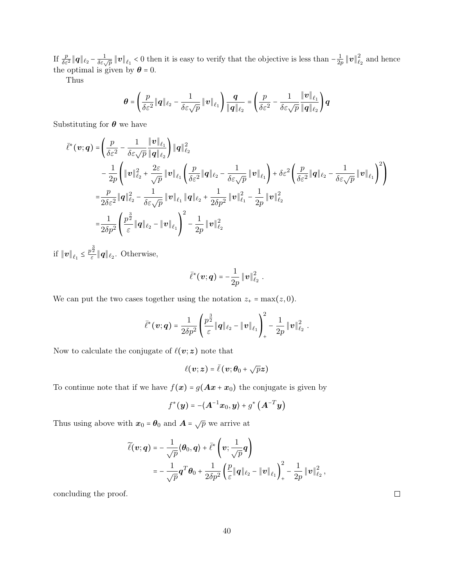If  $\frac{p}{\delta \varepsilon^2} \|q\|_{\ell_2} - \frac{1}{\delta \varepsilon \sqrt{p}} \|v\|_{\ell_1} < 0$  then it is easy to verify that the objective is less than  $-\frac{1}{2p}$  $\frac{1}{2p}\left\Vert \bm{v}\right\Vert _{\ell}^{2}$  $\epsilon_2^2$  and hence the optimal is given by  $\boldsymbol{\theta} = 0$ .

Thus

$$
\boldsymbol{\theta} = \left(\frac{p}{\delta \varepsilon^2} \|\mathbf{q}\|_{\ell_2} - \frac{1}{\delta \varepsilon \sqrt{p}} \|\mathbf{v}\|_{\ell_1}\right) \frac{\mathbf{q}}{\|\mathbf{q}\|_{\ell_2}} = \left(\frac{p}{\delta \varepsilon^2} - \frac{1}{\delta \varepsilon \sqrt{p}} \frac{\|\mathbf{v}\|_{\ell_1}}{\|\mathbf{q}\|_{\ell_2}}\right) \mathbf{q}
$$

Substituting for  $\theta$  we have

$$
\bar{\ell}^*(\mathbf{v};\mathbf{q}) = \left(\frac{p}{\delta\varepsilon^2} - \frac{1}{\delta\varepsilon\sqrt{p}} \frac{\|\mathbf{v}\|_{\ell_1}}{\|\mathbf{q}\|_{\ell_2}}\right) \|\mathbf{q}\|_{\ell_2}^2 \n- \frac{1}{2p} \left(\|\mathbf{v}\|_{\ell_2}^2 + \frac{2\varepsilon}{\sqrt{p}} \|\mathbf{v}\|_{\ell_1} \left(\frac{p}{\delta\varepsilon^2} \|\mathbf{q}\|_{\ell_2} - \frac{1}{\delta\varepsilon\sqrt{p}} \|\mathbf{v}\|_{\ell_1}\right) + \delta\varepsilon^2 \left(\frac{p}{\delta\varepsilon^2} \|\mathbf{q}\|_{\ell_2} - \frac{1}{\delta\varepsilon\sqrt{p}} \|\mathbf{v}\|_{\ell_1}\right)^2\right) \n= \frac{p}{2\delta\varepsilon^2} \|\mathbf{q}\|_{\ell_2}^2 - \frac{1}{\delta\varepsilon\sqrt{p}} \|\mathbf{v}\|_{\ell_1} \|\mathbf{q}\|_{\ell_2} + \frac{1}{2\delta p^2} \|\mathbf{v}\|_{\ell_1}^2 - \frac{1}{2p} \|\mathbf{v}\|_{\ell_2}^2 \n= \frac{1}{2\delta p^2} \left(\frac{p^{\frac{3}{2}}}{\varepsilon} \|\mathbf{q}\|_{\ell_2} - \|\mathbf{v}\|_{\ell_1}\right)^2 - \frac{1}{2p} \|\mathbf{v}\|_{\ell_2}^2
$$

if  $\|\boldsymbol{v}\|_{\ell_1} \leq \frac{p^{\frac{3}{2}}}{\varepsilon}$  $\frac{\partial^2}{\partial \varepsilon}$  ||q||<sub> $\ell_2$ </sub>. Otherwise,

$$
\bar{\ell}^*(\boldsymbol{v};\boldsymbol{q})=-\frac{1}{2p}\left\Vert \boldsymbol{v}\right\Vert_{\ell_2}^2.
$$

We can put the two cases together using the notation  $z_+ = \max(z, 0)$ .

$$
\bar{\ell}^*(\mathbf{v};\mathbf{q}) = \frac{1}{2\delta p^2} \left( \frac{p^{\frac{3}{2}}}{\varepsilon} \|\mathbf{q}\|_{\ell_2} - \|\mathbf{v}\|_{\ell_1} \right)_+^2 - \frac{1}{2p} \|\mathbf{v}\|_{\ell_2}^2.
$$

Now to calculate the conjugate of  $\ell(v; z)$  note that

$$
\ell(\boldsymbol{v};\boldsymbol{z}) = \bar{\ell}(\boldsymbol{v};\boldsymbol{\theta}_0 + \sqrt{p}\boldsymbol{z})
$$

To continue note that if we have  $f(x) = g(Ax + x_0)$  the conjugate is given by

$$
f^*(\boldsymbol{y}) = -\langle \boldsymbol{A}^{-1}\boldsymbol{x}_0, \boldsymbol{y} \rangle + g^*\left(\boldsymbol{A}^{-T}\boldsymbol{y}\right)
$$

Thus using above with  $x_0 = \theta_0$  and  $\mathbf{A} = \sqrt{p}$  we arrive at

$$
\widetilde{\ell}(\boldsymbol{v};\boldsymbol{q}) = -\frac{1}{\sqrt{p}}\langle \boldsymbol{\theta}_0, \boldsymbol{q} \rangle + \bar{\ell}^* \left( \boldsymbol{v}; \frac{1}{\sqrt{p}} \boldsymbol{q} \right) \n= -\frac{1}{\sqrt{p}} \boldsymbol{q}^T \boldsymbol{\theta}_0 + \frac{1}{2\delta p^2} \left( \frac{p}{\varepsilon} \|\boldsymbol{q}\|_{\ell_2} - \|\boldsymbol{v}\|_{\ell_1} \right)_+^2 - \frac{1}{2p} \|\boldsymbol{v}\|_{\ell_2}^2,
$$

<span id="page-39-0"></span>concluding the proof.

 $\Box$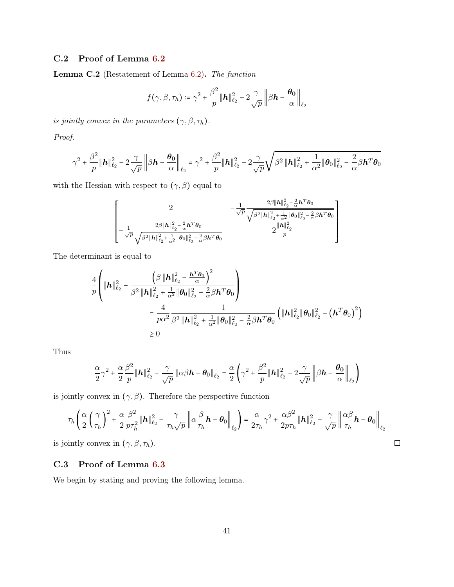## C.2 Proof of Lemma [6.2](#page-18-2)

Lemma C.2 (Restatement of Lemma [6.2\)](#page-18-2). The function

$$
f(\gamma, \beta, \tau_h) \coloneqq \gamma^2 + \frac{\beta^2}{p} \|\mathbf{h}\|_{\ell_2}^2 - 2\frac{\gamma}{\sqrt{p}} \left\| \beta \mathbf{h} - \frac{\boldsymbol{\theta_0}}{\alpha} \right\|_{\ell_2}
$$

is jointly convex in the parameters  $(\gamma, \beta, \tau_h)$ .

Proof.

$$
\gamma^2+\frac{\beta^2}{p}\|\boldsymbol{h}\|_{\ell_2}^2-2\frac{\gamma}{\sqrt{p}}\left\|\beta\boldsymbol{h}-\frac{\boldsymbol{\theta_0}}{\alpha}\right\|_{\ell_2}=\gamma^2+\frac{\beta^2}{p}\|\boldsymbol{h}\|_{\ell_2}^2-2\frac{\gamma}{\sqrt{p}}\sqrt{\beta^2\left\|\boldsymbol{h}\right\|_{\ell_2}^2+\frac{1}{\alpha^2}\|\boldsymbol{\theta_0}\|_{\ell_2}^2-\frac{2}{\alpha}\beta\boldsymbol{h}^T\boldsymbol{\theta_0}}
$$

with the Hessian with respect to  $(\gamma,\beta)$  equal to

$$
\left[-\frac{2}{\sqrt{p}}\frac{2\beta\|\mathbf{h}\|_{\ell_2}^2 - \frac{2}{\alpha}\mathbf{h}^T\boldsymbol{\theta}_0}{\sqrt{\beta^2\|\mathbf{h}\|_{\ell_2}^2 - \frac{2}{\alpha}\mathbf{h}^T\boldsymbol{\theta}_0}} - \frac{1}{\sqrt{p}}\frac{2\beta\|\mathbf{h}\|_{\ell_2}^2 - \frac{2}{\alpha}\mathbf{h}^T\boldsymbol{\theta}_0}{\sqrt{\beta^2\|\mathbf{h}\|_{\ell_2}^2 - \frac{2}{\alpha}\mathbf{h}^T\boldsymbol{\theta}_0}}}{2\frac{\|\mathbf{h}\|_{\ell_2}^2}{p}}\right]
$$

The determinant is equal to

$$
\frac{4}{p} \left( \|\mathbf{h}\|_{\ell_2}^2 - \frac{\left(\beta \|\mathbf{h}\|_{\ell_2}^2 - \frac{\mathbf{h}^T \boldsymbol{\theta}_0}{\alpha}\right)^2}{\beta^2 \|\mathbf{h}\|_{\ell_2}^2 + \frac{1}{\alpha^2} \|\boldsymbol{\theta}_0\|_{\ell_2}^2 - \frac{2}{\alpha} \beta \mathbf{h}^T \boldsymbol{\theta}_0} \right) \n= \frac{4}{p \alpha^2} \frac{1}{\beta^2 \|\mathbf{h}\|_{\ell_2}^2 + \frac{1}{\alpha^2} \|\boldsymbol{\theta}_0\|_{\ell_2}^2 - \frac{2}{\alpha} \beta \mathbf{h}^T \boldsymbol{\theta}_0} \left( \|\mathbf{h}\|_{\ell_2}^2 \|\boldsymbol{\theta}_0\|_{\ell_2}^2 - \left(\mathbf{h}^T \boldsymbol{\theta}_0\right)^2 \right) \n\geq 0
$$

Thus

$$
\frac{\alpha}{2}\gamma^2 + \frac{\alpha}{2}\frac{\beta^2}{p}\|\mathbf{h}\|_{\ell_2}^2 - \frac{\gamma}{\sqrt{p}}\|\alpha\beta\mathbf{h} - \theta_0\|_{\ell_2} = \frac{\alpha}{2}\left(\gamma^2 + \frac{\beta^2}{p}\|\mathbf{h}\|_{\ell_2}^2 - 2\frac{\gamma}{\sqrt{p}}\left\|\beta\mathbf{h} - \frac{\theta_0}{\alpha}\right\|_{\ell_2}\right)
$$

is jointly convex in  $(\gamma, \beta)$ . Therefore the perspective function

$$
\tau_h \left( \frac{\alpha}{2} \left( \frac{\gamma}{\tau_h} \right)^2 + \frac{\alpha}{2} \frac{\beta^2}{p \tau_h^2} \|\mathbf{h}\|_{\ell_2}^2 - \frac{\gamma}{\tau_h \sqrt{p}} \left\| \alpha \frac{\beta}{\tau_h} \mathbf{h} - \theta_0 \right\|_{\ell_2} \right) = \frac{\alpha}{2\tau_h} \gamma^2 + \frac{\alpha \beta^2}{2p \tau_h} \|\mathbf{h}\|_{\ell_2}^2 - \frac{\gamma}{\sqrt{p}} \left\| \frac{\alpha \beta}{\tau_h} \mathbf{h} - \theta_0 \right\|_{\ell_2}
$$
  
intly convex in  $(\gamma, \beta, \tau_h)$ .

is jointly convex in  $(\gamma, \beta, \tau_h)$ .

## <span id="page-40-0"></span>C.3 Proof of Lemma [6.3](#page-19-2)

We begin by stating and proving the following lemma.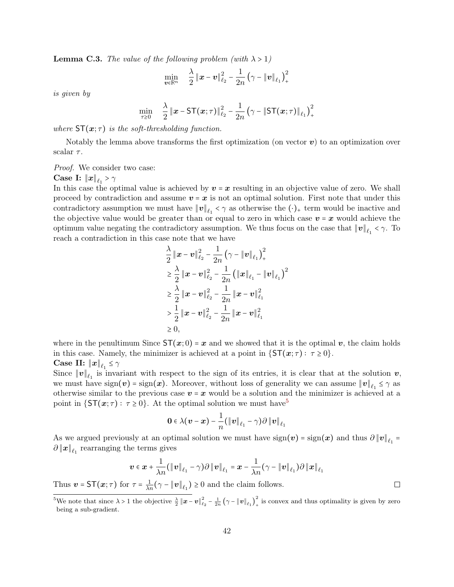<span id="page-41-0"></span>**Lemma C.3.** The value of the following problem (with  $\lambda > 1$ )

v∈**R**<sup>n</sup>

$$
\min_{\boldsymbol{v}\in\mathbb{R}^n} \quad \frac{\lambda}{2} \left\|\boldsymbol{x}-\boldsymbol{v}\right\|_{\ell_2}^2 - \frac{1}{2n} \left(\gamma-\|\boldsymbol{v}\|_{\ell_1}\right)_+^2
$$

is given by

$$
\min_{\tau \geq 0} \quad \frac{\lambda}{2} \left\| \boldsymbol{x} - \mathsf{ST}(\boldsymbol{x}; \tau) \right\|_{\ell_2}^2 - \frac{1}{2n} \left( \gamma - \|\mathsf{ST}(\boldsymbol{x}; \tau)\|_{\ell_1} \right)_+^2
$$

where  $ST(x;\tau)$  is the soft-thresholding function.

Notably the lemma above transforms the first optimization (on vector  $\boldsymbol{v}$ ) to an optimization over scalar  $\tau$ .

Proof. We consider two case:

# $\textbf{Case I: } \left\| \bm{x} \right\|_{\ell_1} > \gamma$

In this case the optimal value is achieved by  $v = x$  resulting in an objective value of zero. We shall proceed by contradiction and assume  $v = x$  is not an optimal solution. First note that under this contradictory assumption we must have  $\|\bm{v}\|_{\ell_1} < \gamma$  as otherwise the  $(\cdot)_+$  term would be inactive and the objective value would be greater than or equal to zero in which case  $v = x$  would achieve the optimum value negating the contradictory assumption. We thus focus on the case that  $\|\boldsymbol{v}\|_{\ell_1} < \gamma$ . To reach a contradiction in this case note that we have

$$
\frac{\lambda}{2} \|\boldsymbol{x} - \boldsymbol{v}\|_{\ell_2}^2 - \frac{1}{2n} (\gamma - \|\boldsymbol{v}\|_{\ell_1})_+^2
$$
\n
$$
\geq \frac{\lambda}{2} \|\boldsymbol{x} - \boldsymbol{v}\|_{\ell_2}^2 - \frac{1}{2n} (\|\boldsymbol{x}\|_{\ell_1} - \|\boldsymbol{v}\|_{\ell_1})^2
$$
\n
$$
\geq \frac{\lambda}{2} \|\boldsymbol{x} - \boldsymbol{v}\|_{\ell_2}^2 - \frac{1}{2n} \|\boldsymbol{x} - \boldsymbol{v}\|_{\ell_1}^2
$$
\n
$$
\gt \frac{1}{2} \|\boldsymbol{x} - \boldsymbol{v}\|_{\ell_2}^2 - \frac{1}{2n} \|\boldsymbol{x} - \boldsymbol{v}\|_{\ell_1}^2
$$
\n
$$
\geq 0,
$$

where in the penultimum Since  $ST(x; 0) = x$  and we showed that it is the optimal v, the claim holds in this case. Namely, the minimizer is achieved at a point in  $\{ST(x; \tau) : \tau \geq 0\}.$  $\textbf{Case II: } \left\| \bm{x} \right\|_{\ell_1} \leq \gamma$ 

Since  $||v||_{\ell_1}$  is invariant with respect to the sign of its entries, it is clear that at the solution  $v$ , we must have  $sign(v) = sign(x)$ . Moreover, without loss of generality we can assume  $||v||_{\ell_1} \leq \gamma$  as otherwise similar to the previous case  $v = x$  would be a solution and the minimizer is achieved at a point in  $\{ST(x; \tau) : \tau \geq 0\}$ . At the optimal solution we must have<sup>[5](#page-0-0)</sup>

$$
\mathbf{0}\in\lambda(\boldsymbol{v}-\boldsymbol{x})-\frac{1}{n}(\left\|\boldsymbol{v}\right\|_{\ell_1}-\gamma)\partial\left\|\boldsymbol{v}\right\|_{\ell_1}
$$

As we argued previously at an optimal solution we must have  $sign(v) = sign(x)$  and thus  $\partial ||v||_{\ell_1} =$  $\partial \|x\|_{\ell_1}$  rearranging the terms gives

$$
\boldsymbol{v} \in \boldsymbol{x} + \frac{1}{\lambda n} (\|\boldsymbol{v}\|_{\ell_1} - \gamma) \partial \|\boldsymbol{v}\|_{\ell_1} = \boldsymbol{x} - \frac{1}{\lambda n} (\gamma - \|\boldsymbol{v}\|_{\ell_1}) \partial \|\boldsymbol{x}\|_{\ell_1}
$$

 $\Box$ 

Thus  $\mathbf{v} = \mathsf{ST}(\mathbf{x}; \tau)$  for  $\tau = \frac{1}{\lambda n} (\gamma - ||\mathbf{v}||_{\ell_1}) \geq 0$  and the claim follows.

<sup>&</sup>lt;sup>5</sup>We note that since  $\lambda > 1$  the objective  $\frac{\lambda}{2} ||\mathbf{x} - \mathbf{v}||_{\ell_2}^2 - \frac{1}{2n} (\gamma - ||\mathbf{v}||_{\ell_1})^2$  $\int_{+}^{\infty}$  is convex and thus optimality is given by zero being a sub-gradient.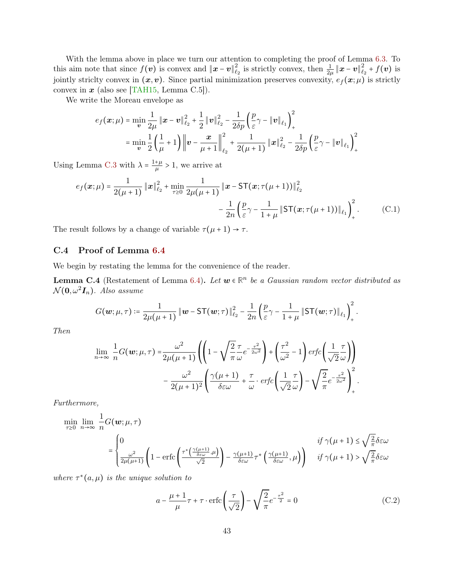<span id="page-42-1"></span>With the lemma above in place we turn our attention to completing the proof of Lemma [6.3.](#page-19-2) To this aim note that since  $f(v)$  is convex and  $||x - v||_{\ell}^2$  $\frac{2}{\ell_2}$  is strictly convex, then  $\frac{1}{2\mu} \| \boldsymbol{x} - \boldsymbol{v} \|_{\ell_2}^2$  $\frac{2}{\ell_2}$  +  $f(\boldsymbol{v})$  is jointly striclty convex in  $(x, v)$ . Since partial minimization preserves convexity,  $e_f(x; \mu)$  is strictly convex in  $x$  (also see [\[TAH15,](#page-31-10) Lemma C.5]).

We write the Moreau envelope as

$$
e_f(\boldsymbol{x}; \mu) = \min_{\boldsymbol{v}} \frac{1}{2\mu} \left\| \boldsymbol{x} - \boldsymbol{v} \right\|_{\ell_2}^2 + \frac{1}{2} \left\| \boldsymbol{v} \right\|_{\ell_2}^2 - \frac{1}{2\delta p} \left( \frac{p}{\varepsilon} \gamma - \left\| \boldsymbol{v} \right\|_{\ell_1} \right)_+^2
$$
  
= 
$$
\min_{\boldsymbol{v}} \frac{1}{2} \left( \frac{1}{\mu} + 1 \right) \left\| \boldsymbol{v} - \frac{\boldsymbol{x}}{\mu + 1} \right\|_{\ell_2}^2 + \frac{1}{2(\mu + 1)} \left\| \boldsymbol{x} \right\|_{\ell_2}^2 - \frac{1}{2\delta p} \left( \frac{p}{\varepsilon} \gamma - \left\| \boldsymbol{v} \right\|_{\ell_1} \right)_+^2
$$

Using Lemma [C.3](#page-41-0) with  $\lambda = \frac{1+\mu}{\mu}$  $\frac{+\mu}{\mu} > 1$ , we arrive at

$$
e_f(\mathbf{x}; \mu) = \frac{1}{2(\mu + 1)} \|\mathbf{x}\|_{\ell_2}^2 + \min_{\tau \ge 0} \frac{1}{2\mu(\mu + 1)} \|\mathbf{x} - \mathsf{ST}(\mathbf{x}; \tau(\mu + 1))\|_{\ell_2}^2 - \frac{1}{2n} \left(\frac{p}{\varepsilon}\gamma - \frac{1}{1 + \mu} \|\mathsf{ST}(\mathbf{x}; \tau(\mu + 1))\|_{\ell_1}\right)_+^2.
$$
 (C.1)

<span id="page-42-0"></span>The result follows by a change of variable  $\tau(\mu + 1) \rightarrow \tau$ .

### C.4 Proof of Lemma [6.4](#page-20-2)

We begin by restating the lemma for the convenience of the reader.

**Lemma C.4** (Restatement of Lemma [6.4\)](#page-20-2). Let  $w \in \mathbb{R}^n$  be a Gaussian random vector distributed as  $\mathcal{N}(\mathbf{0}, \omega^2 \mathbf{I}_n)$ . Also assume

$$
G(\boldsymbol{w}; \mu, \tau) \coloneqq \frac{1}{2\mu(\mu+1)} \left\| \boldsymbol{w} - \mathsf{ST}(\boldsymbol{w}; \tau) \right\|_{\ell_2}^2 - \frac{1}{2n} \left( \frac{p}{\varepsilon} \gamma - \frac{1}{1+\mu} \left\| \mathsf{ST}(\boldsymbol{w}; \tau) \right\|_{\ell_1} \right)^2_+.
$$

Then

$$
\lim_{n \to \infty} \frac{1}{n} G(\boldsymbol{w}; \mu, \tau) = \frac{\omega^2}{2\mu(\mu + 1)} \left( \left( 1 - \sqrt{\frac{2}{\pi}} \frac{\tau}{\omega} e^{-\frac{\tau^2}{2\omega^2}} \right) + \left( \frac{\tau^2}{\omega^2} - 1 \right) erfc \left( \frac{1}{\sqrt{2}} \frac{\tau}{\omega} \right) \right) - \frac{\omega^2}{2(\mu + 1)^2} \left( \frac{\gamma(\mu + 1)}{\delta \varepsilon \omega} + \frac{\tau}{\omega} \cdot erfc \left( \frac{1}{\sqrt{2}} \frac{\tau}{\omega} \right) - \sqrt{\frac{2}{\pi}} e^{-\frac{\tau^2}{2\omega^2}} \right)_+^2.
$$

Furthermore,

$$
\min_{\tau \geq 0} \lim_{n \to \infty} \frac{1}{n} G(\mathbf{w}; \mu, \tau)
$$
\n
$$
= \begin{cases}\n0 & \text{if } \gamma(\mu + 1) \leq \sqrt{\frac{2}{\pi}} \delta \in \omega \\
\frac{\omega^2}{2\mu(\mu + 1)} \left(1 - \text{erfc}\left(\frac{\tau^* \left(\frac{\gamma(\mu + 1)}{\delta \varepsilon \omega}, \mu\right)}{\sqrt{2}}\right) - \frac{\gamma(\mu + 1)}{\delta \varepsilon \omega} \tau^* \left(\frac{\gamma(\mu + 1)}{\delta \varepsilon \omega}, \mu\right)\right) & \text{if } \gamma(\mu + 1) > \sqrt{\frac{2}{\pi}} \delta \in \omega\n\end{cases}
$$

where  $\tau^*(a,\mu)$  is the unique solution to

$$
a - \frac{\mu + 1}{\mu}\tau + \tau \cdot \text{erfc}\left(\frac{\tau}{\sqrt{2}}\right) - \sqrt{\frac{2}{\pi}}e^{-\frac{\tau^2}{2}} = 0\tag{C.2}
$$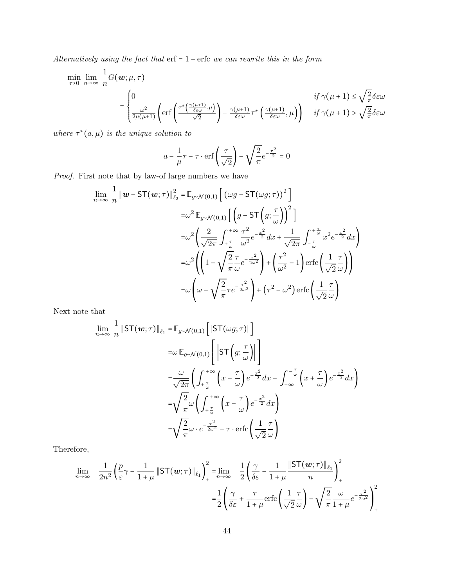Alternatively using the fact that erf = 1 − erfc we can rewrite this in the form

$$
\begin{aligned} \min_{\tau \geq 0} \; & \lim_{n \to \infty} \; \frac{1}{n} G(\boldsymbol{w}; \mu, \tau) \\ & = \begin{cases} 0 & \text{if} \; \gamma(\mu+1) \leq \sqrt{\frac{2}{\pi}} \delta \varepsilon \omega \\ \frac{\omega^2}{2 \mu(\mu+1)} \left( \text{erf} \left( \frac{\tau^* \left( \frac{\gamma(\mu+1)}{\delta \varepsilon \omega}, \mu \right)}{\sqrt{2}} \right) - \frac{\gamma(\mu+1)}{\delta \varepsilon \omega} \tau^* \left( \frac{\gamma(\mu+1)}{\delta \varepsilon \omega}, \mu \right) \right) & \text{if} \; \gamma(\mu+1) > \sqrt{\frac{2}{\pi}} \delta \varepsilon \omega \end{cases} \end{aligned}
$$

where  $\tau^*(a,\mu)$  is the unique solution to

$$
a - \frac{1}{\mu}\tau - \tau \cdot \text{erf}\left(\frac{\tau}{\sqrt{2}}\right) - \sqrt{\frac{2}{\pi}}e^{-\frac{\tau^2}{2}} = 0
$$

Proof. First note that by law-of large numbers we have

$$
\lim_{n \to \infty} \frac{1}{n} \|w - ST(w; \tau)\|_{\ell_2}^2 = \mathbb{E}_{g \sim \mathcal{N}(0,1)} \left[ \left( \omega g - ST(\omega g; \tau) \right)^2 \right]
$$
  
\n
$$
= \omega^2 \mathbb{E}_{g \sim \mathcal{N}(0,1)} \left[ \left( g - ST\left( g; \frac{\tau}{\omega} \right) \right)^2 \right]
$$
  
\n
$$
= \omega^2 \left( \frac{2}{\sqrt{2\pi}} \int_{+\frac{\tau}{\omega}}^{+\infty} \frac{\tau^2}{\omega^2} e^{-\frac{x^2}{2}} dx + \frac{1}{\sqrt{2\pi}} \int_{-\frac{\tau}{\omega}}^{+\frac{\tau}{\omega}} x^2 e^{-\frac{x^2}{2}} dx \right)
$$
  
\n
$$
= \omega^2 \left( \left( 1 - \sqrt{\frac{2}{\pi}} \frac{\tau}{\omega} e^{-\frac{\tau^2}{2\omega^2}} \right) + \left( \frac{\tau^2}{\omega^2} - 1 \right) \text{erfc} \left( \frac{1}{\sqrt{2}} \frac{\tau}{\omega} \right) \right)
$$
  
\n
$$
= \omega \left( \omega - \sqrt{\frac{2}{\pi}} \tau e^{-\frac{\tau^2}{2\omega^2}} \right) + (\tau^2 - \omega^2) \text{erfc} \left( \frac{1}{\sqrt{2}} \frac{\tau}{\omega} \right)
$$

Next note that

$$
\lim_{n \to \infty} \frac{1}{n} \|\mathsf{ST}(\mathbf{w}; \tau)\|_{\ell_1} = \mathbb{E}_{g \sim \mathcal{N}(0, 1)} \left[ \|\mathsf{ST}(\omega g; \tau)\| \right]
$$
\n
$$
= \omega \mathbb{E}_{g \sim \mathcal{N}(0, 1)} \left[ \|\mathsf{ST}\left(g; \frac{\tau}{\omega}\right)\| \right]
$$
\n
$$
= \frac{\omega}{\sqrt{2\pi}} \left( \int_{+\frac{\tau}{\omega}}^{+\infty} \left( x - \frac{\tau}{\omega} \right) e^{-\frac{x^2}{2}} dx - \int_{-\infty}^{-\frac{\tau}{\omega}} \left( x + \frac{\tau}{\omega} \right) e^{-\frac{x^2}{2}} dx \right)
$$
\n
$$
= \sqrt{\frac{2}{\pi}} \omega \left( \int_{+\frac{\tau}{\omega}}^{+\infty} \left( x - \frac{\tau}{\omega} \right) e^{-\frac{x^2}{2}} dx \right)
$$
\n
$$
= \sqrt{\frac{2}{\pi}} \omega \cdot e^{-\frac{\tau^2}{2\omega^2}} - \tau \cdot \text{erfc} \left( \frac{1}{\sqrt{2}} \frac{\tau}{\omega} \right)
$$

Therefore,

$$
\lim_{n \to \infty} \frac{1}{2n^2} \left( \frac{p}{\varepsilon} \gamma - \frac{1}{1+\mu} \left\| \mathsf{ST}(\mathbf{w}; \tau) \right\|_{\ell_1} \right)_+^2 = \lim_{n \to \infty} \frac{1}{2} \left( \frac{\gamma}{\delta \varepsilon} - \frac{1}{1+\mu} \frac{\left\| \mathsf{ST}(\mathbf{w}; \tau) \right\|_{\ell_1}}{n} \right)_+^2
$$
\n
$$
= \frac{1}{2} \left( \frac{\gamma}{\delta \varepsilon} + \frac{\tau}{1+\mu} \operatorname{erfc} \left( \frac{1}{\sqrt{2}} \frac{\tau}{\omega} \right) - \sqrt{\frac{2}{\pi}} \frac{\omega}{1+\mu} e^{-\frac{\tau^2}{2\omega^2}} \right)_+^2
$$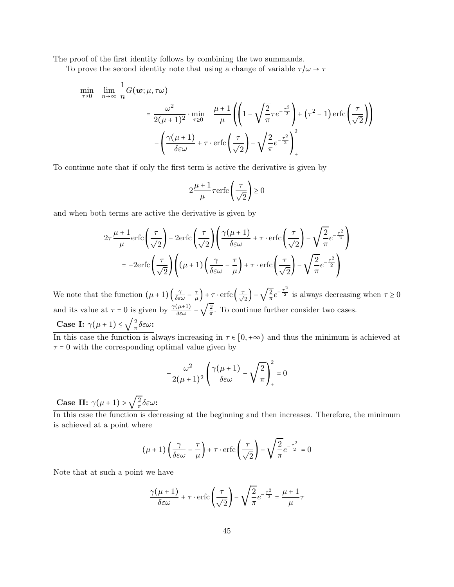The proof of the first identity follows by combining the two summands.

To prove the second identity note that using a change of variable  $\tau/\omega \to \tau$ 

$$
\begin{aligned}\n\min_{\tau \geq 0} \quad & \lim_{n \to \infty} \frac{1}{n} G(\boldsymbol{w}; \mu, \tau \omega) \\
& = \frac{\omega^2}{2(\mu + 1)^2} \cdot \min_{\tau \geq 0} \quad \frac{\mu + 1}{\mu} \left( \left( 1 - \sqrt{\frac{2}{\pi}} \tau e^{-\frac{\tau^2}{2}} \right) + (\tau^2 - 1) \operatorname{erfc} \left( \frac{\tau}{\sqrt{2}} \right) \right) \\
& - \left( \frac{\gamma(\mu + 1)}{\delta \varepsilon \omega} + \tau \cdot \operatorname{erfc} \left( \frac{\tau}{\sqrt{2}} \right) - \sqrt{\frac{2}{\pi}} e^{-\frac{\tau^2}{2}} \right)_+^2\n\end{aligned}
$$

To continue note that if only the first term is active the derivative is given by

$$
2\frac{\mu+1}{\mu}\tau\text{erfc}\left(\frac{\tau}{\sqrt{2}}\right) \ge 0
$$

and when both terms are active the derivative is given by

$$
2\tau \frac{\mu+1}{\mu} \text{erfc}\left(\frac{\tau}{\sqrt{2}}\right) - 2\text{erfc}\left(\frac{\tau}{\sqrt{2}}\right) \left(\frac{\gamma(\mu+1)}{\delta \varepsilon \omega} + \tau \cdot \text{erfc}\left(\frac{\tau}{\sqrt{2}}\right) - \sqrt{\frac{2}{\pi}} e^{-\frac{\tau^2}{2}}\right)
$$

$$
= -2\text{erfc}\left(\frac{\tau}{\sqrt{2}}\right) \left((\mu+1)\left(\frac{\gamma}{\delta \varepsilon \omega} - \frac{\tau}{\mu}\right) + \tau \cdot \text{erfc}\left(\frac{\tau}{\sqrt{2}}\right) - \sqrt{\frac{2}{\pi}} e^{-\frac{\tau^2}{2}}\right)
$$

We note that the function  $(\mu+1)\left(\frac{\gamma}{\delta \varepsilon \omega} - \frac{\tau}{\mu}\right)$  $\left(\frac{\tau}{\sqrt{2}}\right) + \tau \cdot \text{erfc}\left(\frac{\tau}{\sqrt{2}}\right) - \sqrt{\frac{2}{\pi}}$  $\frac{2}{\pi}e^{-\frac{\tau^2}{2}}$  is always decreasing when  $\tau \ge 0$ and its value at  $\tau = 0$  is given by  $\frac{\gamma(\mu+1)}{\delta \varepsilon \omega}$  –  $\frac{7}{2}$  / 2  $\frac{2}{\pi}$ . To continue further consider two cases.

Case I:  $\gamma(\mu+1) \leq \sqrt{\frac{2}{\pi}}$  $\frac{2}{\pi}$ δεω:

In this case the function is always increasing in  $\tau \in [0, +\infty)$  and thus the minimum is achieved at  $\tau = 0$  with the corresponding optimal value given by

$$
-\frac{\omega^2}{2(\mu+1)^2}\left(\frac{\gamma(\mu+1)}{\delta \varepsilon \omega}-\sqrt{\frac{2}{\pi}}\right)_+^2=0
$$

Case II:  $\gamma(\mu+1) > \sqrt{\frac{2}{\pi}}$  $\frac{2}{\pi}$ δεω:

 $\overrightarrow{\text{In this case the function is decreasing at the beginning and then increases. Therefore, the minimum$ is achieved at a point where

$$
(\mu+1)\left(\frac{\gamma}{\delta \varepsilon \omega}-\frac{\tau}{\mu}\right)+\tau\cdot \text{erfc}\left(\frac{\tau}{\sqrt{2}}\right)-\sqrt{\frac{2}{\pi}}e^{-\frac{\tau^2}{2}}=0
$$

Note that at such a point we have

$$
\frac{\gamma(\mu+1)}{\delta \varepsilon \omega} + \tau \cdot \text{erfc}\left(\frac{\tau}{\sqrt{2}}\right) - \sqrt{\frac{2}{\pi}} e^{-\frac{\tau^2}{2}} = \frac{\mu+1}{\mu} \tau
$$